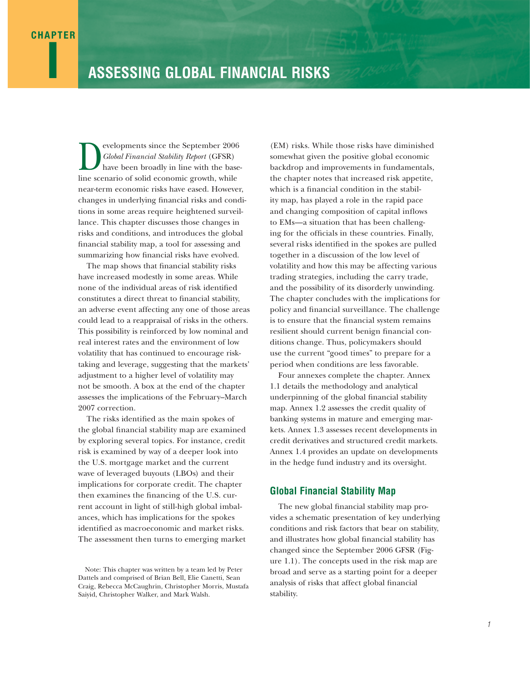# **ASSESSING GLOBAL FINANCIAL RISKS**

Superinter September 2006<br>
Subal Financial Stability Report (GFSR)<br>
have been broadly in line with the base-<br>
line scenario of solid economic growth, while *Global Financial Stability Report* (GFSR) have been broadly in line with the baseline scenario of solid economic growth, while near-term economic risks have eased. However, changes in underlying financial risks and conditions in some areas require heightened surveillance. This chapter discusses those changes in risks and conditions, and introduces the global financial stability map, a tool for assessing and summarizing how financial risks have evolved.

The map shows that financial stability risks have increased modestly in some areas. While none of the individual areas of risk identified constitutes a direct threat to financial stability, an adverse event affecting any one of those areas could lead to a reappraisal of risks in the others. This possibility is reinforced by low nominal and real interest rates and the environment of low volatility that has continued to encourage risktaking and leverage, suggesting that the markets' adjustment to a higher level of volatility may not be smooth. A box at the end of the chapter assesses the implications of the February–March 2007 correction.

The risks identified as the main spokes of the global financial stability map are examined by exploring several topics. For instance, credit risk is examined by way of a deeper look into the U.S. mortgage market and the current wave of leveraged buyouts (LBOs) and their implications for corporate credit. The chapter then examines the financing of the U.S. current account in light of still-high global imbalances, which has implications for the spokes identified as macroeconomic and market risks. The assessment then turns to emerging market

(EM) risks. While those risks have diminished somewhat given the positive global economic backdrop and improvements in fundamentals, the chapter notes that increased risk appetite, which is a financial condition in the stability map, has played a role in the rapid pace and changing composition of capital inflows to EMs—a situation that has been challenging for the officials in these countries. Finally, several risks identified in the spokes are pulled together in a discussion of the low level of volatility and how this may be affecting various trading strategies, including the carry trade, and the possibility of its disorderly unwinding. The chapter concludes with the implications for policy and financial surveillance. The challenge is to ensure that the financial system remains resilient should current benign financial conditions change. Thus, policymakers should use the current "good times" to prepare for a period when conditions are less favorable.

Four annexes complete the chapter. Annex 1.1 details the methodology and analytical underpinning of the global financial stability map. Annex 1.2 assesses the credit quality of banking systems in mature and emerging markets. Annex 1.3 assesses recent developments in credit derivatives and structured credit markets. Annex 1.4 provides an update on developments in the hedge fund industry and its oversight.

# **Global Financial Stability Map**

The new global financial stability map provides a schematic presentation of key underlying conditions and risk factors that bear on stability, and illustrates how global financial stability has changed since the September 2006 GFSR (Figure 1.1). The concepts used in the risk map are broad and serve as a starting point for a deeper analysis of risks that affect global financial stability.

Note: This chapter was written by a team led by Peter Dattels and comprised of Brian Bell, Elie Canetti, Sean Craig, Rebecca McCaughrin, Christopher Morris, Mustafa Saiyid, Christopher Walker, and Mark Walsh.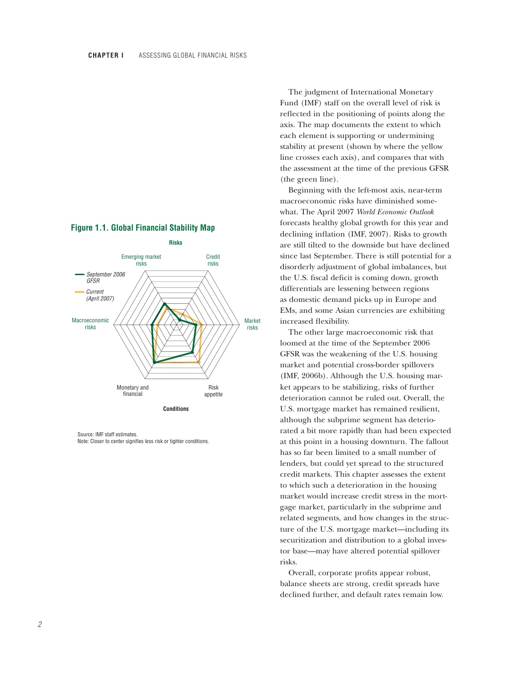

### **Figure 1.1. Global Financial Stability Map**

Source: IMF staff estimates.

Note: Closer to center signifies less risk or tighter conditions.

The judgment of International Monetary Fund (IMF) staff on the overall level of risk is reflected in the positioning of points along the axis. The map documents the extent to which each element is supporting or undermining stability at present (shown by where the yellow line crosses each axis), and compares that with the assessment at the time of the previous GFSR (the green line).

Beginning with the left-most axis, near-term macroeconomic risks have diminished somewhat. The April 2007 *World Economic Outlook*  forecasts healthy global growth for this year and declining inflation (IMF, 2007). Risks to growth are still tilted to the downside but have declined since last September. There is still potential for a disorderly adjustment of global imbalances, but the U.S. fiscal deficit is coming down, growth differentials are lessening between regions as domestic demand picks up in Europe and EMs, and some Asian currencies are exhibiting increased flexibility.

The other large macroeconomic risk that loomed at the time of the September 2006 GFSR was the weakening of the U.S. housing market and potential cross-border spillovers (IMF, 2006b). Although the U.S. housing market appears to be stabilizing, risks of further deterioration cannot be ruled out. Overall, the U.S. mortgage market has remained resilient, although the subprime segment has deteriorated a bit more rapidly than had been expected at this point in a housing downturn. The fallout has so far been limited to a small number of lenders, but could yet spread to the structured credit markets. This chapter assesses the extent to which such a deterioration in the housing market would increase credit stress in the mortgage market, particularly in the subprime and related segments, and how changes in the structure of the U.S. mortgage market—including its securitization and distribution to a global investor base—may have altered potential spillover risks.

Overall, corporate profits appear robust, balance sheets are strong, credit spreads have declined further, and default rates remain low.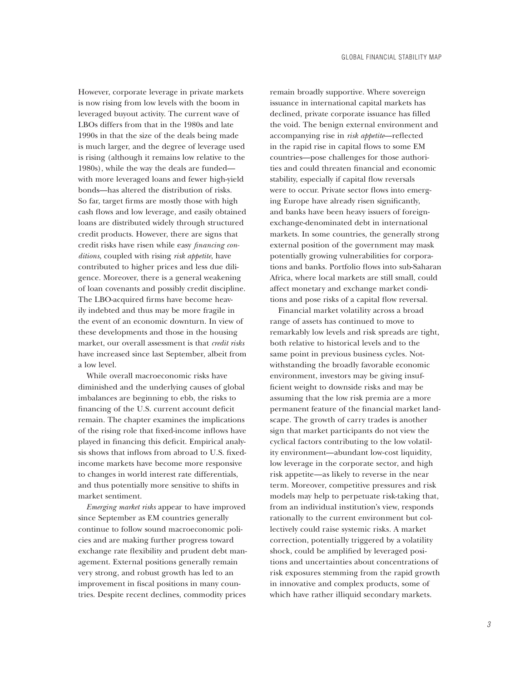However, corporate leverage in private markets is now rising from low levels with the boom in leveraged buyout activity. The current wave of LBOs differs from that in the 1980s and late 1990s in that the size of the deals being made is much larger, and the degree of leverage used is rising (although it remains low relative to the 1980s), while the way the deals are funded with more leveraged loans and fewer high-yield bonds—has altered the distribution of risks. So far, target firms are mostly those with high cash flows and low leverage, and easily obtained loans are distributed widely through structured credit products. However, there are signs that credit risks have risen while easy *financing conditions*, coupled with rising *risk appetite*, have contributed to higher prices and less due diligence. Moreover, there is a general weakening of loan covenants and possibly credit discipline. The LBO-acquired firms have become heavily indebted and thus may be more fragile in the event of an economic downturn. In view of these developments and those in the housing market, our overall assessment is that *credit risks* have increased since last September, albeit from a low level.

While overall macroeconomic risks have diminished and the underlying causes of global imbalances are beginning to ebb, the risks to financing of the U.S. current account deficit remain. The chapter examines the implications of the rising role that fixed-income inflows have played in financing this deficit. Empirical analysis shows that inflows from abroad to U.S. fixedincome markets have become more responsive to changes in world interest rate differentials, and thus potentially more sensitive to shifts in market sentiment.

*Emerging market risks* appear to have improved since September as EM countries generally continue to follow sound macroeconomic policies and are making further progress toward exchange rate flexibility and prudent debt management. External positions generally remain very strong, and robust growth has led to an improvement in fiscal positions in many countries. Despite recent declines, commodity prices remain broadly supportive. Where sovereign issuance in international capital markets has declined, private corporate issuance has filled the void. The benign external environment and accompanying rise in *risk appetite*—reflected in the rapid rise in capital flows to some EM countries—pose challenges for those authorities and could threaten financial and economic stability, especially if capital flow reversals were to occur. Private sector flows into emerging Europe have already risen significantly, and banks have been heavy issuers of foreignexchange-denominated debt in international markets. In some countries, the generally strong external position of the government may mask potentially growing vulnerabilities for corporations and banks. Portfolio flows into sub-Saharan Africa, where local markets are still small, could affect monetary and exchange market conditions and pose risks of a capital flow reversal.

Financial market volatility across a broad range of assets has continued to move to remarkably low levels and risk spreads are tight, both relative to historical levels and to the same point in previous business cycles. Notwithstanding the broadly favorable economic environment, investors may be giving insufficient weight to downside risks and may be assuming that the low risk premia are a more permanent feature of the financial market landscape. The growth of carry trades is another sign that market participants do not view the cyclical factors contributing to the low volatility environment—abundant low-cost liquidity, low leverage in the corporate sector, and high risk appetite—as likely to reverse in the near term. Moreover, competitive pressures and risk models may help to perpetuate risk-taking that, from an individual institution's view, responds rationally to the current environment but collectively could raise systemic risks. A market correction, potentially triggered by a volatility shock, could be amplified by leveraged positions and uncertainties about concentrations of risk exposures stemming from the rapid growth in innovative and complex products, some of which have rather illiquid secondary markets.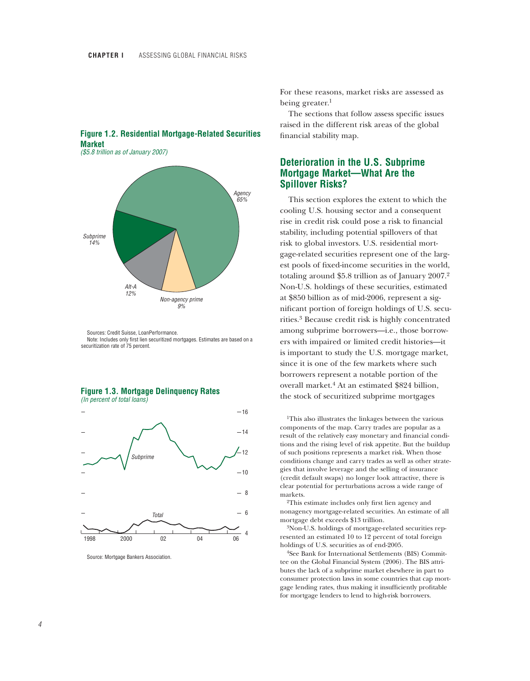

(\$5.8 trillion as of January 2007)



Sources: Credit Suisse, LoanPerformance. Note: Includes only first lien securitized mortgages. Estimates are based on a securitization rate of 75 percent.



### **Figure 1.3. Mortgage Delinquency Rates** (In percent of total loans)

Source: Mortgage Bankers Association.

For these reasons, market risks are assessed as being greater.<sup>1</sup>

The sections that follow assess specific issues raised in the different risk areas of the global financial stability map.

# **Deterioration in the U.S. Subprime Mortgage Market—What Are the Spillover Risks?**

This section explores the extent to which the cooling U.S. housing sector and a consequent rise in credit risk could pose a risk to financial stability, including potential spillovers of that risk to global investors. U.S. residential mortgage-related securities represent one of the largest pools of fixed-income securities in the world, totaling around \$5.8 trillion as of January 2007.2 Non-U.S. holdings of these securities, estimated at \$850 billion as of mid-2006, represent a significant portion of foreign holdings of U.S. securities.3 Because credit risk is highly concentrated among subprime borrowers—i.e., those borrowers with impaired or limited credit histories—it is important to study the U.S. mortgage market, since it is one of the few markets where such borrowers represent a notable portion of the overall market.4 At an estimated \$824 billion, the stock of securitized subprime mortgages

1This also illustrates the linkages between the various components of the map. Carry trades are popular as a result of the relatively easy monetary and financial conditions and the rising level of risk appetite. But the buildup of such positions represents a market risk. When those conditions change and carry trades as well as other strategies that involve leverage and the selling of insurance (credit default swaps) no longer look attractive, there is clear potential for perturbations across a wide range of markets.

2This estimate includes only first lien agency and nonagency mortgage-related securities. An estimate of all mortgage debt exceeds \$13 trillion.

3Non-U.S. holdings of mortgage-related securities represented an estimated 10 to 12 percent of total foreign holdings of U.S. securities as of end-2005.

4See Bank for International Settlements (BIS) Committee on the Global Financial System (2006). The BIS attributes the lack of a subprime market elsewhere in part to consumer protection laws in some countries that cap mortgage lending rates, thus making it insufficiently profitable for mortgage lenders to lend to high-risk borrowers.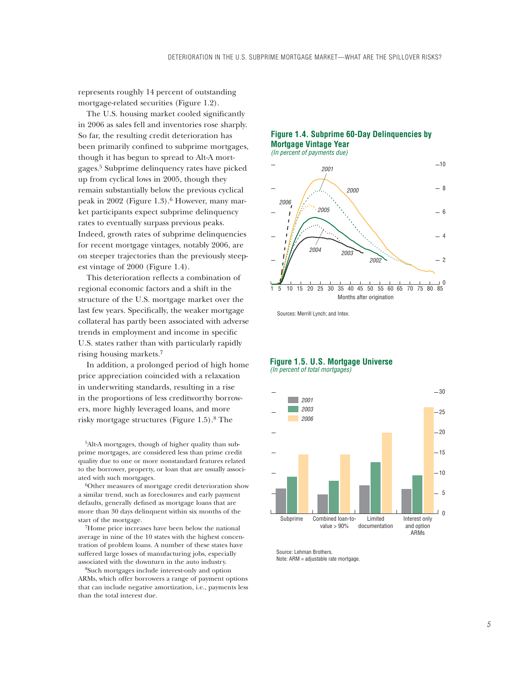represents roughly 14 percent of outstanding mortgage-related securities (Figure 1.2).

The U.S. housing market cooled significantly in 2006 as sales fell and inventories rose sharply. So far, the resulting credit deterioration has been primarily confined to subprime mortgages, though it has begun to spread to Alt-A mortgages.5 Subprime delinquency rates have picked up from cyclical lows in 2005, though they remain substantially below the previous cyclical peak in 2002 (Figure 1.3).6 However, many market participants expect subprime delinquency rates to eventually surpass previous peaks. Indeed, growth rates of subprime delinquencies for recent mortgage vintages, notably 2006, are on steeper trajectories than the previously steepest vintage of 2000 (Figure 1.4).

This deterioration reflects a combination of regional economic factors and a shift in the structure of the U.S. mortgage market over the last few years. Specifically, the weaker mortgage collateral has partly been associated with adverse trends in employment and income in specific U.S. states rather than with particularly rapidly rising housing markets.7

In addition, a prolonged period of high home price appreciation coincided with a relaxation in underwriting standards, resulting in a rise in the proportions of less creditworthy borrowers, more highly leveraged loans, and more risky mortgage structures (Figure 1.5).8 The

5Alt-A mortgages, though of higher quality than subprime mortgages, are considered less than prime credit quality due to one or more nonstandard features related to the borrower, property, or loan that are usually associated with such mortgages.

6Other measures of mortgage credit deterioration show a similar trend, such as foreclosures and early payment defaults, generally defined as mortgage loans that are more than 30 days delinquent within six months of the start of the mortgage.

7Home price increases have been below the national average in nine of the 10 states with the highest concentration of problem loans. A number of these states have suffered large losses of manufacturing jobs, especially associated with the downturn in the auto industry.

8Such mortgages include interest-only and option ARMs, which offer borrowers a range of payment options that can include negative amortization, i.e., payments less than the total interest due.

# **Figure 1.4. Subprime 60-Day Delinquencies by Mortgage Vintage Year**

(In percent of payments due)



Sources: Merrill Lynch; and Intex.



#### **Figure 1.5. U.S. Mortgage Universe** (In percent of total mortgages)

Source: Lehman Brothers. Note: ARM = adjustable rate mortgage.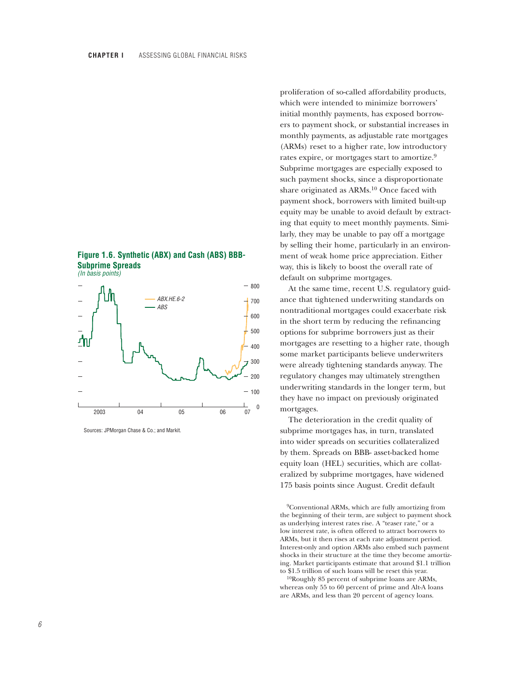**Figure 1.6. Synthetic (ABX) and Cash (ABS) BBB-Subprime Spreads**



Sources: JPMorgan Chase & Co.; and Markit.

proliferation of so-called affordability products, which were intended to minimize borrowers' initial monthly payments, has exposed borrowers to payment shock, or substantial increases in monthly payments, as adjustable rate mortgages (ARMs) reset to a higher rate, low introductory rates expire, or mortgages start to amortize.<sup>9</sup> Subprime mortgages are especially exposed to such payment shocks, since a disproportionate share originated as ARMs.<sup>10</sup> Once faced with payment shock, borrowers with limited built-up equity may be unable to avoid default by extracting that equity to meet monthly payments. Similarly, they may be unable to pay off a mortgage by selling their home, particularly in an environment of weak home price appreciation. Either way, this is likely to boost the overall rate of default on subprime mortgages.

At the same time, recent U.S. regulatory guidance that tightened underwriting standards on nontraditional mortgages could exacerbate risk in the short term by reducing the refinancing options for subprime borrowers just as their mortgages are resetting to a higher rate, though some market participants believe underwriters were already tightening standards anyway. The regulatory changes may ultimately strengthen underwriting standards in the longer term, but they have no impact on previously originated mortgages.

The deterioration in the credit quality of subprime mortgages has, in turn, translated into wider spreads on securities collateralized by them. Spreads on BBB- asset-backed home equity loan (HEL) securities, which are collateralized by subprime mortgages, have widened 175 basis points since August. Credit default

9Conventional ARMs, which are fully amortizing from the beginning of their term, are subject to payment shock as underlying interest rates rise. A "teaser rate," or a low interest rate, is often offered to attract borrowers to ARMs, but it then rises at each rate adjustment period. Interest-only and option ARMs also embed such payment shocks in their structure at the time they become amortizing. Market participants estimate that around \$1.1 trillion to \$1.5 trillion of such loans will be reset this year.

10Roughly 85 percent of subprime loans are ARMs, whereas only 55 to 60 percent of prime and Alt-A loans are ARMs, and less than 20 percent of agency loans.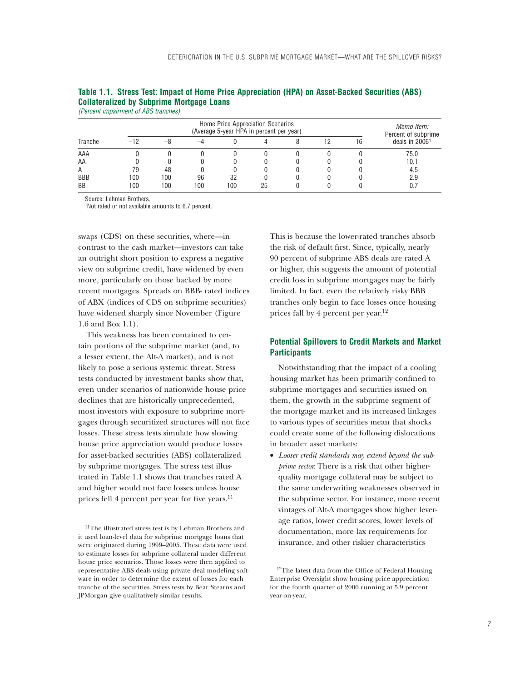| .          |                                                                               |     |      |     |    |  |    |    |                                   |
|------------|-------------------------------------------------------------------------------|-----|------|-----|----|--|----|----|-----------------------------------|
|            | Home Price Appreciation Scenarios<br>(Average 5-year HPA in percent per year) |     |      |     |    |  |    |    | Memo Item:<br>Percent of subprime |
| Tranche    |                                                                               |     |      |     |    |  | 12 | 16 | deals in $20061$                  |
| AAA        |                                                                               |     |      |     |    |  |    |    | 75.0                              |
| AA         |                                                                               |     |      |     |    |  |    |    | 10.1                              |
| A          | 79                                                                            | 48  |      |     |    |  |    |    | 4.5                               |
| <b>BBB</b> | 100                                                                           | 100 | 96   | 32  |    |  |    |    | 2.9                               |
| <b>BB</b>  | 100                                                                           | 100 | 00 ا | 100 | 25 |  |    |    |                                   |

| Table 1.1. Stress Test: Impact of Home Price Appreciation (HPA) on Asset-Backed Securities (ABS) |  |  |  |
|--------------------------------------------------------------------------------------------------|--|--|--|
| <b>Collateralized by Subprime Mortgage Loans</b>                                                 |  |  |  |
| (Percent impairment of ARS tranches)                                                             |  |  |  |

Source: Lehman Brothers.

1Not rated or not available amounts to 6.7 percent.

swaps (CDS) on these securities, where—in contrast to the cash market—investors can take an outright short position to express a negative view on subprime credit, have widened by even more, particularly on those backed by more recent mortgages. Spreads on BBB- rated indices of ABX (indices of CDS on subprime securities) have widened sharply since November (Figure 1.6 and Box 1.1).

This weakness has been contained to certain portions of the subprime market (and, to a lesser extent, the Alt-A market), and is not likely to pose a serious systemic threat. Stress tests conducted by investment banks show that, even under scenarios of nationwide house price declines that are historically unprecedented, most investors with exposure to subprime mortgages through securitized structures will not face losses. These stress tests simulate how slowing house price appreciation would produce losses for asset-backed securities (ABS) collateralized by subprime mortgages. The stress test illustrated in Table 1.1 shows that tranches rated A and higher would not face losses unless house prices fell 4 percent per year for five years.11

11The illustrated stress test is by Lehman Brothers and it used loan-level data for subprime mortgage loans that were originated during 1999–2005. These data were used to estimate losses for subprime collateral under different house price scenarios. Those losses were then applied to representative ABS deals using private deal modeling software in order to determine the extent of losses for each tranche of the securities. Stress tests by Bear Stearns and JPMorgan give qualitatively similar results.

This is because the lower-rated tranches absorb the risk of default first. Since, typically, nearly 90 percent of subprime ABS deals are rated A or higher, this suggests the amount of potential credit loss in subprime mortgages may be fairly limited. In fact, even the relatively risky BBB tranches only begin to face losses once housing prices fall by 4 percent per year.<sup>12</sup>

# **Potential Spillovers to Credit Markets and Market Participants**

Notwithstanding that the impact of a cooling housing market has been primarily confined to subprime mortgages and securities issued on them, the growth in the subprime segment of the mortgage market and its increased linkages to various types of securities mean that shocks could create some of the following dislocations in broader asset markets:

v *Looser credit standards may extend beyond the subprime sector.* There is a risk that other higherquality mortgage collateral may be subject to the same underwriting weaknesses observed in the subprime sector. For instance, more recent vintages of Alt-A mortgages show higher leverage ratios, lower credit scores, lower levels of documentation, more lax requirements for insurance, and other riskier characteristics

<sup>12</sup>The latest data from the Office of Federal Housing Enterprise Oversight show housing price appreciation for the fourth quarter of 2006 running at 5.9 percent year-on-year.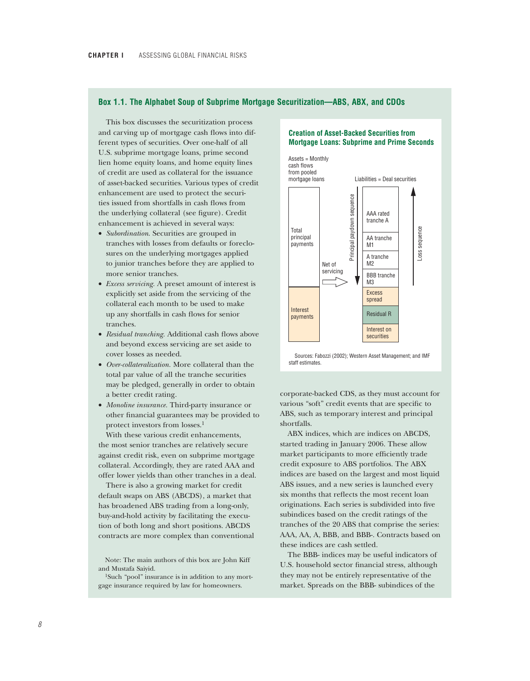# **Box 1.1. The Alphabet Soup of Subprime Mortgage Securitization—ABS, ABX, and CDOs**

This box discusses the securitization process and carving up of mortgage cash flows into different types of securities. Over one-half of all U.S. subprime mortgage loans, prime second lien home equity loans, and home equity lines of credit are used as collateral for the issuance of asset-backed securities. Various types of credit enhancement are used to protect the securities issued from shortfalls in cash flows from the underlying collateral (see figure). Credit enhancement is achieved in several ways:

- v *Subordination*. Securities are grouped in tranches with losses from defaults or foreclosures on the underlying mortgages applied to junior tranches before they are applied to more senior tranches.
- v *Excess servicing.* A preset amount of interest is explicitly set aside from the servicing of the collateral each month to be used to make up any shortfalls in cash flows for senior tranches.
- v *Residual tranching.* Additional cash flows above and beyond excess servicing are set aside to cover losses as needed.
- v *Over-collateralization.* More collateral than the total par value of all the tranche securities may be pledged, generally in order to obtain a better credit rating.
- v *Monoline insurance.* Third-party insurance or other financial guarantees may be provided to protect investors from losses.<sup>1</sup>

With these various credit enhancements, the most senior tranches are relatively secure against credit risk, even on subprime mortgage collateral. Accordingly, they are rated AAA and offer lower yields than other tranches in a deal.

There is also a growing market for credit default swaps on ABS (ABCDS), a market that has broadened ABS trading from a long-only, buy-and-hold activity by facilitating the execution of both long and short positions. ABCDS contracts are more complex than conventional

Note: The main authors of this box are John Kiff and Mustafa Saiyid.

<sup>1</sup>Such "pool" insurance is in addition to any mortgage insurance required by law for homeowners.

### **Creation of Asset-Backed Securities from Mortgage Loans: Subprime and Prime Seconds**



Sources: Fabozzi (2002); Western Asset Management; and IMF staff estimates.

corporate-backed CDS, as they must account for various "soft" credit events that are specific to ABS, such as temporary interest and principal shortfalls.

ABX indices, which are indices on ABCDS, started trading in January 2006. These allow market participants to more efficiently trade credit exposure to ABS portfolios. The ABX indices are based on the largest and most liquid ABS issues, and a new series is launched every six months that reflects the most recent loan originations. Each series is subdivided into five subindices based on the credit ratings of the tranches of the 20 ABS that comprise the series: AAA, AA, A, BBB, and BBB-. Contracts based on these indices are cash settled.

The BBB- indices may be useful indicators of U.S. household sector financial stress, although they may not be entirely representative of the market. Spreads on the BBB- subindices of the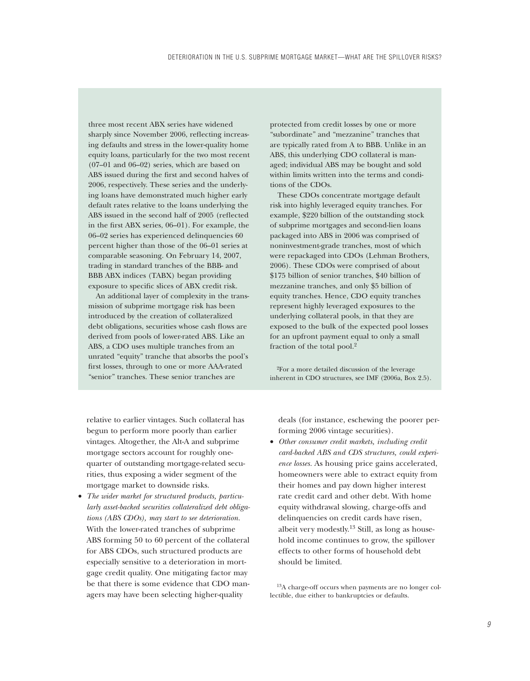three most recent ABX series have widened sharply since November 2006, reflecting increasing defaults and stress in the lower-quality home equity loans, particularly for the two most recent (07–01 and 06–02) series, which are based on ABS issued during the first and second halves of 2006, respectively. These series and the underlying loans have demonstrated much higher early default rates relative to the loans underlying the ABS issued in the second half of 2005 (reflected in the first ABX series, 06–01). For example, the 06–02 series has experienced delinquencies 60 percent higher than those of the 06–01 series at comparable seasoning. On February 14, 2007, trading in standard tranches of the BBB- and BBB ABX indices (TABX) began providing exposure to specific slices of ABX credit risk.

An additional layer of complexity in the transmission of subprime mortgage risk has been introduced by the creation of collateralized debt obligations, securities whose cash flows are derived from pools of lower-rated ABS. Like an ABS, a CDO uses multiple tranches from an unrated "equity" tranche that absorbs the pool's first losses, through to one or more AAA-rated "senior" tranches. These senior tranches are

protected from credit losses by one or more "subordinate" and "mezzanine" tranches that are typically rated from A to BBB. Unlike in an ABS, this underlying CDO collateral is managed; individual ABS may be bought and sold within limits written into the terms and conditions of the CDOs.

These CDOs concentrate mortgage default risk into highly leveraged equity tranches. For example, \$220 billion of the outstanding stock of subprime mortgages and second-lien loans packaged into ABS in 2006 was comprised of noninvestment-grade tranches, most of which were repackaged into CDOs (Lehman Brothers, 2006). These CDOs were comprised of about \$175 billion of senior tranches, \$40 billion of mezzanine tranches, and only \$5 billion of equity tranches. Hence, CDO equity tranches represent highly leveraged exposures to the underlying collateral pools, in that they are exposed to the bulk of the expected pool losses for an upfront payment equal to only a small fraction of the total pool.2

2For a more detailed discussion of the leverage inherent in CDO structures, see IMF (2006a, Box 2.5).

relative to earlier vintages. Such collateral has begun to perform more poorly than earlier vintages. Altogether, the Alt-A and subprime mortgage sectors account for roughly onequarter of outstanding mortgage-related securities, thus exposing a wider segment of the mortgage market to downside risks.

• The wider market for structured products, particu*larly asset-backed securities collateralized debt obligations (ABS CDOs), may start to see deterioration.* With the lower-rated tranches of subprime ABS forming 50 to 60 percent of the collateral for ABS CDOs, such structured products are especially sensitive to a deterioration in mortgage credit quality. One mitigating factor may be that there is some evidence that CDO managers may have been selecting higher-quality

deals (for instance, eschewing the poorer performing 2006 vintage securities).

v *Other consumer credit markets, including credit card-backed ABS and CDS structures, could experience losses.* As housing price gains accelerated, homeowners were able to extract equity from their homes and pay down higher interest rate credit card and other debt. With home equity withdrawal slowing, charge-offs and delinquencies on credit cards have risen, albeit very modestly.13 Still, as long as household income continues to grow, the spillover effects to other forms of household debt should be limited.

13A charge-off occurs when payments are no longer collectible, due either to bankruptcies or defaults.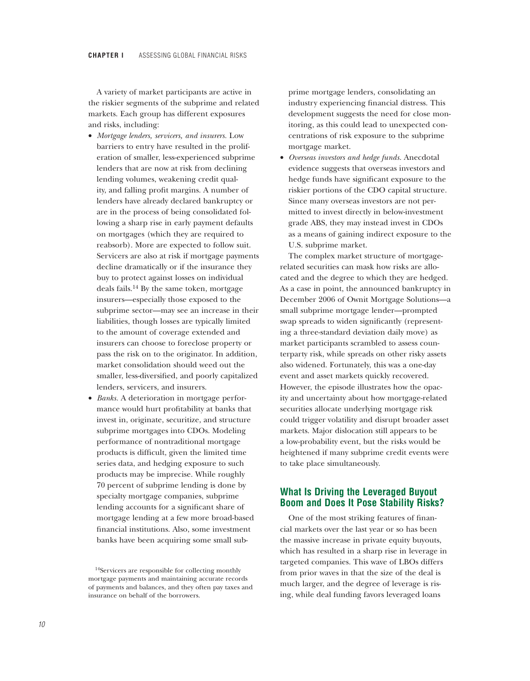A variety of market participants are active in the riskier segments of the subprime and related markets. Each group has different exposures and risks, including:

- v *Mortgage lenders, servicers, and insurers.* Low barriers to entry have resulted in the proliferation of smaller, less-experienced subprime lenders that are now at risk from declining lending volumes, weakening credit quality, and falling profit margins. A number of lenders have already declared bankruptcy or are in the process of being consolidated following a sharp rise in early payment defaults on mortgages (which they are required to reabsorb). More are expected to follow suit. Servicers are also at risk if mortgage payments decline dramatically or if the insurance they buy to protect against losses on individual deals fails.<sup>14</sup> By the same token, mortgage insurers—especially those exposed to the subprime sector—may see an increase in their liabilities, though losses are typically limited to the amount of coverage extended and insurers can choose to foreclose property or pass the risk on to the originator. In addition, market consolidation should weed out the smaller, less-diversified, and poorly capitalized lenders, servicers, and insurers.
- v *Banks.* A deterioration in mortgage performance would hurt profitability at banks that invest in, originate, securitize, and structure subprime mortgages into CDOs. Modeling performance of nontraditional mortgage products is difficult, given the limited time series data, and hedging exposure to such products may be imprecise. While roughly 70 percent of subprime lending is done by specialty mortgage companies, subprime lending accounts for a significant share of mortgage lending at a few more broad-based financial institutions. Also, some investment banks have been acquiring some small sub-

prime mortgage lenders, consolidating an industry experiencing financial distress. This development suggests the need for close monitoring, as this could lead to unexpected concentrations of risk exposure to the subprime mortgage market.

v *Overseas investors and hedge funds.* Anecdotal evidence suggests that overseas investors and hedge funds have significant exposure to the riskier portions of the CDO capital structure. Since many overseas investors are not permitted to invest directly in below-investment grade ABS, they may instead invest in CDOs as a means of gaining indirect exposure to the U.S. subprime market.

The complex market structure of mortgagerelated securities can mask how risks are allocated and the degree to which they are hedged. As a case in point, the announced bankruptcy in December 2006 of Ownit Mortgage Solutions—a small subprime mortgage lender—prompted swap spreads to widen significantly (representing a three-standard deviation daily move) as market participants scrambled to assess counterparty risk, while spreads on other risky assets also widened. Fortunately, this was a one-day event and asset markets quickly recovered. However, the episode illustrates how the opacity and uncertainty about how mortgage-related securities allocate underlying mortgage risk could trigger volatility and disrupt broader asset markets. Major dislocation still appears to be a low-probability event, but the risks would be heightened if many subprime credit events were to take place simultaneously.

# **What Is Driving the Leveraged Buyout Boom and Does It Pose Stability Risks?**

One of the most striking features of financial markets over the last year or so has been the massive increase in private equity buyouts, which has resulted in a sharp rise in leverage in targeted companies. This wave of LBOs differs from prior waves in that the size of the deal is much larger, and the degree of leverage is rising, while deal funding favors leveraged loans

<sup>14</sup>Servicers are responsible for collecting monthly mortgage payments and maintaining accurate records of payments and balances, and they often pay taxes and insurance on behalf of the borrowers.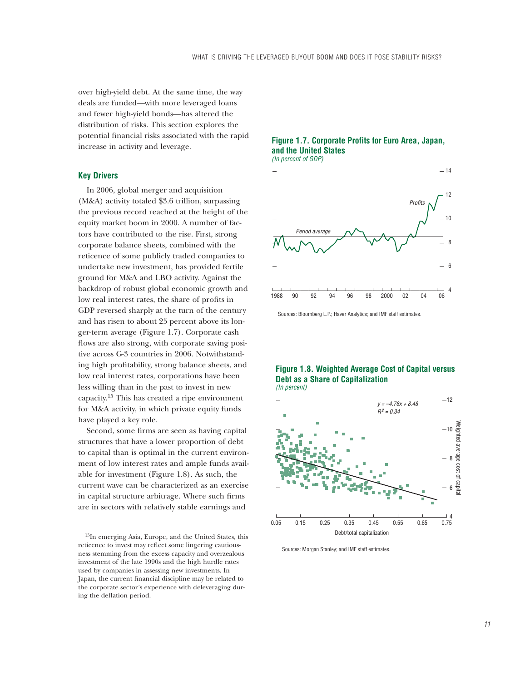over high-yield debt. At the same time, the way deals are funded—with more leveraged loans and fewer high-yield bonds—has altered the distribution of risks. This section explores the potential financial risks associated with the rapid increase in activity and leverage.

# **Key Drivers**

In 2006, global merger and acquisition (M&A) activity totaled \$3.6 trillion, surpassing the previous record reached at the height of the equity market boom in 2000. A number of factors have contributed to the rise. First, strong corporate balance sheets, combined with the reticence of some publicly traded companies to undertake new investment, has provided fertile ground for M&A and LBO activity. Against the backdrop of robust global economic growth and low real interest rates, the share of profits in GDP reversed sharply at the turn of the century and has risen to about 25 percent above its longer-term average (Figure 1.7). Corporate cash flows are also strong, with corporate saving positive across G-3 countries in 2006. Notwithstanding high profitability, strong balance sheets, and low real interest rates, corporations have been less willing than in the past to invest in new capacity.15 This has created a ripe environment for M&A activity, in which private equity funds have played a key role.

Second, some firms are seen as having capital structures that have a lower proportion of debt to capital than is optimal in the current environment of low interest rates and ample funds available for investment (Figure 1.8). As such, the current wave can be characterized as an exercise in capital structure arbitrage. Where such firms are in sectors with relatively stable earnings and

**Figure 1.7. Corporate Profits for Euro Area, Japan, and the United States** (In percent of GDP)



Sources: Bloomberg L.P.; Haver Analytics; and IMF staff estimates.





Sources: Morgan Stanley; and IMF staff estimates.

<sup>15</sup>In emerging Asia, Europe, and the United States, this reticence to invest may reflect some lingering cautiousness stemming from the excess capacity and overzealous investment of the late 1990s and the high hurdle rates used by companies in assessing new investments. In Japan, the current financial discipline may be related to the corporate sector's experience with deleveraging during the deflation period.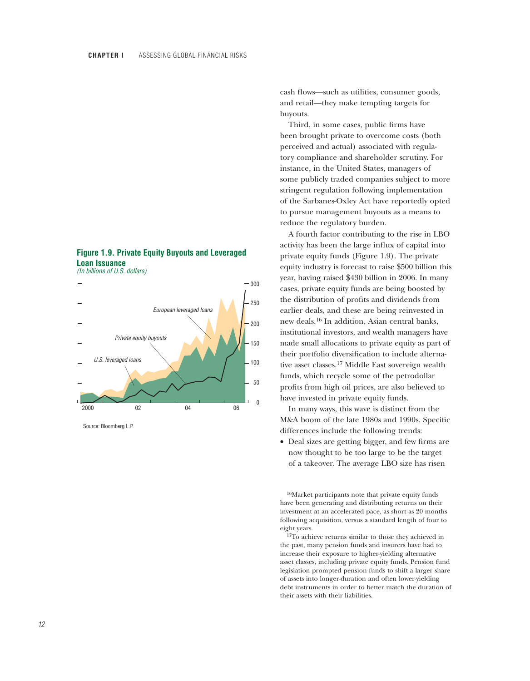

(In billions of U.S. dollars)



Source: Bloomberg L.P.

cash flows—such as utilities, consumer goods, and retail—they make tempting targets for buyouts.

Third, in some cases, public firms have been brought private to overcome costs (both perceived and actual) associated with regulatory compliance and shareholder scrutiny. For instance, in the United States, managers of some publicly traded companies subject to more stringent regulation following implementation of the Sarbanes-Oxley Act have reportedly opted to pursue management buyouts as a means to reduce the regulatory burden.

A fourth factor contributing to the rise in LBO activity has been the large influx of capital into private equity funds (Figure 1.9). The private equity industry is forecast to raise \$500 billion this year, having raised \$430 billion in 2006. In many cases, private equity funds are being boosted by the distribution of profits and dividends from earlier deals, and these are being reinvested in new deals.16 In addition, Asian central banks, institutional investors, and wealth managers have made small allocations to private equity as part of their portfolio diversification to include alternative asset classes.17 Middle East sovereign wealth funds, which recycle some of the petrodollar profits from high oil prices, are also believed to have invested in private equity funds.

In many ways, this wave is distinct from the M&A boom of the late 1980s and 1990s. Specific differences include the following trends:

v Deal sizes are getting bigger, and few firms are now thought to be too large to be the target of a takeover. The average LBO size has risen

16Market participants note that private equity funds have been generating and distributing returns on their investment at an accelerated pace, as short as 20 months following acquisition, versus a standard length of four to eight years.

17To achieve returns similar to those they achieved in the past, many pension funds and insurers have had to increase their exposure to higher-yielding alternative asset classes, including private equity funds. Pension fund legislation prompted pension funds to shift a larger share of assets into longer-duration and often lower-yielding debt instruments in order to better match the duration of their assets with their liabilities.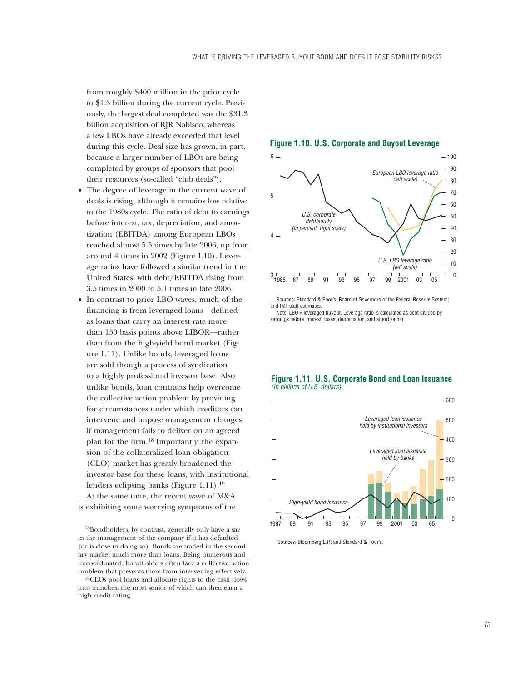from roughly \$400 million in the prior cycle to \$1.3 billion during the current cycle. Previously, the largest deal completed was the \$31.3 billion acquisition of RJR Nabisco, whereas a few LBOs have already exceeded that level during this cycle. Deal size has grown, in part, because a larger number of LBOs are being completed by groups of sponsors that pool their resources (so-called "club deals").

- The degree of leverage in the current wave of deals is rising, although it remains low relative to the 1980s cycle. The ratio of debt to earnings before interest, tax, depreciation, and amortization (EBITDA) among European LBOs reached almost 5.5 times by late 2006, up from around 4 times in 2002 (Figure 1.10). Leverage ratios have followed a similar trend in the United States, with debt/EBITDA rising from 3.5 times in 2000 to 5.1 times in late 2006.
- In contrast to prior LBO waves, much of the financing is from leveraged loans—defined as loans that carry an interest rate more than 150 basis points above LIBOR—rather than from the high-yield bond market (Figure 1.11). Unlike bonds, leveraged loans are sold though a process of syndication to a highly professional investor base. Also unlike bonds, loan contracts help overcome the collective action problem by providing for circumstances under which creditors can intervene and impose management changes if management fails to deliver on an agreed plan for the firm.18 Importantly, the expansion of the collateralized loan obligation (CLO) market has greatly broadened the investor base for these loans, with institutional lenders eclipsing banks (Figure 1.11).19 At the same time, the recent wave of M&A is exhibiting some worrying symptoms of the





Sources: Standard & Poor's; Board of Governors of the Federal Reserve System; and IMF staff estimates.

Note: LBO = leveraged buyout. Leverage ratio is calculated as debt divided by earnings before interest, taxes, depreciation, and amortization.





Sources: Bloomberg L.P.; and Standard & Poor's.

<sup>18</sup>Bondholders, by contrast, generally only have a say in the management of the company if it has defaulted (or is close to doing so). Bonds are traded in the secondary market much more than loans. Being numerous and uncoordinated, bondholders often face a collective action problem that prevents them from intervening effectively.

<sup>19</sup>CLOs pool loans and allocate rights to the cash flows into tranches, the most senior of which can then earn a high credit rating.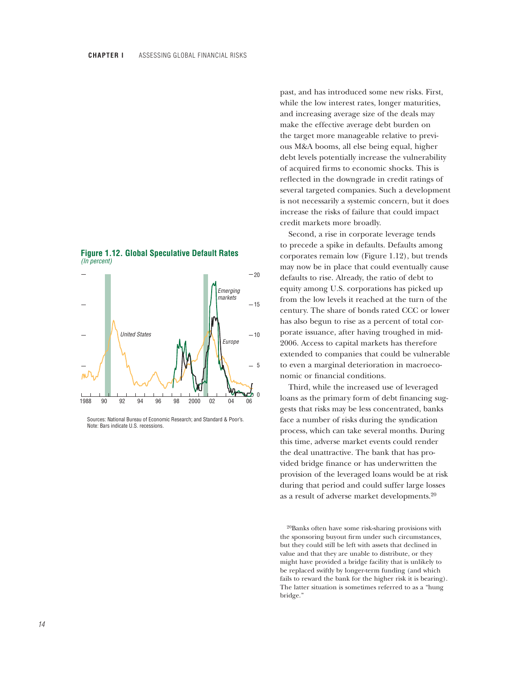



Sources: National Bureau of Economic Research; and Standard & Poor's. Note: Bars indicate U.S. recessions.

past, and has introduced some new risks. First, while the low interest rates, longer maturities, and increasing average size of the deals may make the effective average debt burden on the target more manageable relative to previous M&A booms, all else being equal, higher debt levels potentially increase the vulnerability of acquired firms to economic shocks. This is reflected in the downgrade in credit ratings of several targeted companies. Such a development is not necessarily a systemic concern, but it does increase the risks of failure that could impact credit markets more broadly.

Second, a rise in corporate leverage tends to precede a spike in defaults. Defaults among corporates remain low (Figure 1.12), but trends may now be in place that could eventually cause defaults to rise. Already, the ratio of debt to equity among U.S. corporations has picked up from the low levels it reached at the turn of the century. The share of bonds rated CCC or lower has also begun to rise as a percent of total corporate issuance, after having troughed in mid-2006. Access to capital markets has therefore extended to companies that could be vulnerable to even a marginal deterioration in macroeconomic or financial conditions.

Third, while the increased use of leveraged loans as the primary form of debt financing suggests that risks may be less concentrated, banks face a number of risks during the syndication process, which can take several months. During this time, adverse market events could render the deal unattractive. The bank that has provided bridge finance or has underwritten the provision of the leveraged loans would be at risk during that period and could suffer large losses as a result of adverse market developments.20

20Banks often have some risk-sharing provisions with the sponsoring buyout firm under such circumstances, but they could still be left with assets that declined in value and that they are unable to distribute, or they might have provided a bridge facility that is unlikely to be replaced swiftly by longer-term funding (and which fails to reward the bank for the higher risk it is bearing). The latter situation is sometimes referred to as a "hung bridge."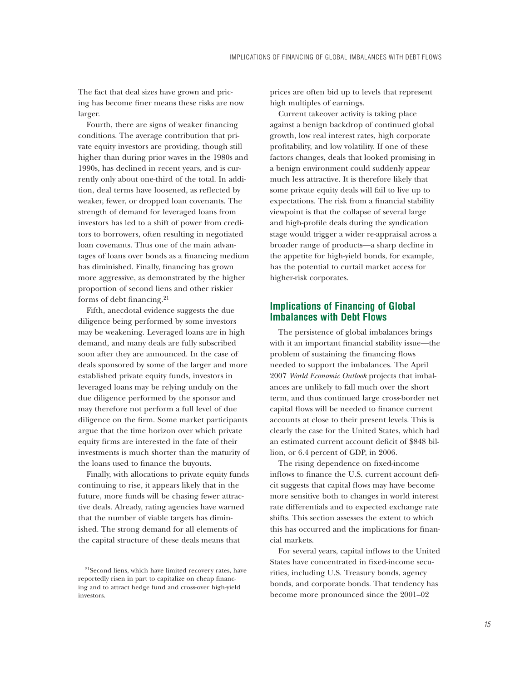The fact that deal sizes have grown and pricing has become finer means these risks are now larger.

Fourth, there are signs of weaker financing conditions. The average contribution that private equity investors are providing, though still higher than during prior waves in the 1980s and 1990s, has declined in recent years, and is currently only about one-third of the total. In addition, deal terms have loosened, as reflected by weaker, fewer, or dropped loan covenants. The strength of demand for leveraged loans from investors has led to a shift of power from creditors to borrowers, often resulting in negotiated loan covenants. Thus one of the main advantages of loans over bonds as a financing medium has diminished. Finally, financing has grown more aggressive, as demonstrated by the higher proportion of second liens and other riskier forms of debt financing.21

Fifth, anecdotal evidence suggests the due diligence being performed by some investors may be weakening. Leveraged loans are in high demand, and many deals are fully subscribed soon after they are announced. In the case of deals sponsored by some of the larger and more established private equity funds, investors in leveraged loans may be relying unduly on the due diligence performed by the sponsor and may therefore not perform a full level of due diligence on the firm. Some market participants argue that the time horizon over which private equity firms are interested in the fate of their investments is much shorter than the maturity of the loans used to finance the buyouts.

Finally, with allocations to private equity funds continuing to rise, it appears likely that in the future, more funds will be chasing fewer attractive deals. Already, rating agencies have warned that the number of viable targets has diminished. The strong demand for all elements of the capital structure of these deals means that

prices are often bid up to levels that represent high multiples of earnings.

Current takeover activity is taking place against a benign backdrop of continued global growth, low real interest rates, high corporate profitability, and low volatility. If one of these factors changes, deals that looked promising in a benign environment could suddenly appear much less attractive. It is therefore likely that some private equity deals will fail to live up to expectations. The risk from a financial stability viewpoint is that the collapse of several large and high-profile deals during the syndication stage would trigger a wider re-appraisal across a broader range of products—a sharp decline in the appetite for high-yield bonds, for example, has the potential to curtail market access for higher-risk corporates.

# **Implications of Financing of Global Imbalances with Debt Flows**

The persistence of global imbalances brings with it an important financial stability issue—the problem of sustaining the financing flows needed to support the imbalances. The April 2007 *World Economic Outlook* projects that imbalances are unlikely to fall much over the short term, and thus continued large cross-border net capital flows will be needed to finance current accounts at close to their present levels. This is clearly the case for the United States, which had an estimated current account deficit of \$848 billion, or 6.4 percent of GDP, in 2006.

The rising dependence on fixed-income inflows to finance the U.S. current account deficit suggests that capital flows may have become more sensitive both to changes in world interest rate differentials and to expected exchange rate shifts. This section assesses the extent to which this has occurred and the implications for financial markets.

For several years, capital inflows to the United States have concentrated in fixed-income securities, including U.S. Treasury bonds, agency bonds, and corporate bonds. That tendency has become more pronounced since the 2001–02

<sup>21</sup>Second liens, which have limited recovery rates, have reportedly risen in part to capitalize on cheap financing and to attract hedge fund and cross-over high-yield investors.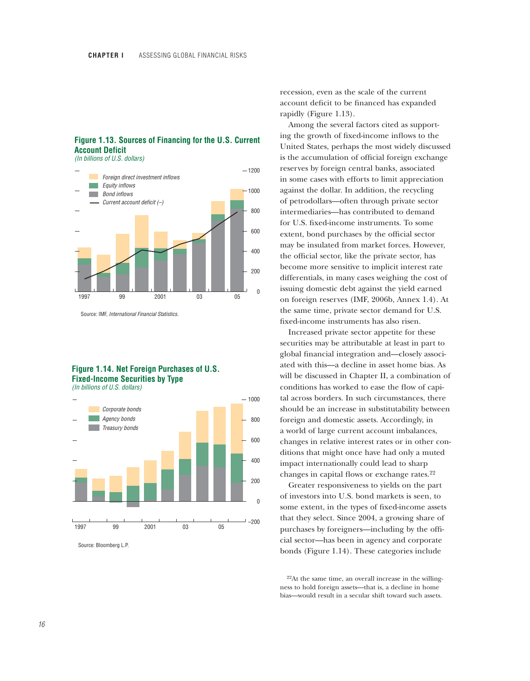

(In billions of U.S. dollars)



Source: IMF, International Financial Statistics.

# **Figure 1.14. Net Foreign Purchases of U.S. Fixed-Income Securities by Type**

(In billions of U.S. dollars)



Source: Bloomberg L.P.

recession, even as the scale of the current account deficit to be financed has expanded rapidly (Figure 1.13).

Among the several factors cited as supporting the growth of fixed-income inflows to the United States, perhaps the most widely discussed is the accumulation of official foreign exchange reserves by foreign central banks, associated in some cases with efforts to limit appreciation against the dollar. In addition, the recycling of petrodollars—often through private sector intermediaries—has contributed to demand for U.S. fixed-income instruments. To some extent, bond purchases by the official sector may be insulated from market forces. However, the official sector, like the private sector, has become more sensitive to implicit interest rate differentials, in many cases weighing the cost of issuing domestic debt against the yield earned on foreign reserves (IMF, 2006b, Annex 1.4). At the same time, private sector demand for U.S. fixed-income instruments has also risen.

Increased private sector appetite for these securities may be attributable at least in part to global financial integration and—closely associated with this—a decline in asset home bias. As will be discussed in Chapter II, a combination of conditions has worked to ease the flow of capital across borders. In such circumstances, there should be an increase in substitutability between foreign and domestic assets. Accordingly, in a world of large current account imbalances, changes in relative interest rates or in other conditions that might once have had only a muted impact internationally could lead to sharp changes in capital flows or exchange rates.<sup>22</sup>

Greater responsiveness to yields on the part of investors into U.S. bond markets is seen, to some extent, in the types of fixed-income assets that they select. Since 2004, a growing share of purchases by foreigners—including by the official sector—has been in agency and corporate bonds (Figure 1.14). These categories include

22At the same time, an overall increase in the willingness to hold foreign assets—that is, a decline in home bias—would result in a secular shift toward such assets.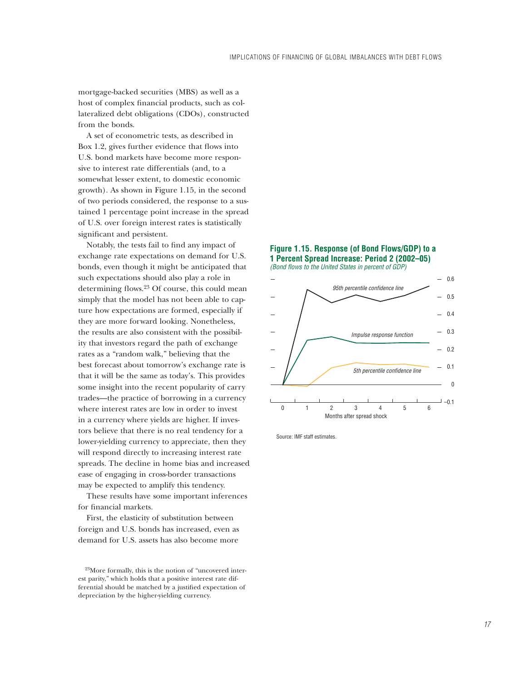mortgage-backed securities (MBS) as well as a host of complex financial products, such as collateralized debt obligations (CDOs), constructed from the bonds.

A set of econometric tests, as described in Box 1.2, gives further evidence that flows into U.S. bond markets have become more responsive to interest rate differentials (and, to a somewhat lesser extent, to domestic economic growth). As shown in Figure 1.15, in the second of two periods considered, the response to a sustained 1 percentage point increase in the spread of U.S. over foreign interest rates is statistically significant and persistent.

Notably, the tests fail to find any impact of exchange rate expectations on demand for U.S. bonds, even though it might be anticipated that such expectations should also play a role in determining flows.23 Of course, this could mean simply that the model has not been able to capture how expectations are formed, especially if they are more forward looking. Nonetheless, the results are also consistent with the possibility that investors regard the path of exchange rates as a "random walk," believing that the best forecast about tomorrow's exchange rate is that it will be the same as today's. This provides some insight into the recent popularity of carry trades—the practice of borrowing in a currency where interest rates are low in order to invest in a currency where yields are higher. If investors believe that there is no real tendency for a lower-yielding currency to appreciate, then they will respond directly to increasing interest rate spreads. The decline in home bias and increased ease of engaging in cross-border transactions may be expected to amplify this tendency.

These results have some important inferences for financial markets.

First, the elasticity of substitution between foreign and U.S. bonds has increased, even as demand for U.S. assets has also become more



(Bond flows to the United States in percent of GDP)



Source: IMF staff estimates.

<sup>23</sup>More formally, this is the notion of "uncovered interest parity," which holds that a positive interest rate differential should be matched by a justified expectation of depreciation by the higher-yielding currency.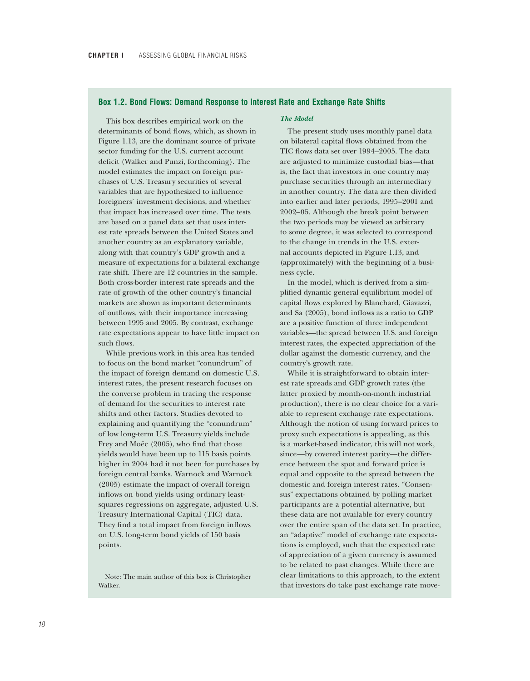### **Box 1.2. Bond Flows: Demand Response to Interest Rate and Exchange Rate Shifts**

This box describes empirical work on the determinants of bond flows, which, as shown in Figure 1.13, are the dominant source of private sector funding for the U.S. current account deficit (Walker and Punzi, forthcoming). The model estimates the impact on foreign purchases of U.S. Treasury securities of several variables that are hypothesized to influence foreigners' investment decisions, and whether that impact has increased over time. The tests are based on a panel data set that uses interest rate spreads between the United States and another country as an explanatory variable, along with that country's GDP growth and a measure of expectations for a bilateral exchange rate shift. There are 12 countries in the sample. Both cross-border interest rate spreads and the rate of growth of the other country's financial markets are shown as important determinants of outflows, with their importance increasing between 1995 and 2005. By contrast, exchange rate expectations appear to have little impact on such flows.

While previous work in this area has tended to focus on the bond market "conundrum" of the impact of foreign demand on domestic U.S. interest rates, the present research focuses on the converse problem in tracing the response of demand for the securities to interest rate shifts and other factors. Studies devoted to explaining and quantifying the "conundrum" of low long-term U.S. Treasury yields include Frey and Moëc (2005), who find that those yields would have been up to 115 basis points higher in 2004 had it not been for purchases by foreign central banks. Warnock and Warnock (2005) estimate the impact of overall foreign inflows on bond yields using ordinary leastsquares regressions on aggregate, adjusted U.S. Treasury International Capital (TIC) data. They find a total impact from foreign inflows on U.S. long-term bond yields of 150 basis points.

Note: The main author of this box is Christopher Walker.

#### *The Model*

The present study uses monthly panel data on bilateral capital flows obtained from the TIC flows data set over 1994–2005. The data are adjusted to minimize custodial bias—that is, the fact that investors in one country may purchase securities through an intermediary in another country. The data are then divided into earlier and later periods, 1995–2001 and 2002–05. Although the break point between the two periods may be viewed as arbitrary to some degree, it was selected to correspond to the change in trends in the U.S. external accounts depicted in Figure 1.13, and (approximately) with the beginning of a business cycle.

In the model, which is derived from a simplified dynamic general equilibrium model of capital flows explored by Blanchard, Giavazzi, and Sa (2005), bond inflows as a ratio to GDP are a positive function of three independent variables—the spread between U.S. and foreign interest rates, the expected appreciation of the dollar against the domestic currency, and the country's growth rate.

While it is straightforward to obtain interest rate spreads and GDP growth rates (the latter proxied by month-on-month industrial production), there is no clear choice for a variable to represent exchange rate expectations. Although the notion of using forward prices to proxy such expectations is appealing, as this is a market-based indicator, this will not work, since—by covered interest parity—the difference between the spot and forward price is equal and opposite to the spread between the domestic and foreign interest rates. "Consensus" expectations obtained by polling market participants are a potential alternative, but these data are not available for every country over the entire span of the data set. In practice, an "adaptive" model of exchange rate expectations is employed, such that the expected rate of appreciation of a given currency is assumed to be related to past changes. While there are clear limitations to this approach, to the extent that investors do take past exchange rate move-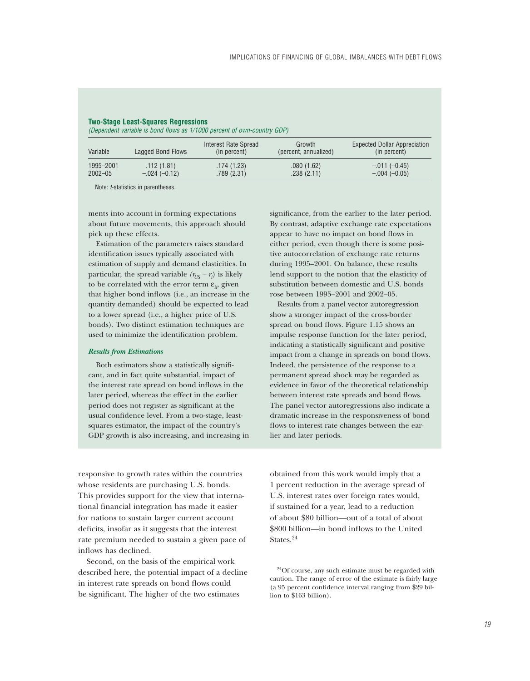| <b>Two-Stage Least-Squares Regressions</b><br>(Dependent variable is bond flows as 1/1000 percent of own-country GDP) |                   |                                      |                                 |                                            |  |  |
|-----------------------------------------------------------------------------------------------------------------------|-------------------|--------------------------------------|---------------------------------|--------------------------------------------|--|--|
| Variable                                                                                                              | Lagged Bond Flows | Interest Rate Spread<br>(in percent) | Growth<br>(percent, annualized) | <b>Expected Dollar App</b><br>(in percent) |  |  |

1995–2001 .112 (1.81) .174 (1.23) .080 (1.62) –.011 (–0.45)  $2002-05$  –.024 (-0.12) .789 (2.31) .238 (2.11) -.004 (-0.05)

Note: *t*-statistics in parentheses.

ments into account in forming expectations about future movements, this approach should pick up these effects.

Estimation of the parameters raises standard identification issues typically associated with estimation of supply and demand elasticities. In particular, the spread variable  $(r_{US} - r_i)$  is likely to be correlated with the error term  $\varepsilon_{ir}$  given that higher bond inflows (i.e., an increase in the quantity demanded) should be expected to lead to a lower spread (i.e., a higher price of U.S. bonds). Two distinct estimation techniques are used to minimize the identification problem.

#### *Results from Estimations*

Both estimators show a statistically significant, and in fact quite substantial, impact of the interest rate spread on bond inflows in the later period, whereas the effect in the earlier period does not register as significant at the usual confidence level. From a two-stage, leastsquares estimator, the impact of the country's GDP growth is also increasing, and increasing in significance, from the earlier to the later period. By contrast, adaptive exchange rate expectations appear to have no impact on bond flows in either period, even though there is some positive autocorrelation of exchange rate returns during 1995–2001. On balance, these results lend support to the notion that the elasticity of substitution between domestic and U.S. bonds rose between 1995–2001 and 2002–05.

r Appreciation

Results from a panel vector autoregression show a stronger impact of the cross-border spread on bond flows. Figure 1.15 shows an impulse response function for the later period, indicating a statistically significant and positive impact from a change in spreads on bond flows. Indeed, the persistence of the response to a permanent spread shock may be regarded as evidence in favor of the theoretical relationship between interest rate spreads and bond flows. The panel vector autoregressions also indicate a dramatic increase in the responsiveness of bond flows to interest rate changes between the earlier and later periods.

responsive to growth rates within the countries whose residents are purchasing U.S. bonds. This provides support for the view that international financial integration has made it easier for nations to sustain larger current account deficits, insofar as it suggests that the interest rate premium needed to sustain a given pace of inflows has declined.

Second, on the basis of the empirical work described here, the potential impact of a decline in interest rate spreads on bond flows could be significant. The higher of the two estimates

obtained from this work would imply that a 1 percent reduction in the average spread of U.S. interest rates over foreign rates would, if sustained for a year, lead to a reduction of about \$80 billion—out of a total of about \$800 billion—in bond inflows to the United States.<sup>24</sup>

<sup>24</sup>Of course, any such estimate must be regarded with caution. The range of error of the estimate is fairly large (a 95 percent confidence interval ranging from \$29 billion to \$163 billion).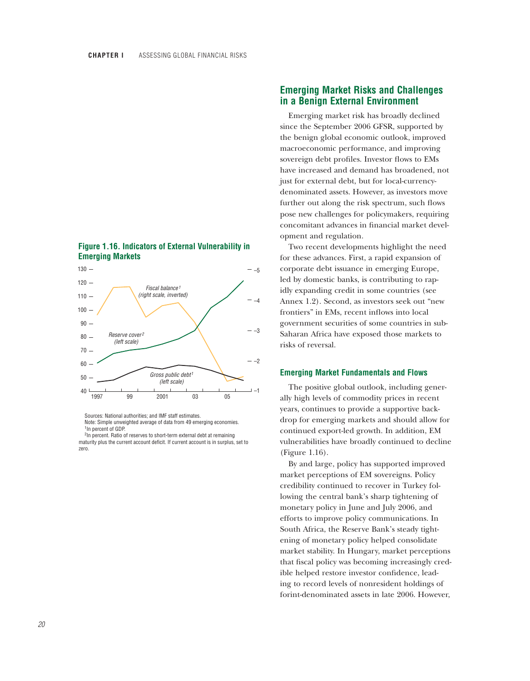



Sources: National authorities; and IMF staff estimates. Note: Simple unweighted average of data from 49 emerging economies. 1In percent of GDP.

<sup>2</sup>In percent. Ratio of reserves to short-term external debt at remaining maturity plus the current account deficit. If current account is in surplus, set to zero.

# **Emerging Market Risks and Challenges in a Benign External Environment**

Emerging market risk has broadly declined since the September 2006 GFSR, supported by the benign global economic outlook, improved macroeconomic performance, and improving sovereign debt profiles. Investor flows to EMs have increased and demand has broadened, not just for external debt, but for local-currencydenominated assets. However, as investors move further out along the risk spectrum, such flows pose new challenges for policymakers, requiring concomitant advances in financial market development and regulation.

Two recent developments highlight the need for these advances. First, a rapid expansion of corporate debt issuance in emerging Europe, led by domestic banks, is contributing to rapidly expanding credit in some countries (see Annex 1.2). Second, as investors seek out "new frontiers" in EMs, recent inflows into local government securities of some countries in sub-Saharan Africa have exposed those markets to risks of reversal.

### **Emerging Market Fundamentals and Flows**

The positive global outlook, including generally high levels of commodity prices in recent years, continues to provide a supportive backdrop for emerging markets and should allow for continued export-led growth. In addition, EM vulnerabilities have broadly continued to decline (Figure 1.16).

By and large, policy has supported improved market perceptions of EM sovereigns. Policy credibility continued to recover in Turkey following the central bank's sharp tightening of monetary policy in June and July 2006, and efforts to improve policy communications. In South Africa, the Reserve Bank's steady tightening of monetary policy helped consolidate market stability. In Hungary, market perceptions that fiscal policy was becoming increasingly credible helped restore investor confidence, leading to record levels of nonresident holdings of forint-denominated assets in late 2006. However,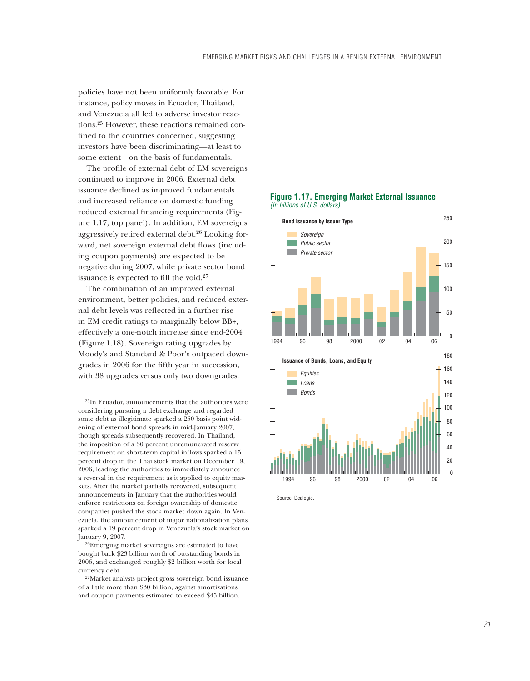policies have not been uniformly favorable. For instance, policy moves in Ecuador, Thailand, and Venezuela all led to adverse investor reactions.25 However, these reactions remained confined to the countries concerned, suggesting investors have been discriminating—at least to some extent—on the basis of fundamentals.

The profile of external debt of EM sovereigns continued to improve in 2006. External debt issuance declined as improved fundamentals and increased reliance on domestic funding reduced external financing requirements (Figure 1.17, top panel). In addition, EM sovereigns aggressively retired external debt.26 Looking forward, net sovereign external debt flows (including coupon payments) are expected to be negative during 2007, while private sector bond issuance is expected to fill the void.27

The combination of an improved external environment, better policies, and reduced external debt levels was reflected in a further rise in EM credit ratings to marginally below BB+, effectively a one-notch increase since end-2004 (Figure 1.18). Sovereign rating upgrades by Moody's and Standard & Poor's outpaced downgrades in 2006 for the fifth year in succession, with 38 upgrades versus only two downgrades.

25In Ecuador, announcements that the authorities were considering pursuing a debt exchange and regarded some debt as illegitimate sparked a 250 basis point widening of external bond spreads in mid-January 2007, though spreads subsequently recovered. In Thailand, the imposition of a 30 percent unremunerated reserve requirement on short-term capital inflows sparked a 15 percent drop in the Thai stock market on December 19, 2006, leading the authorities to immediately announce a reversal in the requirement as it applied to equity markets. After the market partially recovered, subsequent announcements in January that the authorities would enforce restrictions on foreign ownership of domestic companies pushed the stock market down again. In Venezuela, the announcement of major nationalization plans sparked a 19 percent drop in Venezuela's stock market on January 9, 2007.

26Emerging market sovereigns are estimated to have bought back \$23 billion worth of outstanding bonds in 2006, and exchanged roughly \$2 billion worth for local currency debt.

27Market analysts project gross sovereign bond issuance of a little more than \$30 billion, against amortizations and coupon payments estimated to exceed \$45 billion.



# **Figure 1.17. Emerging Market External Issuance** (In billions of U.S. dollars)

Source: Dealogic.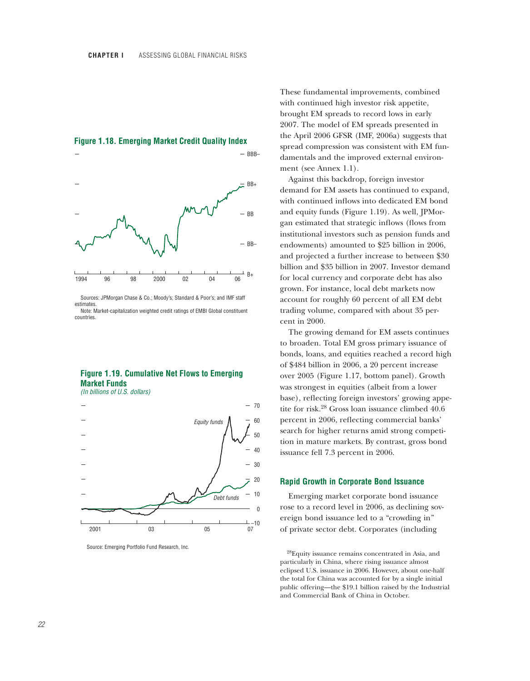

**Figure 1.18. Emerging Market Credit Quality Index**

Sources: JPMorgan Chase & Co.; Moody's; Standard & Poor's; and IMF staff estimates. Note: Market-capitalization weighted credit ratings of EMBI Global constituent

countries.







Source: Emerging Portfolio Fund Research, Inc.

These fundamental improvements, combined with continued high investor risk appetite, brought EM spreads to record lows in early 2007. The model of EM spreads presented in the April 2006 GFSR (IMF, 2006a) suggests that spread compression was consistent with EM fundamentals and the improved external environment (see Annex 1.1).

Against this backdrop, foreign investor demand for EM assets has continued to expand, with continued inflows into dedicated EM bond and equity funds (Figure 1.19). As well, JPMorgan estimated that strategic inflows (flows from institutional investors such as pension funds and endowments) amounted to \$25 billion in 2006, and projected a further increase to between \$30 billion and \$35 billion in 2007. Investor demand for local currency and corporate debt has also grown. For instance, local debt markets now account for roughly 60 percent of all EM debt trading volume, compared with about 35 percent in 2000.

The growing demand for EM assets continues to broaden. Total EM gross primary issuance of bonds, loans, and equities reached a record high of \$484 billion in 2006, a 20 percent increase over 2005 (Figure 1.17, bottom panel). Growth was strongest in equities (albeit from a lower base), reflecting foreign investors' growing appetite for risk.28 Gross loan issuance climbed 40.6 percent in 2006, reflecting commercial banks' search for higher returns amid strong competition in mature markets. By contrast, gross bond issuance fell 7.3 percent in 2006.

### **Rapid Growth in Corporate Bond Issuance**

Emerging market corporate bond issuance rose to a record level in 2006, as declining sovereign bond issuance led to a "crowding in" of private sector debt. Corporates (including

<sup>28</sup>Equity issuance remains concentrated in Asia, and particularly in China, where rising issuance almost eclipsed U.S. issuance in 2006. However, about one-half the total for China was accounted for by a single initial public offering—the \$19.1 billion raised by the Industrial and Commercial Bank of China in October.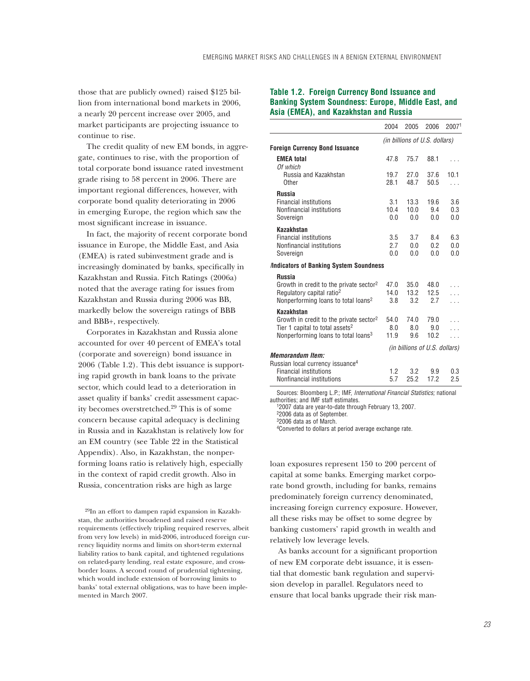those that are publicly owned) raised \$125 billion from international bond markets in 2006, a nearly 20 percent increase over 2005, and market participants are projecting issuance to continue to rise.

The credit quality of new EM bonds, in aggregate, continues to rise, with the proportion of total corporate bond issuance rated investment grade rising to 58 percent in 2006. There are important regional differences, however, with corporate bond quality deteriorating in 2006 in emerging Europe, the region which saw the most significant increase in issuance.

In fact, the majority of recent corporate bond issuance in Europe, the Middle East, and Asia (EMEA) is rated subinvestment grade and is increasingly dominated by banks, specifically in Kazakhstan and Russia. Fitch Ratings (2006a) noted that the average rating for issues from Kazakhstan and Russia during 2006 was BB, markedly below the sovereign ratings of BBB and BBB+, respectively.

Corporates in Kazakhstan and Russia alone accounted for over 40 percent of EMEA's total (corporate and sovereign) bond issuance in 2006 (Table 1.2). This debt issuance is supporting rapid growth in bank loans to the private sector, which could lead to a deterioration in asset quality if banks' credit assessment capacity becomes overstretched.29 This is of some concern because capital adequacy is declining in Russia and in Kazakhstan is relatively low for an EM country (see Table 22 in the Statistical Appendix). Also, in Kazakhstan, the nonperforming loans ratio is relatively high, especially in the context of rapid credit growth. Also in Russia, concentration risks are high as large

29In an effort to dampen rapid expansion in Kazakhstan, the authorities broadened and raised reserve requirements (effectively tripling required reserves, albeit from very low levels) in mid-2006, introduced foreign currency liquidity norms and limits on short-term external liability ratios to bank capital, and tightened regulations on related-party lending, real estate exposure, and crossborder loans. A second round of prudential tightening, which would include extension of borrowing limits to banks' total external obligations, was to have been implemented in March 2007.

# **Table 1.2. Foreign Currency Bond Issuance and Banking System Soundness: Europe, Middle East, and Asia (EMEA), and Kazakhstan and Russia**

|                                                                                                                                                       | 2004                | 2005                          | 2006                | 20071             |
|-------------------------------------------------------------------------------------------------------------------------------------------------------|---------------------|-------------------------------|---------------------|-------------------|
|                                                                                                                                                       |                     | (in billions of U.S. dollars) |                     |                   |
| <b>Foreign Currency Bond Issuance</b>                                                                                                                 |                     |                               |                     |                   |
| <b>EMEA</b> total<br>Of which                                                                                                                         | 47.8                | 75.7                          | 88.1                | .                 |
| Russia and Kazakhstan<br>Other                                                                                                                        | 19.7<br>28.1        | 27.0<br>48.7                  | 37.6<br>50.5        | 10.1<br>.         |
| <b>Russia</b>                                                                                                                                         |                     |                               |                     |                   |
| <b>Financial institutions</b><br>Nonfinancial institutions<br>Sovereian                                                                               | 3.1<br>10.4<br>0.0  | 13.3<br>10.0<br>0.0           | 19.6<br>9.4<br>0.0  | 3.6<br>0.3<br>0.0 |
| Kazakhstan                                                                                                                                            |                     |                               |                     |                   |
| <b>Financial institutions</b><br>Nonfinancial institutions<br>Sovereign                                                                               | 3.5<br>2.7<br>0.0   | 3.7<br>0.0<br>0.0             | 8.4<br>0.2<br>0.0   | 6.3<br>0.0<br>0.0 |
| <b><i>Andicators of Banking System Soundness</i></b>                                                                                                  |                     |                               |                     |                   |
| <b>Russia</b>                                                                                                                                         |                     |                               |                     |                   |
| Growth in credit to the private sector <sup>2</sup><br>Regulatory capital ratio <sup>2</sup><br>Nonperforming loans to total loans <sup>2</sup>       | 47.0<br>14.0<br>3.8 | 35.0<br>13.2<br>3.2           | 48.0<br>12.5<br>2.7 | .<br>.            |
| Kazakhstan                                                                                                                                            |                     |                               |                     |                   |
| Growth in credit to the private sector <sup>2</sup><br>Tier 1 capital to total assets <sup>2</sup><br>Nonperforming loans to total loans <sup>3</sup> | 54.0<br>8.0<br>11.9 | 74.0<br>8.0<br>9.6            | 79.0<br>9.0<br>10.2 | .<br>.            |
|                                                                                                                                                       |                     |                               |                     |                   |
| <b>Memorandum Item:</b>                                                                                                                               |                     | (in billions of U.S. dollars) |                     |                   |
| Russian local currency issuance <sup>4</sup>                                                                                                          |                     |                               |                     |                   |
| <b>Financial institutions</b><br>Nonfinancial institutions                                                                                            | 1.2<br>5.7          | 3.2<br>25.2                   | 99<br>17.2          | 0.3<br>2.5        |

Sources: Bloomberg L.P.; IMF, International Financial Statistics; national authorities; and IMF staff estimates.

12007 data are year-to-date through February 13, 2007.

22006 data as of September.

32006 data as of March.

4Converted to dollars at period average exchange rate.

loan exposures represent 150 to 200 percent of capital at some banks. Emerging market corporate bond growth, including for banks, remains predominately foreign currency denominated, increasing foreign currency exposure. However, all these risks may be offset to some degree by banking customers' rapid growth in wealth and relatively low leverage levels.

As banks account for a significant proportion of new EM corporate debt issuance, it is essential that domestic bank regulation and supervision develop in parallel. Regulators need to ensure that local banks upgrade their risk man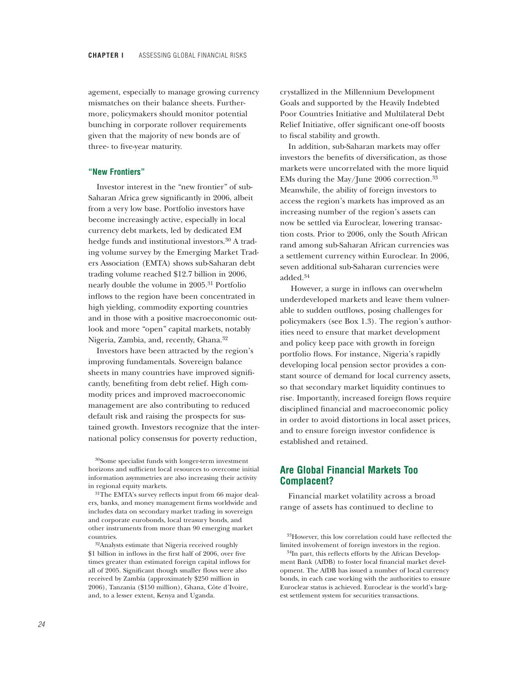agement, especially to manage growing currency mismatches on their balance sheets. Furthermore, policymakers should monitor potential bunching in corporate rollover requirements given that the majority of new bonds are of three- to five-year maturity.

## **"New Frontiers"**

Investor interest in the "new frontier" of sub-Saharan Africa grew significantly in 2006, albeit from a very low base. Portfolio investors have become increasingly active, especially in local currency debt markets, led by dedicated EM hedge funds and institutional investors.30 A trading volume survey by the Emerging Market Traders Association (EMTA) shows sub-Saharan debt trading volume reached \$12.7 billion in 2006, nearly double the volume in 2005.31 Portfolio inflows to the region have been concentrated in high yielding, commodity exporting countries and in those with a positive macroeconomic outlook and more "open" capital markets, notably Nigeria, Zambia, and, recently, Ghana.32

Investors have been attracted by the region's improving fundamentals. Sovereign balance sheets in many countries have improved significantly, benefiting from debt relief. High commodity prices and improved macroeconomic management are also contributing to reduced default risk and raising the prospects for sustained growth. Investors recognize that the international policy consensus for poverty reduction,

31The EMTA's survey reflects input from 66 major dealers, banks, and money management firms worldwide and includes data on secondary market trading in sovereign and corporate eurobonds, local treasury bonds, and other instruments from more than 90 emerging market countries.

32Analysts estimate that Nigeria received roughly \$1 billion in inflows in the first half of 2006, over five times greater than estimated foreign capital inflows for all of 2005. Significant though smaller flows were also received by Zambia (approximately \$250 million in 2006), Tanzania (\$150 million), Ghana, Côte d'Ivoire, and, to a lesser extent, Kenya and Uganda.

crystallized in the Millennium Development Goals and supported by the Heavily Indebted Poor Countries Initiative and Multilateral Debt Relief Initiative, offer significant one-off boosts to fiscal stability and growth.

In addition, sub-Saharan markets may offer investors the benefits of diversification, as those markets were uncorrelated with the more liquid EMs during the May/June 2006 correction.33 Meanwhile, the ability of foreign investors to access the region's markets has improved as an increasing number of the region's assets can now be settled via Euroclear, lowering transaction costs. Prior to 2006, only the South African rand among sub-Saharan African currencies was a settlement currency within Euroclear. In 2006, seven additional sub-Saharan currencies were added.34

 However, a surge in inflows can overwhelm underdeveloped markets and leave them vulnerable to sudden outflows, posing challenges for policymakers (see Box 1.3). The region's authorities need to ensure that market development and policy keep pace with growth in foreign portfolio flows. For instance, Nigeria's rapidly developing local pension sector provides a constant source of demand for local currency assets, so that secondary market liquidity continues to rise. Importantly, increased foreign flows require disciplined financial and macroeconomic policy in order to avoid distortions in local asset prices, and to ensure foreign investor confidence is established and retained.

# **Are Global Financial Markets Too Complacent?**

Financial market volatility across a broad range of assets has continued to decline to

33However, this low correlation could have reflected the limited involvement of foreign investors in the region. 34In part, this reflects efforts by the African Development Bank (AfDB) to foster local financial market development. The AfDB has issued a number of local currency bonds, in each case working with the authorities to ensure Euroclear status is achieved. Euroclear is the world's largest settlement system for securities transactions.

<sup>30</sup>Some specialist funds with longer-term investment horizons and sufficient local resources to overcome initial information asymmetries are also increasing their activity in regional equity markets.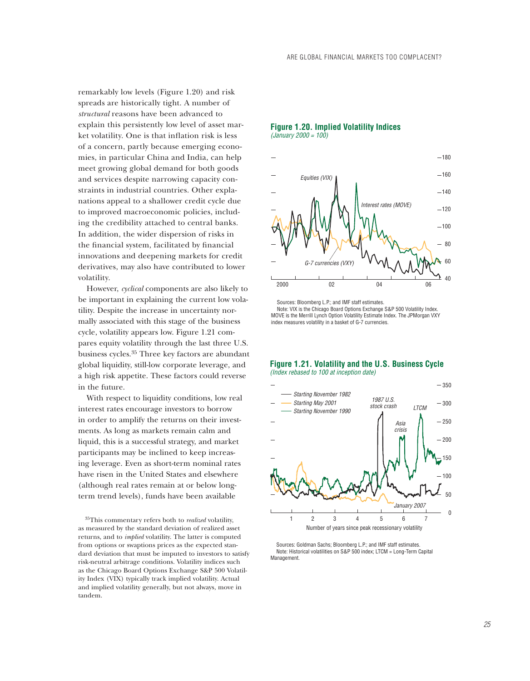remarkably low levels (Figure 1.20) and risk spreads are historically tight. A number of *structural* reasons have been advanced to explain this persistently low level of asset market volatility. One is that inflation risk is less of a concern, partly because emerging economies, in particular China and India, can help meet growing global demand for both goods and services despite narrowing capacity constraints in industrial countries. Other explanations appeal to a shallower credit cycle due to improved macroeconomic policies, including the credibility attached to central banks. In addition, the wider dispersion of risks in the financial system, facilitated by financial innovations and deepening markets for credit derivatives, may also have contributed to lower volatility.

However, *cyclical* components are also likely to be important in explaining the current low volatility. Despite the increase in uncertainty normally associated with this stage of the business cycle, volatility appears low. Figure 1.21 compares equity volatility through the last three U.S. business cycles.35 Three key factors are abundant global liquidity, still-low corporate leverage, and a high risk appetite. These factors could reverse in the future.

With respect to liquidity conditions, low real interest rates encourage investors to borrow in order to amplify the returns on their investments. As long as markets remain calm and liquid, this is a successful strategy, and market participants may be inclined to keep increasing leverage. Even as short-term nominal rates have risen in the United States and elsewhere (although real rates remain at or below longterm trend levels), funds have been available

35This commentary refers both to *realized* volatility, as measured by the standard deviation of realized asset returns, and to *implied* volatility. The latter is computed from options or swaptions prices as the expected standard deviation that must be imputed to investors to satisfy risk-neutral arbitrage conditions. Volatility indices such as the Chicago Board Options Exchange S&P 500 Volatility Index (VIX) typically track implied volatility. Actual and implied volatility generally, but not always, move in tandem.

**Figure 1.20. Implied Volatility Indices**  $(January 2000 = 100)$ 



Sources: Bloomberg L.P.; and IMF staff estimates. Note: VIX is the Chicago Board Options Exchange S&P 500 Volatility Index. MOVE is the Merrill Lynch Option Volatility Estimate Index. The JPMorgan VXY index measures volatility in a basket of G-7 currencies.

**Figure 1.21. Volatility and the U.S. Business Cycle**



Sources: Goldman Sachs; Bloomberg L.P.; and IMF staff estimates. Note: Historical volatilities on S&P 500 index; LTCM = Long-Term Capital Management.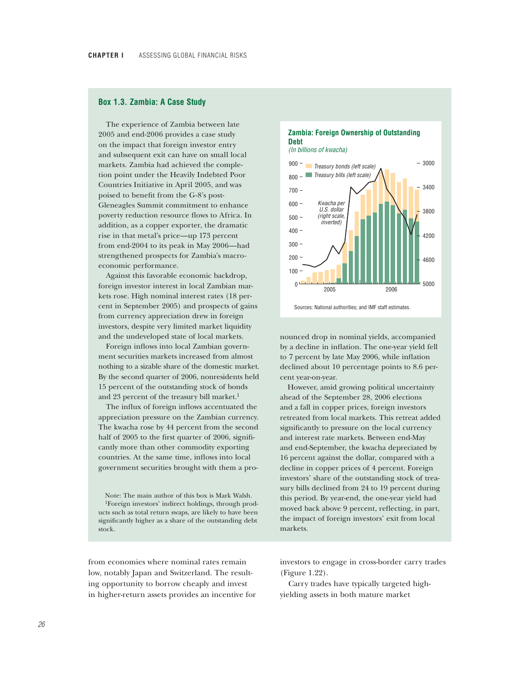### **Box 1.3. Zambia: A Case Study**

The experience of Zambia between late 2005 and end-2006 provides a case study on the impact that foreign investor entry and subsequent exit can have on small local markets. Zambia had achieved the completion point under the Heavily Indebted Poor Countries Initiative in April 2005, and was poised to benefit from the G-8's post-Gleneagles Summit commitment to enhance poverty reduction resource flows to Africa. In addition, as a copper exporter, the dramatic rise in that metal's price—up 173 percent from end-2004 to its peak in May 2006—had strengthened prospects for Zambia's macroeconomic performance.

Against this favorable economic backdrop, foreign investor interest in local Zambian markets rose. High nominal interest rates (18 percent in September 2005) and prospects of gains from currency appreciation drew in foreign investors, despite very limited market liquidity and the undeveloped state of local markets.

Foreign inflows into local Zambian government securities markets increased from almost nothing to a sizable share of the domestic market. By the second quarter of 2006, nonresidents held 15 percent of the outstanding stock of bonds and 23 percent of the treasury bill market.<sup>1</sup>

The influx of foreign inflows accentuated the appreciation pressure on the Zambian currency. The kwacha rose by 44 percent from the second half of 2005 to the first quarter of 2006, significantly more than other commodity exporting countries. At the same time, inflows into local government securities brought with them a pro-

Note: The main author of this box is Mark Walsh. 1Foreign investors' indirect holdings, through products such as total return swaps, are likely to have been significantly higher as a share of the outstanding debt stock.

# **Zambia: Foreign Ownership of Outstanding Debt**







nounced drop in nominal yields, accompanied by a decline in inflation. The one-year yield fell to 7 percent by late May 2006, while inflation declined about 10 percentage points to 8.6 percent year-on-year.

However, amid growing political uncertainty ahead of the September 28, 2006 elections and a fall in copper prices, foreign investors retreated from local markets. This retreat added significantly to pressure on the local currency and interest rate markets. Between end-May and end-September, the kwacha depreciated by 16 percent against the dollar, compared with a decline in copper prices of 4 percent. Foreign investors' share of the outstanding stock of treasury bills declined from 24 to 19 percent during this period. By year-end, the one-year yield had moved back above 9 percent, reflecting, in part, the impact of foreign investors' exit from local markets.

from economies where nominal rates remain low, notably Japan and Switzerland. The resulting opportunity to borrow cheaply and invest in higher-return assets provides an incentive for investors to engage in cross-border carry trades (Figure 1.22).

Carry trades have typically targeted highyielding assets in both mature market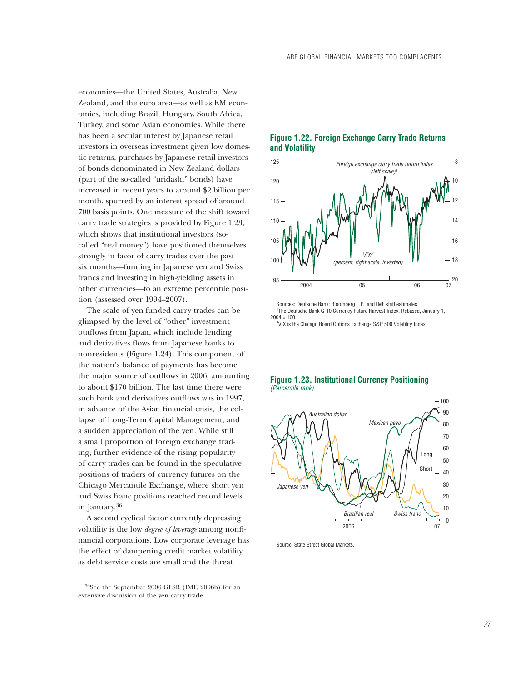economies—the United States, Australia, New Zealand, and the euro area—as well as EM economies, including Brazil, Hungary, South Africa, Turkey, and some Asian economies. While there has been a secular interest by Japanese retail investors in overseas investment given low domestic returns, purchases by Japanese retail investors of bonds denominated in New Zealand dollars (part of the so-called "uridashi" bonds) have increased in recent years to around \$2 billion per month, spurred by an interest spread of around 700 basis points. One measure of the shift toward carry trade strategies is provided by Figure 1.23, which shows that institutional investors (socalled "real money") have positioned themselves strongly in favor of carry trades over the past six months—funding in Japanese yen and Swiss francs and investing in high-yielding assets in other currencies—to an extreme percentile position (assessed over 1994–2007).

The scale of yen-funded carry trades can be glimpsed by the level of "other" investment outflows from Japan, which include lending and derivatives flows from Japanese banks to nonresidents (Figure 1.24). This component of the nation's balance of payments has become the major source of outflows in 2006, amounting to about \$170 billion. The last time there were such bank and derivatives outflows was in 1997, in advance of the Asian financial crisis, the collapse of Long-Term Capital Management, and a sudden appreciation of the yen. While still a small proportion of foreign exchange trading, further evidence of the rising popularity of carry trades can be found in the speculative positions of traders of currency futures on the Chicago Mercantile Exchange, where short yen and Swiss franc positions reached record levels in January.36

A second cyclical factor currently depressing volatility is the low *degree of leverage* among nonfinancial corporations. Low corporate leverage has the effect of dampening credit market volatility, as debt service costs are small and the threat

36See the September 2006 GFSR (IMF, 2006b) for an extensive discussion of the yen carry trade.



# **Figure 1.22. Foreign Exchange Carry Trade Returns and Volatility**

Sources: Deutsche Bank; Bloomberg L.P.; and IMF staff estimates. 1The Deutsche Bank G-10 Currency Future Harvest Index. Rebased, January 1,  $2004 = 100$ .

2VIX is the Chicago Board Options Exchange S&P 500 Volatility Index.



### **Figure 1.23. Institutional Currency Positioning** (Percentile rank)

Source: State Street Global Markets.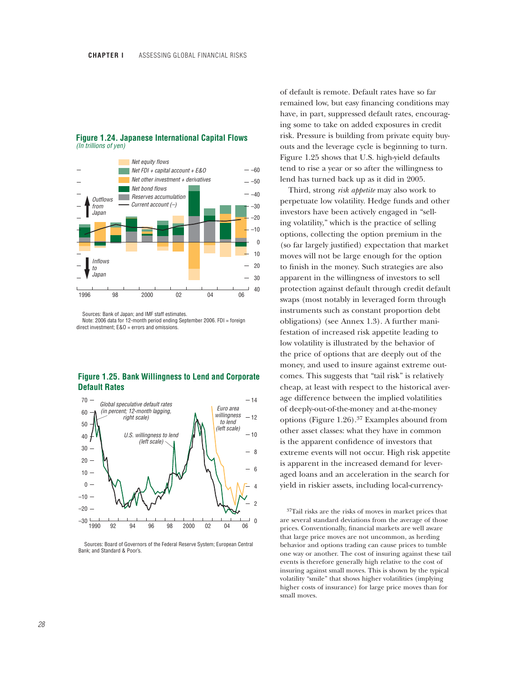

#### **Figure 1.24. Japanese International Capital Flows** (In trillions of yen)

Sources: Bank of Japan; and IMF staff estimates. Note: 2006 data for 12-month period ending September 2006. FDI = foreign direct investment;  $E & 0 =$  errors and omissions.

#### –30 –20  $-10 \Omega$   $-$ 10 20 30  $40 f$ 50 60 70 0  $\overline{2}$ 4 6 8  $-10$  $-12$  $\frac{-14}{\text{Global speculative default rates}}$ (in percent; 12-month lagging, right scale) U.S. willingness to lend (left scale) Euro area willingness to lend (left scale) 1990 92 94 96 98 2000 02 04 06 **Default Rates**

**Figure 1.25. Bank Willingness to Lend and Corporate**

#### Sources: Board of Governors of the Federal Reserve System; European Central Bank; and Standard & Poor's.

of default is remote. Default rates have so far remained low, but easy financing conditions may have, in part, suppressed default rates, encouraging some to take on added exposures in credit risk. Pressure is building from private equity buyouts and the leverage cycle is beginning to turn. Figure 1.25 shows that U.S. high-yield defaults tend to rise a year or so after the willingness to lend has turned back up as it did in 2005.

Third, strong *risk appetite* may also work to perpetuate low volatility. Hedge funds and other investors have been actively engaged in "selling volatility," which is the practice of selling options, collecting the option premium in the (so far largely justified) expectation that market moves will not be large enough for the option to finish in the money. Such strategies are also apparent in the willingness of investors to sell protection against default through credit default swaps (most notably in leveraged form through instruments such as constant proportion debt obligations) (see Annex 1.3). A further manifestation of increased risk appetite leading to low volatility is illustrated by the behavior of the price of options that are deeply out of the money, and used to insure against extreme outcomes. This suggests that "tail risk" is relatively cheap, at least with respect to the historical average difference between the implied volatilities of deeply-out-of-the-money and at-the-money options (Figure 1.26). $37$  Examples abound from other asset classes: what they have in common is the apparent confidence of investors that extreme events will not occur. High risk appetite is apparent in the increased demand for leveraged loans and an acceleration in the search for yield in riskier assets, including local-currency-

37Tail risks are the risks of moves in market prices that are several standard deviations from the average of those prices. Conventionally, financial markets are well aware that large price moves are not uncommon, as herding behavior and options trading can cause prices to tumble one way or another. The cost of insuring against these tail events is therefore generally high relative to the cost of insuring against small moves. This is shown by the typical volatility "smile" that shows higher volatilities (implying higher costs of insurance) for large price moves than for small moves.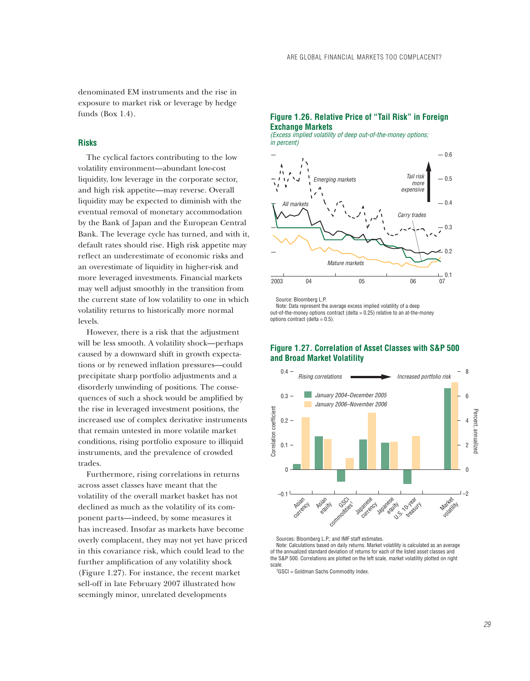denominated EM instruments and the rise in exposure to market risk or leverage by hedge funds (Box 1.4).

### **Risks**

The cyclical factors contributing to the low volatility environment—abundant low-cost liquidity, low leverage in the corporate sector, and high risk appetite—may reverse. Overall liquidity may be expected to diminish with the eventual removal of monetary accommodation by the Bank of Japan and the European Central Bank. The leverage cycle has turned, and with it, default rates should rise. High risk appetite may reflect an underestimate of economic risks and an overestimate of liquidity in higher-risk and more leveraged investments. Financial markets may well adjust smoothly in the transition from the current state of low volatility to one in which volatility returns to historically more normal levels.

However, there is a risk that the adjustment will be less smooth. A volatility shock—perhaps caused by a downward shift in growth expectations or by renewed inflation pressures—could precipitate sharp portfolio adjustments and a disorderly unwinding of positions. The consequences of such a shock would be amplified by the rise in leveraged investment positions, the increased use of complex derivative instruments that remain untested in more volatile market conditions, rising portfolio exposure to illiquid instruments, and the prevalence of crowded trades.

Furthermore, rising correlations in returns across asset classes have meant that the volatility of the overall market basket has not declined as much as the volatility of its component parts—indeed, by some measures it has increased. Insofar as markets have become overly complacent, they may not yet have priced in this covariance risk, which could lead to the further amplification of any volatility shock (Figure 1.27). For instance, the recent market sell-off in late February 2007 illustrated how seemingly minor, unrelated developments

### **Figure 1.26. Relative Price of "Tail Risk" in Foreign Exchange Markets**

(Excess implied volatility of deep out-of-the-money options; in percent)



Source: Bloomberg L.P.

Note: Data represent the average excess implied volatility of a deep out-of-the-money options contract (delta = 0.25) relative to an at-the-money options contract (delta = 0.5).



# **Figure 1.27. Correlation of Asset Classes with S&P 500 and Broad Market Volatility**

Sources: Bloomberg L.P.; and IMF staff estimates.

Note: Calculations based on daily returns. Market volatility is calculated as an average of the annualized standard deviation of returns for each of the listed asset classes and the S&P 500. Correlations are plotted on the left scale, market volatility plotted on right scale.

1GSCI = Goldman Sachs Commodity Index.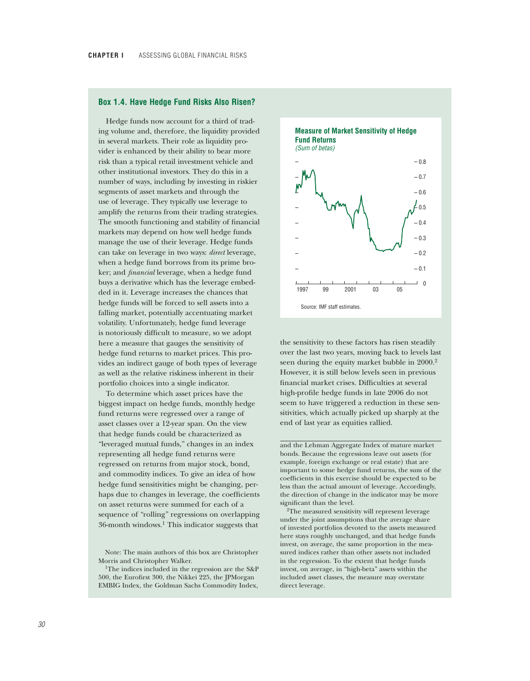### **Box 1.4. Have Hedge Fund Risks Also Risen?**

Hedge funds now account for a third of trading volume and, therefore, the liquidity provided in several markets. Their role as liquidity provider is enhanced by their ability to bear more risk than a typical retail investment vehicle and other institutional investors. They do this in a number of ways, including by investing in riskier segments of asset markets and through the use of leverage. They typically use leverage to amplify the returns from their trading strategies. The smooth functioning and stability of financial markets may depend on how well hedge funds manage the use of their leverage. Hedge funds can take on leverage in two ways: *direct* leverage, when a hedge fund borrows from its prime broker; and *financial* leverage, when a hedge fund buys a derivative which has the leverage embedded in it. Leverage increases the chances that hedge funds will be forced to sell assets into a falling market, potentially accentuating market volatility. Unfortunately, hedge fund leverage is notoriously difficult to measure, so we adopt here a measure that gauges the sensitivity of hedge fund returns to market prices. This provides an indirect gauge of both types of leverage as well as the relative riskiness inherent in their portfolio choices into a single indicator.

To determine which asset prices have the biggest impact on hedge funds, monthly hedge fund returns were regressed over a range of asset classes over a 12-year span. On the view that hedge funds could be characterized as "leveraged mutual funds," changes in an index representing all hedge fund returns were regressed on returns from major stock, bond, and commodity indices. To give an idea of how hedge fund sensitivities might be changing, perhaps due to changes in leverage, the coefficients on asset returns were summed for each of a sequence of "rolling" regressions on overlapping  $36$ -month windows.<sup>1</sup> This indicator suggests that

Note: The main authors of this box are Christopher Morris and Christopher Walker.

1The indices included in the regression are the S&P 500, the Eurofirst 300, the Nikkei 225, the JPMorgan EMBIG Index, the Goldman Sachs Commodity Index,



the sensitivity to these factors has risen steadily over the last two years, moving back to levels last seen during the equity market bubble in 2000.<sup>2</sup> However, it is still below levels seen in previous financial market crises. Difficulties at several high-profile hedge funds in late 2006 do not seem to have triggered a reduction in these sensitivities, which actually picked up sharply at the end of last year as equities rallied.

and the Lehman Aggregate Index of mature market bonds. Because the regressions leave out assets (for example, foreign exchange or real estate) that are important to some hedge fund returns, the sum of the coefficients in this exercise should be expected to be less than the actual amount of leverage. Accordingly, the direction of change in the indicator may be more significant than the level.

<sup>2</sup>The measured sensitivity will represent leverage under the joint assumptions that the average share of invested portfolios devoted to the assets measured here stays roughly unchanged, and that hedge funds invest, on average, the same proportion in the measured indices rather than other assets not included in the regression. To the extent that hedge funds invest, on average, in "high-beta" assets within the included asset classes, the measure may overstate direct leverage.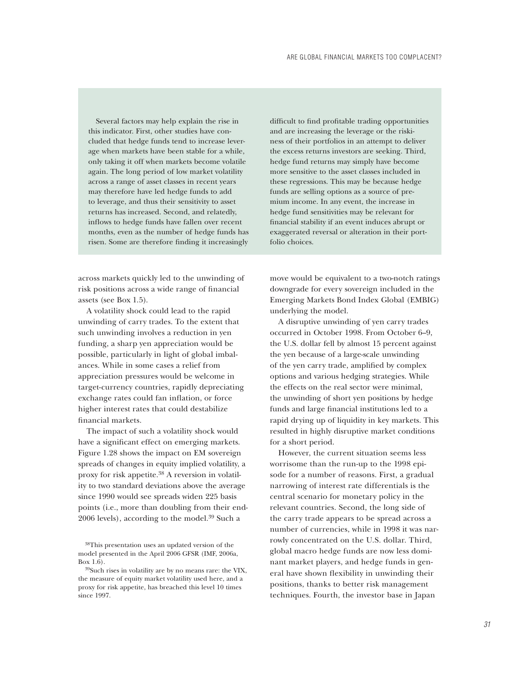Several factors may help explain the rise in this indicator. First, other studies have concluded that hedge funds tend to increase leverage when markets have been stable for a while, only taking it off when markets become volatile again. The long period of low market volatility across a range of asset classes in recent years may therefore have led hedge funds to add to leverage, and thus their sensitivity to asset returns has increased. Second, and relatedly, inflows to hedge funds have fallen over recent months, even as the number of hedge funds has risen. Some are therefore finding it increasingly

across markets quickly led to the unwinding of risk positions across a wide range of financial assets (see Box 1.5).

A volatility shock could lead to the rapid unwinding of carry trades. To the extent that such unwinding involves a reduction in yen funding, a sharp yen appreciation would be possible, particularly in light of global imbalances. While in some cases a relief from appreciation pressures would be welcome in target-currency countries, rapidly depreciating exchange rates could fan inflation, or force higher interest rates that could destabilize financial markets.

The impact of such a volatility shock would have a significant effect on emerging markets. Figure 1.28 shows the impact on EM sovereign spreads of changes in equity implied volatility, a proxy for risk appetite.38 A reversion in volatility to two standard deviations above the average since 1990 would see spreads widen 225 basis points (i.e., more than doubling from their end-2006 levels), according to the model.39 Such a

difficult to find profitable trading opportunities and are increasing the leverage or the riskiness of their portfolios in an attempt to deliver the excess returns investors are seeking. Third, hedge fund returns may simply have become more sensitive to the asset classes included in these regressions. This may be because hedge funds are selling options as a source of premium income. In any event, the increase in hedge fund sensitivities may be relevant for financial stability if an event induces abrupt or exaggerated reversal or alteration in their portfolio choices.

move would be equivalent to a two-notch ratings downgrade for every sovereign included in the Emerging Markets Bond Index Global (EMBIG) underlying the model.

A disruptive unwinding of yen carry trades occurred in October 1998. From October 6–9, the U.S. dollar fell by almost 15 percent against the yen because of a large-scale unwinding of the yen carry trade, amplified by complex options and various hedging strategies. While the effects on the real sector were minimal, the unwinding of short yen positions by hedge funds and large financial institutions led to a rapid drying up of liquidity in key markets. This resulted in highly disruptive market conditions for a short period.

However, the current situation seems less worrisome than the run-up to the 1998 episode for a number of reasons. First, a gradual narrowing of interest rate differentials is the central scenario for monetary policy in the relevant countries. Second, the long side of the carry trade appears to be spread across a number of currencies, while in 1998 it was narrowly concentrated on the U.S. dollar. Third, global macro hedge funds are now less dominant market players, and hedge funds in general have shown flexibility in unwinding their positions, thanks to better risk management techniques. Fourth, the investor base in Japan

<sup>38</sup>This presentation uses an updated version of the model presented in the April 2006 GFSR (IMF, 2006a, Box 1.6).

<sup>39</sup>Such rises in volatility are by no means rare: the VIX, the measure of equity market volatility used here, and a proxy for risk appetite, has breached this level 10 times since 1997.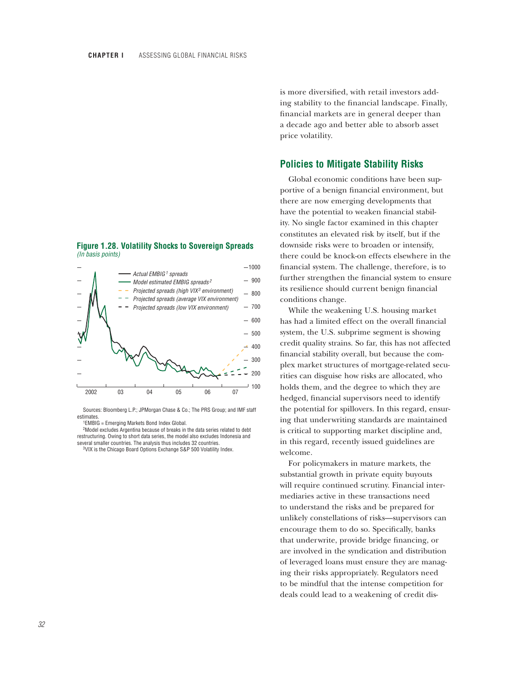



Sources: Bloomberg L.P.; JPMorgan Chase & Co.; The PRS Group; and IMF staff estimates.

1EMBIG = Emerging Markets Bond Index Global.

2Model excludes Argentina because of breaks in the data series related to debt restructuring. Owing to short data series, the model also excludes Indonesia and several smaller countries. The analysis thus includes 32 countries.

3VIX is the Chicago Board Options Exchange S&P 500 Volatility Index.

is more diversified, with retail investors adding stability to the financial landscape. Finally, financial markets are in general deeper than a decade ago and better able to absorb asset price volatility.

# **Policies to Mitigate Stability Risks**

Global economic conditions have been supportive of a benign financial environment, but there are now emerging developments that have the potential to weaken financial stability. No single factor examined in this chapter constitutes an elevated risk by itself, but if the downside risks were to broaden or intensify, there could be knock-on effects elsewhere in the financial system. The challenge, therefore, is to further strengthen the financial system to ensure its resilience should current benign financial conditions change.

While the weakening U.S. housing market has had a limited effect on the overall financial system, the U.S. subprime segment is showing credit quality strains. So far, this has not affected financial stability overall, but because the complex market structures of mortgage-related securities can disguise how risks are allocated, who holds them, and the degree to which they are hedged, financial supervisors need to identify the potential for spillovers. In this regard, ensuring that underwriting standards are maintained is critical to supporting market discipline and, in this regard, recently issued guidelines are welcome.

For policymakers in mature markets, the substantial growth in private equity buyouts will require continued scrutiny. Financial intermediaries active in these transactions need to understand the risks and be prepared for unlikely constellations of risks—supervisors can encourage them to do so. Specifically, banks that underwrite, provide bridge financing, or are involved in the syndication and distribution of leveraged loans must ensure they are managing their risks appropriately. Regulators need to be mindful that the intense competition for deals could lead to a weakening of credit dis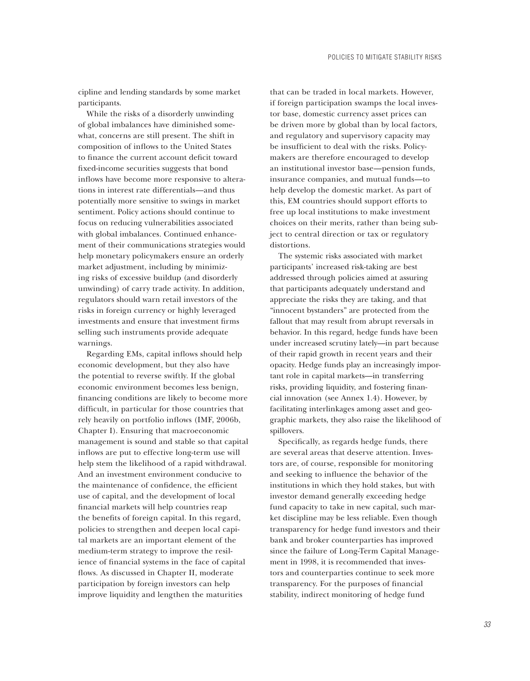cipline and lending standards by some market participants.

While the risks of a disorderly unwinding of global imbalances have diminished somewhat, concerns are still present. The shift in composition of inflows to the United States to finance the current account deficit toward fixed-income securities suggests that bond inflows have become more responsive to alterations in interest rate differentials—and thus potentially more sensitive to swings in market sentiment. Policy actions should continue to focus on reducing vulnerabilities associated with global imbalances. Continued enhancement of their communications strategies would help monetary policymakers ensure an orderly market adjustment, including by minimizing risks of excessive buildup (and disorderly unwinding) of carry trade activity. In addition, regulators should warn retail investors of the risks in foreign currency or highly leveraged investments and ensure that investment firms selling such instruments provide adequate warnings.

Regarding EMs, capital inflows should help economic development, but they also have the potential to reverse swiftly. If the global economic environment becomes less benign, financing conditions are likely to become more difficult, in particular for those countries that rely heavily on portfolio inflows (IMF, 2006b, Chapter I). Ensuring that macroeconomic management is sound and stable so that capital inflows are put to effective long-term use will help stem the likelihood of a rapid withdrawal. And an investment environment conducive to the maintenance of confidence, the efficient use of capital, and the development of local financial markets will help countries reap the benefits of foreign capital. In this regard, policies to strengthen and deepen local capital markets are an important element of the medium-term strategy to improve the resilience of financial systems in the face of capital flows. As discussed in Chapter II, moderate participation by foreign investors can help improve liquidity and lengthen the maturities

that can be traded in local markets. However, if foreign participation swamps the local investor base, domestic currency asset prices can be driven more by global than by local factors, and regulatory and supervisory capacity may be insufficient to deal with the risks. Policymakers are therefore encouraged to develop an institutional investor base—pension funds, insurance companies, and mutual funds—to help develop the domestic market. As part of this, EM countries should support efforts to free up local institutions to make investment choices on their merits, rather than being subject to central direction or tax or regulatory distortions.

The systemic risks associated with market participants' increased risk-taking are best addressed through policies aimed at assuring that participants adequately understand and appreciate the risks they are taking, and that "innocent bystanders" are protected from the fallout that may result from abrupt reversals in behavior. In this regard, hedge funds have been under increased scrutiny lately—in part because of their rapid growth in recent years and their opacity. Hedge funds play an increasingly important role in capital markets—in transferring risks, providing liquidity, and fostering financial innovation (see Annex 1.4). However, by facilitating interlinkages among asset and geographic markets, they also raise the likelihood of spillovers.

Specifically, as regards hedge funds, there are several areas that deserve attention. Investors are, of course, responsible for monitoring and seeking to influence the behavior of the institutions in which they hold stakes, but with investor demand generally exceeding hedge fund capacity to take in new capital, such market discipline may be less reliable. Even though transparency for hedge fund investors and their bank and broker counterparties has improved since the failure of Long-Term Capital Management in 1998, it is recommended that investors and counterparties continue to seek more transparency. For the purposes of financial stability, indirect monitoring of hedge fund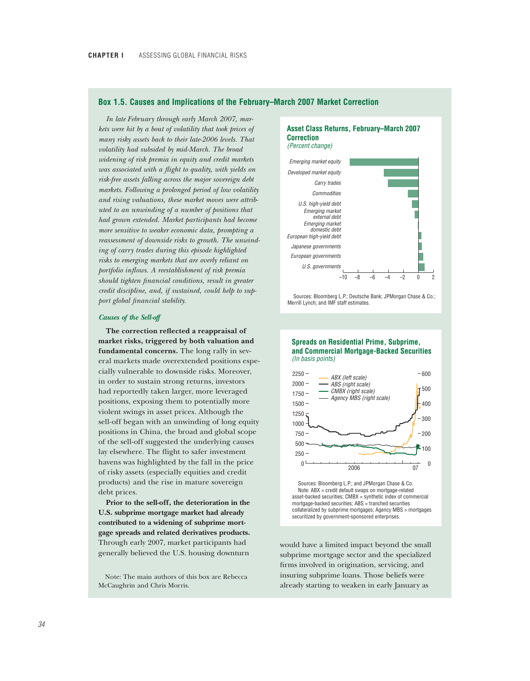### **Box 1.5. Causes and Implications of the February–March 2007 Market Correction**

*In late February through early March 2007, markets were hit by a bout of volatility that took prices of many risky assets back to their late-2006 levels. That volatility had subsided by mid-March. The broad widening of risk premia in equity and credit markets was associated with a flight to quality, with yields on risk-free assets falling across the major sovereign debt markets. Following a prolonged period of low volatility and rising valuations, these market moves were attributed to an unwinding of a number of positions that had grown extended. Market participants had become more sensitive to weaker economic data, prompting a reassessment of downside risks to growth. The unwinding of carry trades during this episode highlighted risks to emerging markets that are overly reliant on portfolio inflows. A reestablishment of risk premia should tighten financial conditions, result in greater credit discipline, and, if sustained, could help to support global financial stability.*

#### *Causes of the Sell-off*

**The correction reflected a reappraisal of market risks, triggered by both valuation and fundamental concerns.** The long rally in several markets made overextended positions especially vulnerable to downside risks. Moreover, in order to sustain strong returns, investors had reportedly taken larger, more leveraged positions, exposing them to potentially more violent swings in asset prices. Although the sell-off began with an unwinding of long equity positions in China, the broad and global scope of the sell-off suggested the underlying causes lay elsewhere. The flight to safer investment havens was highlighted by the fall in the price of risky assets (especially equities and credit products) and the rise in mature sovereign debt prices.

**Prior to the sell-off, the deterioration in the U.S. subprime mortgage market had already contributed to a widening of subprime mortgage spreads and related derivatives products.** Through early 2007, market participants had generally believed the U.S. housing downturn

Note: The main authors of this box are Rebecca McCaughrin and Chris Morris.

#### **Asset Class Returns, February–March 2007 Correction** (Percent change)



Sources: Bloomberg L.P.; Deutsche Bank; JPMorgan Chase & Co.; Merrill Lynch; and IMF staff estimates.

#### **Spreads on Residential Prime, Subprime, and Commercial Mortgage-Backed Securities** (In basis points)



Sources: Bloomberg L.P.; and JPMorgan Chase & Co. Note: ABX = credit default swaps on mortgage-related asset-backed securities; CMBX = synthetic index of commercial mortgage-backed securities; ABS = tranched securities collateralized by subprime mortgages; Agency MBS = mortgages securitized by government-sponsored enterprises.

would have a limited impact beyond the small subprime mortgage sector and the specialized firms involved in origination, servicing, and insuring subprime loans. Those beliefs were already starting to weaken in early January as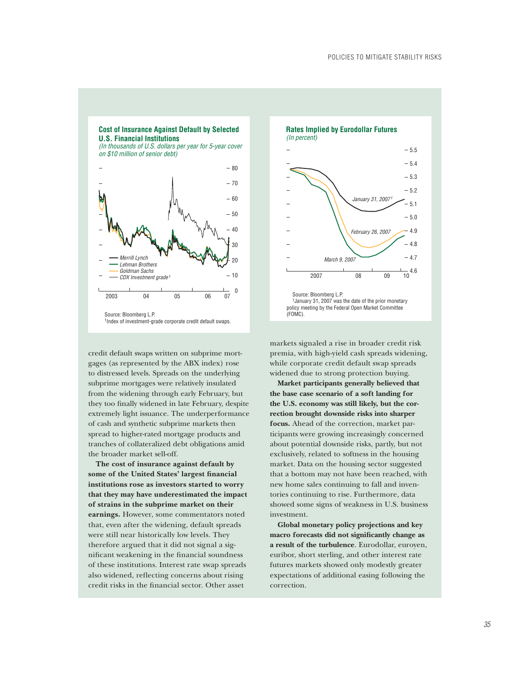

credit default swaps written on subprime mortgages (as represented by the ABX index) rose to distressed levels. Spreads on the underlying subprime mortgages were relatively insulated from the widening through early February, but they too finally widened in late February, despite extremely light issuance. The underperformance of cash and synthetic subprime markets then spread to higher-rated mortgage products and tranches of collateralized debt obligations amid the broader market sell-off.

**The cost of insurance against default by some of the United States' largest financial institutions rose as investors started to worry that they may have underestimated the impact of strains in the subprime market on their earnings.** However, some commentators noted that, even after the widening, default spreads were still near historically low levels. They therefore argued that it did not signal a significant weakening in the financial soundness of these institutions. Interest rate swap spreads also widened, reflecting concerns about rising credit risks in the financial sector. Other asset





markets signaled a rise in broader credit risk premia, with high-yield cash spreads widening, while corporate credit default swap spreads widened due to strong protection buying.

**Market participants generally believed that the base case scenario of a soft landing for the U.S. economy was still likely, but the correction brought downside risks into sharper focus.** Ahead of the correction, market participants were growing increasingly concerned about potential downside risks, partly, but not exclusively, related to softness in the housing market. Data on the housing sector suggested that a bottom may not have been reached, with new home sales continuing to fall and inventories continuing to rise. Furthermore, data showed some signs of weakness in U.S. business investment.

**Global monetary policy projections and key macro forecasts did not significantly change as a result of the turbulence**. Eurodollar, euroyen, euribor, short sterling, and other interest rate futures markets showed only modestly greater expectations of additional easing following the correction.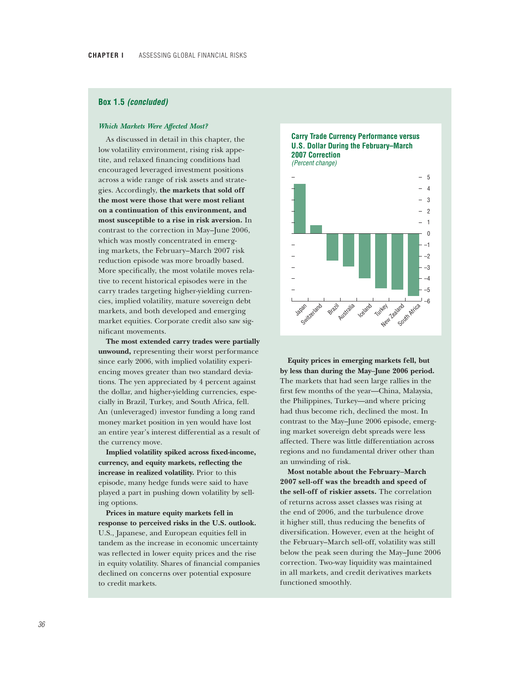# **Box 1.5** *(concluded)*

#### *Which Markets Were Affected Most?*

As discussed in detail in this chapter, the low volatility environment, rising risk appetite, and relaxed financing conditions had encouraged leveraged investment positions across a wide range of risk assets and strategies. Accordingly, **the markets that sold off the most were those that were most reliant on a continuation of this environment, and most susceptible to a rise in risk aversion.** In contrast to the correction in May–June 2006, which was mostly concentrated in emerging markets, the February–March 2007 risk reduction episode was more broadly based. More specifically, the most volatile moves relative to recent historical episodes were in the carry trades targeting higher-yielding currencies, implied volatility, mature sovereign debt markets, and both developed and emerging market equities. Corporate credit also saw significant movements.

**The most extended carry trades were partially unwound,** representing their worst performance since early 2006, with implied volatility experiencing moves greater than two standard deviations. The yen appreciated by 4 percent against the dollar, and higher-yielding currencies, especially in Brazil, Turkey, and South Africa, fell. An (unleveraged) investor funding a long rand money market position in yen would have lost an entire year's interest differential as a result of the currency move.

**Implied volatility spiked across fixed-income, currency, and equity markets, reflecting the increase in realized volatility.** Prior to this episode, many hedge funds were said to have played a part in pushing down volatility by selling options.

**Prices in mature equity markets fell in response to perceived risks in the U.S. outlook.** U.S., Japanese, and European equities fell in tandem as the increase in economic uncertainty was reflected in lower equity prices and the rise in equity volatility. Shares of financial companies declined on concerns over potential exposure to credit markets.





**Equity prices in emerging markets fell, but by less than during the May**–**June 2006 period.** The markets that had seen large rallies in the first few months of the year—China, Malaysia, the Philippines, Turkey—and where pricing had thus become rich, declined the most. In contrast to the May–June 2006 episode, emerging market sovereign debt spreads were less affected. There was little differentiation across regions and no fundamental driver other than an unwinding of risk.

**Most notable about the February**–**March 2007 sell-off was the breadth and speed of the sell-off of riskier assets.** The correlation of returns across asset classes was rising at the end of 2006, and the turbulence drove it higher still, thus reducing the benefits of diversification. However, even at the height of the February–March sell-off, volatility was still below the peak seen during the May–June 2006 correction. Two-way liquidity was maintained in all markets, and credit derivatives markets functioned smoothly.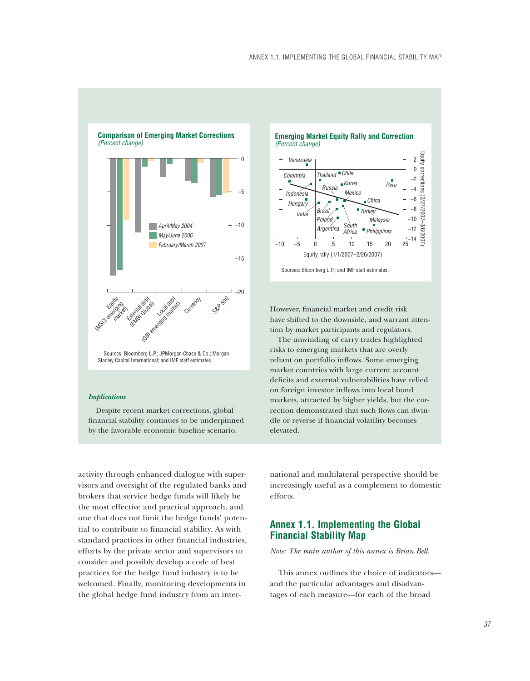

Sources: Bloomberg L.P.; JPMorgan Chase & Co.; Morgan Stanley Capital International; and IMF staff estimates.

### *Implications*

Despite recent market corrections, global financial stability continues to be underpinned by the favorable economic baseline scenario.

activity through enhanced dialogue with supervisors and oversight of the regulated banks and brokers that service hedge funds will likely be the most effective and practical approach, and one that does not limit the hedge funds' potential to contribute to financial stability. As with standard practices in other financial industries, efforts by the private sector and supervisors to consider and possibly develop a code of best practices for the hedge fund industry is to be welcomed. Finally, monitoring developments in the global hedge fund industry from an inter-







However, financial market and credit risk have shifted to the downside, and warrant attention by market participants and regulators.

The unwinding of carry trades highlighted risks to emerging markets that are overly reliant on portfolio inflows. Some emerging market countries with large current account deficits and external vulnerabilities have relied on foreign investor inflows into local bond markets, attracted by higher yields, but the correction demonstrated that such flows can dwindle or reverse if financial volatility becomes elevated.

national and multilateral perspective should be increasingly useful as a complement to domestic efforts.

# **Annex 1.1. Implementing the Global Financial Stability Map**

*Note: The main author of this annex is Brian Bell.*

This annex outlines the choice of indicators and the particular advantages and disadvantages of each measure—for each of the broad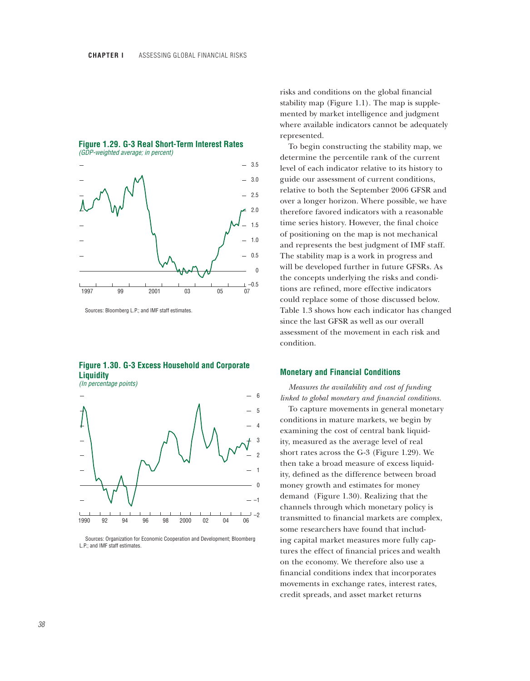



Sources: Bloomberg L.P.; and IMF staff estimates.

# **Figure 1.30. G-3 Excess Household and Corporate Liquidity**

(In percentage points)



Sources: Organization for Economic Cooperation and Development; Bloomberg L.P.; and IMF staff estimates.

risks and conditions on the global financial stability map (Figure 1.1). The map is supplemented by market intelligence and judgment where available indicators cannot be adequately represented.

To begin constructing the stability map, we determine the percentile rank of the current level of each indicator relative to its history to guide our assessment of current conditions, relative to both the September 2006 GFSR and over a longer horizon. Where possible, we have therefore favored indicators with a reasonable time series history. However, the final choice of positioning on the map is not mechanical and represents the best judgment of IMF staff. The stability map is a work in progress and will be developed further in future GFSRs. As the concepts underlying the risks and conditions are refined, more effective indicators could replace some of those discussed below. Table 1.3 shows how each indicator has changed since the last GFSR as well as our overall assessment of the movement in each risk and condition.

#### **Monetary and Financial Conditions**

*Measures the availability and cost of funding linked to global monetary and financial conditions.*

To capture movements in general monetary conditions in mature markets, we begin by examining the cost of central bank liquidity, measured as the average level of real short rates across the G-3 (Figure 1.29). We then take a broad measure of excess liquidity, defined as the difference between broad money growth and estimates for money demand (Figure 1.30). Realizing that the channels through which monetary policy is transmitted to financial markets are complex, some researchers have found that including capital market measures more fully captures the effect of financial prices and wealth on the economy. We therefore also use a financial conditions index that incorporates movements in exchange rates, interest rates, credit spreads, and asset market returns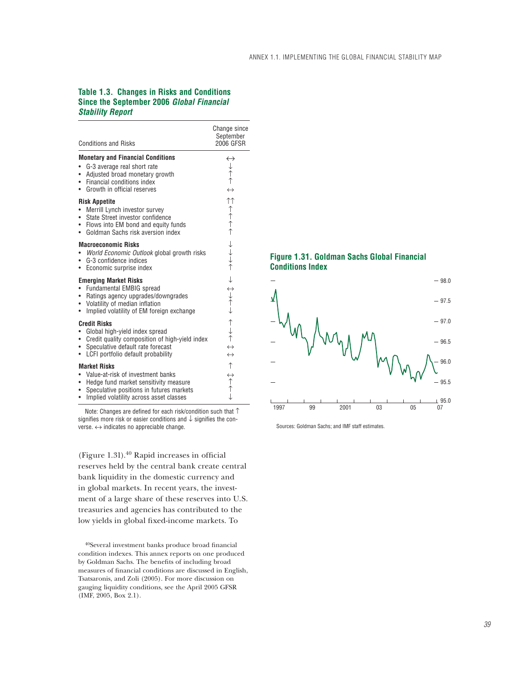# **Table 1.3. Changes in Risks and Conditions Since the September 2006** *Global Financial Stability Report*

| <b>Conditions and Risks</b>                                                                                                                                                                        | <b>Change since</b><br>September<br>2006 GFSR                               |
|----------------------------------------------------------------------------------------------------------------------------------------------------------------------------------------------------|-----------------------------------------------------------------------------|
| <b>Monetary and Financial Conditions</b><br>G-3 average real short rate<br>Adjusted broad monetary growth<br>Financial conditions index<br>Growth in official reserves                             | $\leftrightarrow$<br>$\downarrow$<br>$\uparrow$<br>$\leftrightarrow$        |
| <b>Risk Appetite</b><br>Merrill Lynch investor survey<br>State Street investor confidence<br>Flows into EM bond and equity funds<br>Goldman Sachs risk aversion index                              | $\uparrow \uparrow$<br>↑↑↑↑↑                                                |
| <b>Macroeconomic Risks</b><br>World Economic Outlook global growth risks<br>G-3 confidence indices<br>Economic surprise index<br>٠                                                                 | ナーナー                                                                        |
| <b>Emerging Market Risks</b><br><b>Fundamental EMBIG spread</b><br>Ratings agency upgrades/downgrades<br>Volatility of median inflation<br>Implied volatility of EM foreign exchange               | $\downarrow$<br>$\leftrightarrow$<br>$\downarrow$                           |
| <b>Credit Risks</b><br>Global high-yield index spread<br>Credit quality composition of high-yield index<br>Speculative default rate forecast<br>LCFI portfolio default probability                 | $\uparrow$<br>$\downarrow$<br>$\leftrightarrow$<br>$\leftrightarrow$        |
| <b>Market Risks</b><br>Value-at-risk of investment banks<br>Hedge fund market sensitivity measure<br>Speculative positions in futures markets<br>٠<br>Implied volatility across asset classes<br>٠ | ↑<br>$\begin{array}{c}\n\rightarrow \\ \uparrow \\ \downarrow\n\end{array}$ |

Note: Changes are defined for each risk/condition such that  $\uparrow$ signifies more risk or easier conditions and  $\downarrow$  signifies the converse.  $\leftrightarrow$  indicates no appreciable change.

(Figure 1.31).40 Rapid increases in official reserves held by the central bank create central bank liquidity in the domestic currency and in global markets. In recent years, the investment of a large share of these reserves into U.S. treasuries and agencies has contributed to the low yields in global fixed-income markets. To

40Several investment banks produce broad financial condition indexes. This annex reports on one produced by Goldman Sachs. The benefits of including broad measures of financial conditions are discussed in English, Tsatsaronis, and Zoli (2005). For more discussion on gauging liquidity conditions, see the April 2005 GFSR (IMF, 2005, Box 2.1).

# **Figure 1.31. Goldman Sachs Global Financial Conditions Index**



Sources: Goldman Sachs; and IMF staff estimates.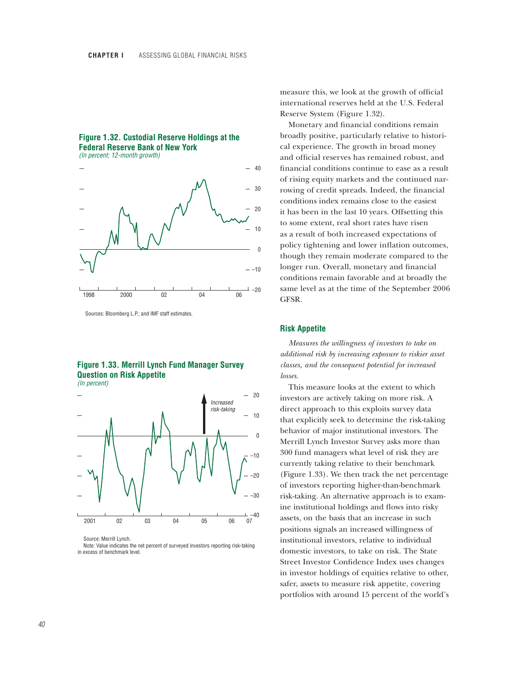

(In percent; 12-month growth)



Sources: Bloomberg L.P.; and IMF staff estimates.

### **Figure 1.33. Merrill Lynch Fund Manager Survey Question on Risk Appetite** (In percent)



Source: Merrill Lynch.

Note: Value indicates the net percent of surveyed investors reporting risk-taking in excess of benchmark level.

measure this, we look at the growth of official international reserves held at the U.S. Federal Reserve System (Figure 1.32).

Monetary and financial conditions remain broadly positive, particularly relative to historical experience. The growth in broad money and official reserves has remained robust, and financial conditions continue to ease as a result of rising equity markets and the continued narrowing of credit spreads. Indeed, the financial conditions index remains close to the easiest it has been in the last 10 years. Offsetting this to some extent, real short rates have risen as a result of both increased expectations of policy tightening and lower inflation outcomes, though they remain moderate compared to the longer run. Overall, monetary and financial conditions remain favorable and at broadly the same level as at the time of the September 2006 GFSR.

# **Risk Appetite**

*Measures the willingness of investors to take on additional risk by increasing exposure to riskier asset classes, and the consequent potential for increased losses.*

This measure looks at the extent to which investors are actively taking on more risk. A direct approach to this exploits survey data that explicitly seek to determine the risk-taking behavior of major institutional investors. The Merrill Lynch Investor Survey asks more than 300 fund managers what level of risk they are currently taking relative to their benchmark (Figure 1.33). We then track the net percentage of investors reporting higher-than-benchmark risk-taking. An alternative approach is to examine institutional holdings and flows into risky assets, on the basis that an increase in such positions signals an increased willingness of institutional investors, relative to individual domestic investors, to take on risk. The State Street Investor Confidence Index uses changes in investor holdings of equities relative to other, safer, assets to measure risk appetite, covering portfolios with around 15 percent of the world's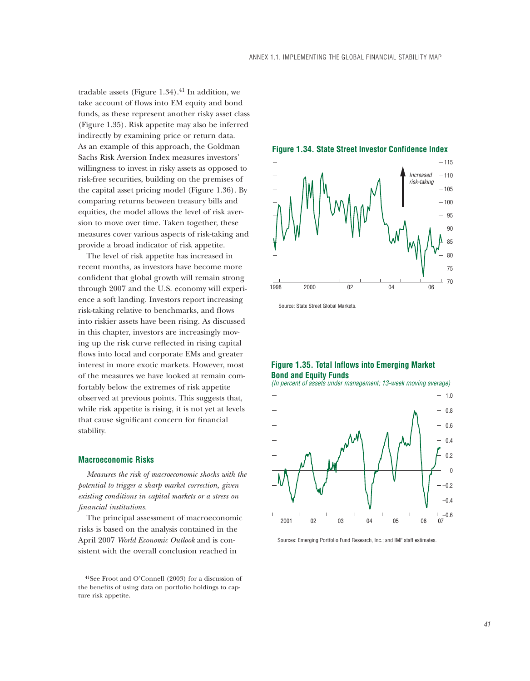tradable assets (Figure  $1.34$ ).<sup>41</sup> In addition, we take account of flows into EM equity and bond funds, as these represent another risky asset class (Figure 1.35). Risk appetite may also be inferred indirectly by examining price or return data. As an example of this approach, the Goldman Sachs Risk Aversion Index measures investors' willingness to invest in risky assets as opposed to risk-free securities, building on the premises of the capital asset pricing model (Figure 1.36). By comparing returns between treasury bills and equities, the model allows the level of risk aversion to move over time. Taken together, these measures cover various aspects of risk-taking and provide a broad indicator of risk appetite.

The level of risk appetite has increased in recent months, as investors have become more confident that global growth will remain strong through 2007 and the U.S. economy will experience a soft landing. Investors report increasing risk-taking relative to benchmarks, and flows into riskier assets have been rising. As discussed in this chapter, investors are increasingly moving up the risk curve reflected in rising capital flows into local and corporate EMs and greater interest in more exotic markets. However, most of the measures we have looked at remain comfortably below the extremes of risk appetite observed at previous points. This suggests that, while risk appetite is rising, it is not yet at levels that cause significant concern for financial stability.

### **Macroeconomic Risks**

*Measures the risk of macroeconomic shocks with the potential to trigger a sharp market correction, given existing conditions in capital markets or a stress on financial institutions.*

The principal assessment of macroeconomic risks is based on the analysis contained in the April 2007 *World Economic Outlook* and is consistent with the overall conclusion reached in



**Figure 1.34. State Street Investor Confidence Index**

Source: State Street Global Markets.



(In percent of assets under management; 13-week moving average)



Sources: Emerging Portfolio Fund Research, Inc.; and IMF staff estimates.

<sup>41</sup>See Froot and O'Connell (2003) for a discussion of the benefits of using data on portfolio holdings to capture risk appetite.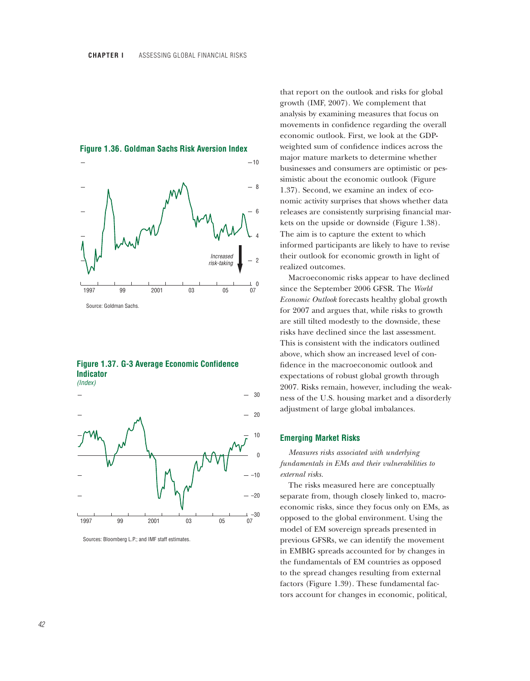

**Figure 1.36. Goldman Sachs Risk Aversion Index**





Sources: Bloomberg L.P.; and IMF staff estimates.

that report on the outlook and risks for global growth (IMF, 2007). We complement that analysis by examining measures that focus on movements in confidence regarding the overall economic outlook. First, we look at the GDPweighted sum of confidence indices across the major mature markets to determine whether businesses and consumers are optimistic or pessimistic about the economic outlook (Figure 1.37). Second, we examine an index of economic activity surprises that shows whether data releases are consistently surprising financial markets on the upside or downside (Figure 1.38). The aim is to capture the extent to which informed participants are likely to have to revise their outlook for economic growth in light of realized outcomes.

Macroeconomic risks appear to have declined since the September 2006 GFSR. The *World Economic Outlook* forecasts healthy global growth for 2007 and argues that, while risks to growth are still tilted modestly to the downside, these risks have declined since the last assessment. This is consistent with the indicators outlined above, which show an increased level of confidence in the macroeconomic outlook and expectations of robust global growth through 2007. Risks remain, however, including the weakness of the U.S. housing market and a disorderly adjustment of large global imbalances.

### **Emerging Market Risks**

*Measures risks associated with underlying fundamentals in EMs and their vulnerabilities to external risks.*

The risks measured here are conceptually separate from, though closely linked to, macroeconomic risks, since they focus only on EMs, as opposed to the global environment. Using the model of EM sovereign spreads presented in previous GFSRs, we can identify the movement in EMBIG spreads accounted for by changes in the fundamentals of EM countries as opposed to the spread changes resulting from external factors (Figure 1.39). These fundamental factors account for changes in economic, political,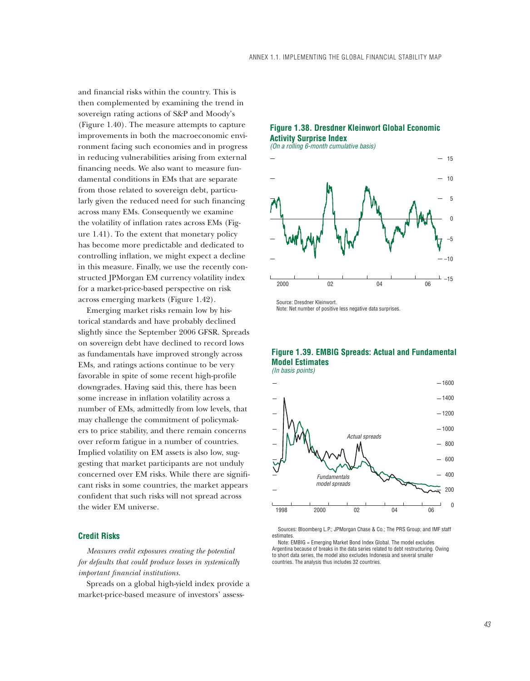and financial risks within the country. This is then complemented by examining the trend in sovereign rating actions of S&P and Moody's (Figure 1.40). The measure attempts to capture improvements in both the macroeconomic environment facing such economies and in progress in reducing vulnerabilities arising from external financing needs. We also want to measure fundamental conditions in EMs that are separate from those related to sovereign debt, particularly given the reduced need for such financing across many EMs. Consequently we examine the volatility of inflation rates across EMs (Figure 1.41). To the extent that monetary policy has become more predictable and dedicated to controlling inflation, we might expect a decline in this measure. Finally, we use the recently constructed JPMorgan EM currency volatility index for a market-price-based perspective on risk across emerging markets (Figure 1.42).

Emerging market risks remain low by historical standards and have probably declined slightly since the September 2006 GFSR. Spreads on sovereign debt have declined to record lows as fundamentals have improved strongly across EMs, and ratings actions continue to be very favorable in spite of some recent high-profile downgrades. Having said this, there has been some increase in inflation volatility across a number of EMs, admittedly from low levels, that may challenge the commitment of policymakers to price stability, and there remain concerns over reform fatigue in a number of countries. Implied volatility on EM assets is also low, suggesting that market participants are not unduly concerned over EM risks. While there are significant risks in some countries, the market appears confident that such risks will not spread across the wider EM universe.

# **Credit Risks**

*Measures credit exposures creating the potential for defaults that could produce losses in systemically important financial institutions.*

Spreads on a global high-yield index provide a market-price-based measure of investors' assess-

 $-15$ –10 –5 0 5 10  $-15$ 2000 02 04 06 (On a rolling 6-month cumulative basis)

**Figure 1.38. Dresdner Kleinwort Global Economic**

**Activity Surprise Index**

Source: Dresdner Kleinwort. Note: Net number of positive less negative data surprises.





Sources: Bloomberg L.P.; JPMorgan Chase & Co.; The PRS Group; and IMF staff estimates

Note: EMBIG = Emerging Market Bond Index Global. The model excludes Argentina because of breaks in the data series related to debt restructuring. Owing to short data series, the model also excludes Indonesia and several smaller countries. The analysis thus includes 32 countries.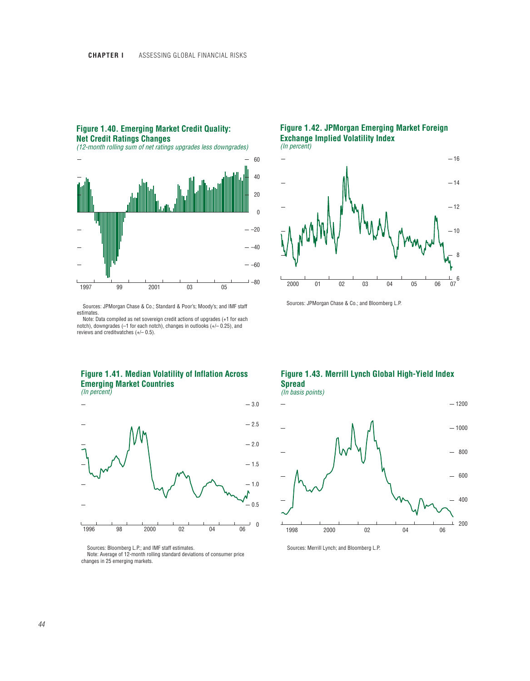**Figure 1.40. Emerging Market Credit Quality:**



Sources: JPMorgan Chase & Co.; Standard & Poor's; Moody's; and IMF staff estimates.

Note: Data compiled as net sovereign credit actions of upgrades (+1 for each notch), downgrades (–1 for each notch), changes in outlooks (+/– 0.25), and reviews and creditwatches (+/– 0.5).

# **Figure 1.42. JPMorgan Emerging Market Foreign Exchange Implied Volatility Index** (In percent)









Sources: Bloomberg L.P.; and IMF staff estimates.

Note: Average of 12-month rolling standard deviations of consumer price changes in 25 emerging markets.

# **Figure 1.43. Merrill Lynch Global High-Yield Index Spread**

(In basis points)



Sources: Merrill Lynch; and Bloomberg L.P.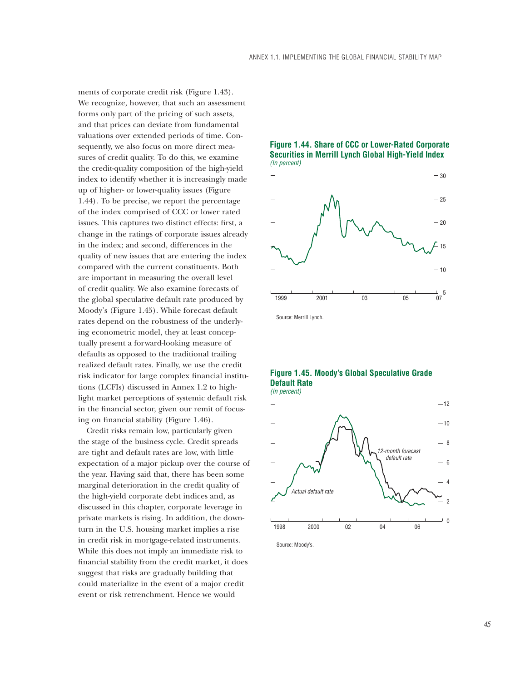ments of corporate credit risk (Figure 1.43). We recognize, however, that such an assessment forms only part of the pricing of such assets, and that prices can deviate from fundamental valuations over extended periods of time. Consequently, we also focus on more direct measures of credit quality. To do this, we examine the credit-quality composition of the high-yield index to identify whether it is increasingly made up of higher- or lower-quality issues (Figure 1.44). To be precise, we report the percentage of the index comprised of CCC or lower rated issues. This captures two distinct effects: first, a change in the ratings of corporate issues already in the index; and second, differences in the quality of new issues that are entering the index compared with the current constituents. Both are important in measuring the overall level of credit quality. We also examine forecasts of the global speculative default rate produced by Moody's (Figure 1.45). While forecast default rates depend on the robustness of the underlying econometric model, they at least conceptually present a forward-looking measure of defaults as opposed to the traditional trailing realized default rates. Finally, we use the credit risk indicator for large complex financial institutions (LCFIs) discussed in Annex 1.2 to highlight market perceptions of systemic default risk in the financial sector, given our remit of focusing on financial stability (Figure 1.46).

Credit risks remain low, particularly given the stage of the business cycle. Credit spreads are tight and default rates are low, with little expectation of a major pickup over the course of the year. Having said that, there has been some marginal deterioration in the credit quality of the high-yield corporate debt indices and, as discussed in this chapter, corporate leverage in private markets is rising. In addition, the downturn in the U.S. housing market implies a rise in credit risk in mortgage-related instruments. While this does not imply an immediate risk to financial stability from the credit market, it does suggest that risks are gradually building that could materialize in the event of a major credit event or risk retrenchment. Hence we would



**Figure 1.44. Share of CCC or Lower-Rated Corporate**





Source: Moody's.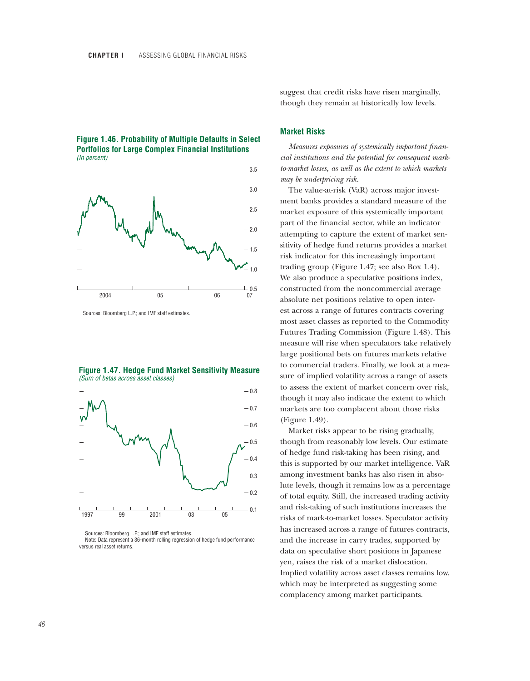**Figure 1.46. Probability of Multiple Defaults in Select**



Sources: Bloomberg L.P.; and IMF staff estimates.

**Figure 1.47. Hedge Fund Market Sensitivity Measure** (Sum of betas across asset classes)



Sources: Bloomberg L.P.; and IMF staff estimates.

Note: Data represent a 36-month rolling regression of hedge fund performance versus real asset returns.

suggest that credit risks have risen marginally, though they remain at historically low levels.

# **Market Risks**

*Measures exposures of systemically important financial institutions and the potential for consequent markto-market losses, as well as the extent to which markets may be underpricing risk.*

The value-at-risk (VaR) across major investment banks provides a standard measure of the market exposure of this systemically important part of the financial sector, while an indicator attempting to capture the extent of market sensitivity of hedge fund returns provides a market risk indicator for this increasingly important trading group (Figure 1.47; see also Box 1.4). We also produce a speculative positions index, constructed from the noncommercial average absolute net positions relative to open interest across a range of futures contracts covering most asset classes as reported to the Commodity Futures Trading Commission (Figure 1.48). This measure will rise when speculators take relatively large positional bets on futures markets relative to commercial traders. Finally, we look at a measure of implied volatility across a range of assets to assess the extent of market concern over risk, though it may also indicate the extent to which markets are too complacent about those risks (Figure 1.49).

Market risks appear to be rising gradually, though from reasonably low levels. Our estimate of hedge fund risk-taking has been rising, and this is supported by our market intelligence. VaR among investment banks has also risen in absolute levels, though it remains low as a percentage of total equity. Still, the increased trading activity and risk-taking of such institutions increases the risks of mark-to-market losses. Speculator activity has increased across a range of futures contracts, and the increase in carry trades, supported by data on speculative short positions in Japanese yen, raises the risk of a market dislocation. Implied volatility across asset classes remains low, which may be interpreted as suggesting some complacency among market participants.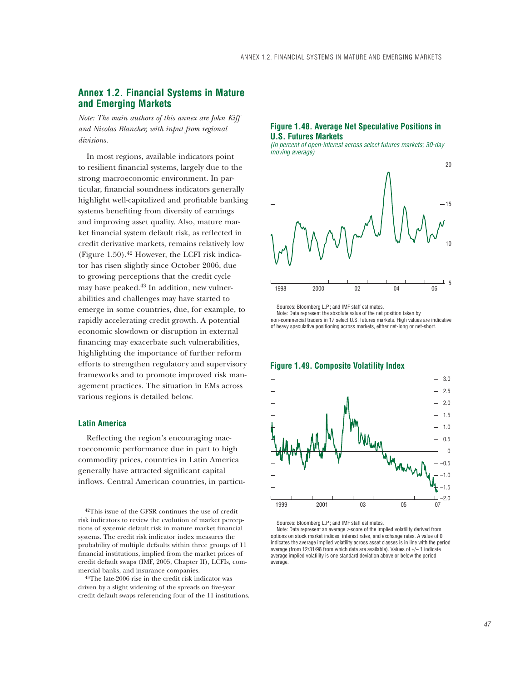# **Annex 1.2. Financial Systems in Mature and Emerging Markets**

*Note: The main authors of this annex are John Kiff and Nicolas Blancher, with input from regional divisions.*

In most regions, available indicators point to resilient financial systems, largely due to the strong macroeconomic environment. In particular, financial soundness indicators generally highlight well-capitalized and profitable banking systems benefiting from diversity of earnings and improving asset quality. Also, mature market financial system default risk, as reflected in credit derivative markets, remains relatively low (Figure 1.50).42 However, the LCFI risk indicator has risen slightly since October 2006, due to growing perceptions that the credit cycle may have peaked.43 In addition, new vulnerabilities and challenges may have started to emerge in some countries, due, for example, to rapidly accelerating credit growth. A potential economic slowdown or disruption in external financing may exacerbate such vulnerabilities, highlighting the importance of further reform efforts to strengthen regulatory and supervisory frameworks and to promote improved risk management practices. The situation in EMs across various regions is detailed below.

# **Latin America**

Reflecting the region's encouraging macroeconomic performance due in part to high commodity prices, countries in Latin America generally have attracted significant capital inflows. Central American countries, in particu-

42This issue of the GFSR continues the use of credit risk indicators to review the evolution of market perceptions of systemic default risk in mature market financial systems. The credit risk indicator index measures the probability of multiple defaults within three groups of 11 financial institutions, implied from the market prices of credit default swaps (IMF, 2005, Chapter II), LCFIs, commercial banks, and insurance companies.

43The late-2006 rise in the credit risk indicator was driven by a slight widening of the spreads on five-year credit default swaps referencing four of the 11 institutions.

# **Figure 1.48. Average Net Speculative Positions in U.S. Futures Markets**

(In percent of open-interest across select futures markets; 30-day moving average)



Sources: Bloomberg L.P.; and IMF staff estimates.

Note: Data represent the absolute value of the net position taken by non-commercial traders in 17 select U.S. futures markets. High values are indicative of heavy speculative positioning across markets, either net-long or net-short.

# **Figure 1.49. Composite Volatility Index**



Sources: Bloomberg L.P.; and IMF staff estimates. Note: Data represent an average z-score of the implied volatility derived from options on stock market indices, interest rates, and exchange rates. A value of 0 indicates the average implied volatility across asset classes is in line with the period average (from 12/31/98 from which data are available). Values of +/– 1 indicate average implied volatility is one standard deviation above or below the period average.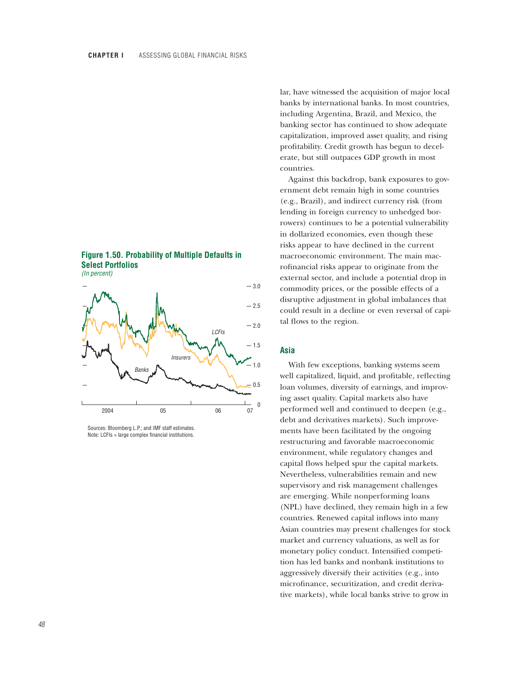



Sources: Bloomberg L.P.; and IMF staff estimates. Note: LCFIs = large complex financial institutions.

lar, have witnessed the acquisition of major local banks by international banks. In most countries, including Argentina, Brazil, and Mexico, the banking sector has continued to show adequate capitalization, improved asset quality, and rising profitability. Credit growth has begun to decelerate, but still outpaces GDP growth in most countries.

Against this backdrop, bank exposures to government debt remain high in some countries (e.g., Brazil), and indirect currency risk (from lending in foreign currency to unhedged borrowers) continues to be a potential vulnerability in dollarized economies, even though these risks appear to have declined in the current macroeconomic environment. The main macrofinancial risks appear to originate from the external sector, and include a potential drop in commodity prices, or the possible effects of a disruptive adjustment in global imbalances that could result in a decline or even reversal of capital flows to the region.

# **Asia**

With few exceptions, banking systems seem well capitalized, liquid, and profitable, reflecting loan volumes, diversity of earnings, and improving asset quality. Capital markets also have performed well and continued to deepen (e.g., debt and derivatives markets). Such improvements have been facilitated by the ongoing restructuring and favorable macroeconomic environment, while regulatory changes and capital flows helped spur the capital markets. Nevertheless, vulnerabilities remain and new supervisory and risk management challenges are emerging. While nonperforming loans (NPL) have declined, they remain high in a few countries. Renewed capital inflows into many Asian countries may present challenges for stock market and currency valuations, as well as for monetary policy conduct. Intensified competition has led banks and nonbank institutions to aggressively diversify their activities (e.g., into microfinance, securitization, and credit derivative markets), while local banks strive to grow in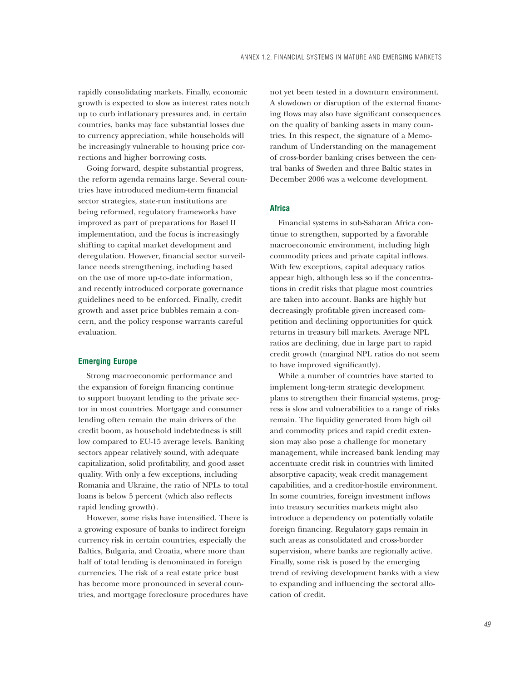rapidly consolidating markets. Finally, economic growth is expected to slow as interest rates notch up to curb inflationary pressures and, in certain countries, banks may face substantial losses due to currency appreciation, while households will be increasingly vulnerable to housing price corrections and higher borrowing costs.

Going forward, despite substantial progress, the reform agenda remains large. Several countries have introduced medium-term financial sector strategies, state-run institutions are being reformed, regulatory frameworks have improved as part of preparations for Basel II implementation, and the focus is increasingly shifting to capital market development and deregulation. However, financial sector surveillance needs strengthening, including based on the use of more up-to-date information, and recently introduced corporate governance guidelines need to be enforced. Finally, credit growth and asset price bubbles remain a concern, and the policy response warrants careful evaluation.

# **Emerging Europe**

Strong macroeconomic performance and the expansion of foreign financing continue to support buoyant lending to the private sector in most countries. Mortgage and consumer lending often remain the main drivers of the credit boom, as household indebtedness is still low compared to EU-15 average levels. Banking sectors appear relatively sound, with adequate capitalization, solid profitability, and good asset quality. With only a few exceptions, including Romania and Ukraine, the ratio of NPLs to total loans is below 5 percent (which also reflects rapid lending growth).

However, some risks have intensified. There is a growing exposure of banks to indirect foreign currency risk in certain countries, especially the Baltics, Bulgaria, and Croatia, where more than half of total lending is denominated in foreign currencies. The risk of a real estate price bust has become more pronounced in several countries, and mortgage foreclosure procedures have

not yet been tested in a downturn environment. A slowdown or disruption of the external financing flows may also have significant consequences on the quality of banking assets in many countries. In this respect, the signature of a Memorandum of Understanding on the management of cross-border banking crises between the central banks of Sweden and three Baltic states in December 2006 was a welcome development.

# **Africa**

Financial systems in sub-Saharan Africa continue to strengthen, supported by a favorable macroeconomic environment, including high commodity prices and private capital inflows. With few exceptions, capital adequacy ratios appear high, although less so if the concentrations in credit risks that plague most countries are taken into account. Banks are highly but decreasingly profitable given increased competition and declining opportunities for quick returns in treasury bill markets. Average NPL ratios are declining, due in large part to rapid credit growth (marginal NPL ratios do not seem to have improved significantly).

While a number of countries have started to implement long-term strategic development plans to strengthen their financial systems, progress is slow and vulnerabilities to a range of risks remain. The liquidity generated from high oil and commodity prices and rapid credit extension may also pose a challenge for monetary management, while increased bank lending may accentuate credit risk in countries with limited absorptive capacity, weak credit management capabilities, and a creditor-hostile environment. In some countries, foreign investment inflows into treasury securities markets might also introduce a dependency on potentially volatile foreign financing. Regulatory gaps remain in such areas as consolidated and cross-border supervision, where banks are regionally active. Finally, some risk is posed by the emerging trend of reviving development banks with a view to expanding and influencing the sectoral allocation of credit.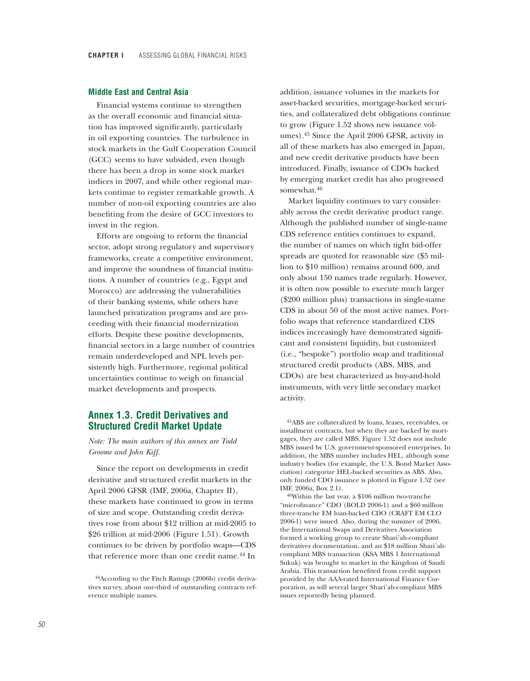### **Middle East and Central Asia**

Financial systems continue to strengthen as the overall economic and financial situation has improved significantly, particularly in oil exporting countries. The turbulence in stock markets in the Gulf Cooperation Council (GCC) seems to have subsided, even though there has been a drop in some stock market indices in 2007, and while other regional markets continue to register remarkable growth. A number of non-oil exporting countries are also benefiting from the desire of GCC investors to invest in the region.

Efforts are ongoing to reform the financial sector, adopt strong regulatory and supervisory frameworks, create a competitive environment, and improve the soundness of financial institutions. A number of countries (e.g., Egypt and Morocco) are addressing the vulnerabilities of their banking systems, while others have launched privatization programs and are proceeding with their financial modernization efforts. Despite these positive developments, financial sectors in a large number of countries remain underdeveloped and NPL levels persistently high. Furthermore, regional political uncertainties continue to weigh on financial market developments and prospects.

# **Annex 1.3. Credit Derivatives and Structured Credit Market Update**

# *Note: The main authors of this annex are Todd Groome and John Kiff.*

Since the report on developments in credit derivative and structured credit markets in the April 2006 GFSR (IMF, 2006a, Chapter II), these markets have continued to grow in terms of size and scope. Outstanding credit derivatives rose from about \$12 trillion at mid-2005 to \$26 trillion at mid-2006 (Figure 1.51). Growth continues to be driven by portfolio swaps—CDS that reference more than one credit name.<sup>44</sup> In

addition, issuance volumes in the markets for asset-backed securities, mortgage-backed securities, and collateralized debt obligations continue to grow (Figure 1.52 shows new issuance volumes).45 Since the April 2006 GFSR, activity in all of these markets has also emerged in Japan, and new credit derivative products have been introduced. Finally, issuance of CDOs backed by emerging market credit has also progressed somewhat.<sup>46</sup>

Market liquidity continues to vary considerably across the credit derivative product range. Although the published number of single-name CDS reference entities continues to expand, the number of names on which tight bid-offer spreads are quoted for reasonable size (\$5 million to \$10 million) remains around 600, and only about 150 names trade regularly. However, it is often now possible to execute much larger (\$200 million plus) transactions in single-name CDS in about 50 of the most active names. Portfolio swaps that reference standardized CDS indices increasingly have demonstrated significant and consistent liquidity, but customized (i.e., "bespoke") portfolio swap and traditional structured credit products (ABS, MBS, and CDOs) are best characterized as buy-and-hold instruments, with very little secondary market activity.

45ABS are collateralized by loans, leases, receivables, or installment contracts, but when they are backed by mortgages, they are called MBS. Figure 1.52 does not include MBS issued by U.S. government-sponsored enterprises. In addition, the MBS number includes HEL, although some industry bodies (for example, the U.S. Bond Market Association) categorize HEL-backed securities as ABS. Also, only funded CDO issuance is plotted in Figure 1.52 (see IMF, 2006a, Box 2.1).

46Within the last year, a \$106 million two-tranche "microfinance" CDO (BOLD 2006-1) and a \$60 million three-tranche EM loan-backed CDO (CRAFT EM CLO 2006-1) were issued. Also, during the summer of 2006, the International Swaps and Derivatives Association formed a working group to create Shari'ah-compliant derivatives documentation, and an \$18 million Shari'ahcompliant MBS transaction (KSA MBS 1 International Sukuk) was brought to market in the Kingdom of Saudi Arabia. This transaction benefited from credit support provided by the AAA-rated International Finance Corporation, as will several larger Shari'ah-compliant MBS issues reportedly being planned.

<sup>44</sup>According to the Fitch Ratings (2006b) credit derivatives survey, about one-third of outstanding contracts reference multiple names.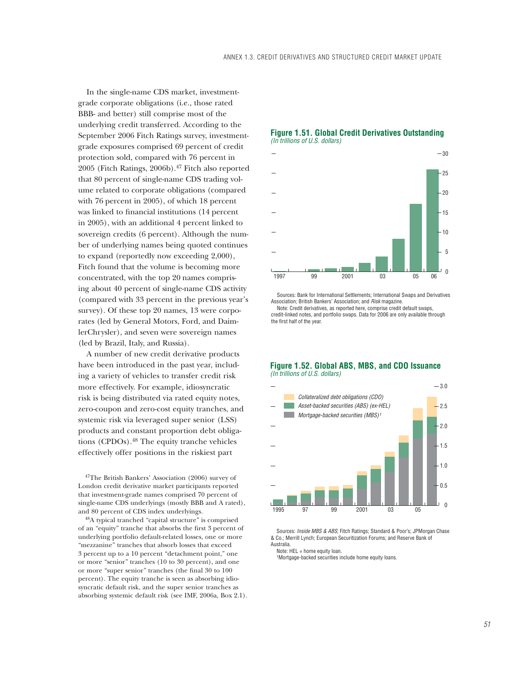In the single-name CDS market, investmentgrade corporate obligations (i.e., those rated BBB- and better) still comprise most of the underlying credit transferred. According to the September 2006 Fitch Ratings survey, investmentgrade exposures comprised 69 percent of credit protection sold, compared with 76 percent in 2005 (Fitch Ratings, 2006b).47 Fitch also reported that 80 percent of single-name CDS trading volume related to corporate obligations (compared with 76 percent in 2005), of which 18 percent was linked to financial institutions (14 percent in 2005), with an additional 4 percent linked to sovereign credits (6 percent). Although the number of underlying names being quoted continues to expand (reportedly now exceeding 2,000), Fitch found that the volume is becoming more concentrated, with the top 20 names comprising about 40 percent of single-name CDS activity (compared with 33 percent in the previous year's survey). Of these top 20 names, 13 were corporates (led by General Motors, Ford, and DaimlerChrysler), and seven were sovereign names (led by Brazil, Italy, and Russia).

A number of new credit derivative products have been introduced in the past year, including a variety of vehicles to transfer credit risk more effectively. For example, idiosyncratic risk is being distributed via rated equity notes, zero-coupon and zero-cost equity tranches, and systemic risk via leveraged super senior (LSS) products and constant proportion debt obligations (CPDOs).48 The equity tranche vehicles effectively offer positions in the riskiest part

47The British Bankers' Association (2006) survey of London credit derivative market participants reported that investment-grade names comprised 70 percent of single-name CDS underlyings (mostly BBB and A rated), and 80 percent of CDS index underlyings.

48A typical tranched "capital structure" is comprised of an "equity" tranche that absorbs the first 3 percent of underlying portfolio default-related losses, one or more "mezzanine" tranches that absorb losses that exceed 3 percent up to a 10 percent "detachment point," one or more "senior" tranches (10 to 30 percent), and one or more "super senior" tranches (the final 30 to 100 percent). The equity tranche is seen as absorbing idiosyncratic default risk, and the super senior tranches as absorbing systemic default risk (see IMF, 2006a, Box 2.1).



#### **Figure 1.51. Global Credit Derivatives Outstanding** (In trillions of U.S. dollars)

Sources: Bank for International Settlements; International Swaps and Derivatives Association; British Bankers' Association; and Risk magazine. Note: Credit derivatives, as reported here, comprise credit default swaps, credit-linked notes, and portfolio swaps. Data for 2006 are only available through

the first half of the year.

**Figure 1.52. Global ABS, MBS, and CDO Issuance**

# $\Omega$ 0.5  $1.0$ 1.5  $-2.0$  $-2.5$  $-3.0$ 1995 97 99 2001 03 05 **Collateralized debt obligations (CDO)** Asset-backed securities (ABS) (ex-HEL)  $\Box$  Mortgage-backed securities (MBS)<sup>1</sup>

Sources: Inside MBS & ABS; Fitch Ratings; Standard & Poor's; JPMorgan Chase & Co.; Merrill Lynch; European Securitization Forums; and Reserve Bank of Australia.

Note: HEL = home equity loan.

(In trillions of U.S. dollars)

1Mortgage-backed securities include home equity loans.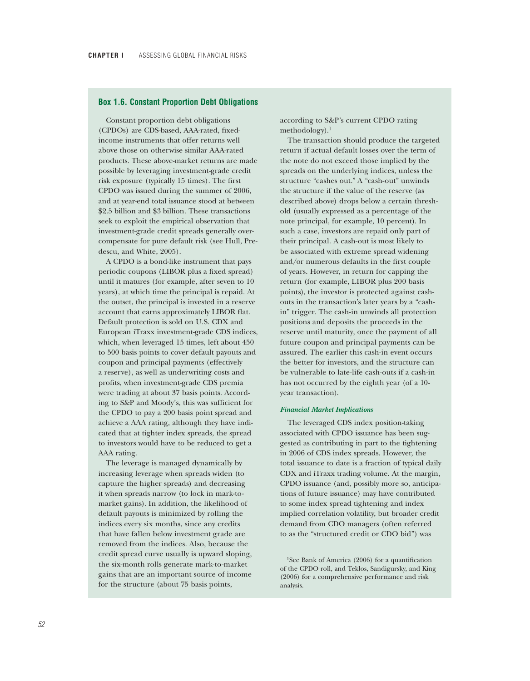### **Box 1.6. Constant Proportion Debt Obligations**

Constant proportion debt obligations (CPDOs) are CDS-based, AAA-rated, fixedincome instruments that offer returns well above those on otherwise similar AAA-rated products. These above-market returns are made possible by leveraging investment-grade credit risk exposure (typically 15 times). The first CPDO was issued during the summer of 2006, and at year-end total issuance stood at between \$2.5 billion and \$3 billion. These transactions seek to exploit the empirical observation that investment-grade credit spreads generally overcompensate for pure default risk (see Hull, Predescu, and White, 2005).

A CPDO is a bond-like instrument that pays periodic coupons (LIBOR plus a fixed spread) until it matures (for example, after seven to 10 years), at which time the principal is repaid. At the outset, the principal is invested in a reserve account that earns approximately LIBOR flat. Default protection is sold on U.S. CDX and European iTraxx investment-grade CDS indices, which, when leveraged 15 times, left about 450 to 500 basis points to cover default payouts and coupon and principal payments (effectively a reserve), as well as underwriting costs and profits, when investment-grade CDS premia were trading at about 37 basis points. According to S&P and Moody's, this was sufficient for the CPDO to pay a 200 basis point spread and achieve a AAA rating, although they have indicated that at tighter index spreads, the spread to investors would have to be reduced to get a AAA rating.

The leverage is managed dynamically by increasing leverage when spreads widen (to capture the higher spreads) and decreasing it when spreads narrow (to lock in mark-tomarket gains). In addition, the likelihood of default payouts is minimized by rolling the indices every six months, since any credits that have fallen below investment grade are removed from the indices. Also, because the credit spread curve usually is upward sloping, the six-month rolls generate mark-to-market gains that are an important source of income for the structure (about 75 basis points,

according to S&P's current CPDO rating methodology).1

The transaction should produce the targeted return if actual default losses over the term of the note do not exceed those implied by the spreads on the underlying indices, unless the structure "cashes out." A "cash-out" unwinds the structure if the value of the reserve (as described above) drops below a certain threshold (usually expressed as a percentage of the note principal, for example, 10 percent). In such a case, investors are repaid only part of their principal. A cash-out is most likely to be associated with extreme spread widening and/or numerous defaults in the first couple of years. However, in return for capping the return (for example, LIBOR plus 200 basis points), the investor is protected against cashouts in the transaction's later years by a "cashin" trigger. The cash-in unwinds all protection positions and deposits the proceeds in the reserve until maturity, once the payment of all future coupon and principal payments can be assured. The earlier this cash-in event occurs the better for investors, and the structure can be vulnerable to late-life cash-outs if a cash-in has not occurred by the eighth year (of a 10 year transaction).

#### *Financial Market Implications*

The leveraged CDS index position-taking associated with CPDO issuance has been suggested as contributing in part to the tightening in 2006 of CDS index spreads. However, the total issuance to date is a fraction of typical daily CDX and iTraxx trading volume. At the margin, CPDO issuance (and, possibly more so, anticipations of future issuance) may have contributed to some index spread tightening and index implied correlation volatility, but broader credit demand from CDO managers (often referred to as the "structured credit or CDO bid") was

1See Bank of America (2006) for a quantification of the CPDO roll, and Teklos, Sandigursky, and King (2006) for a comprehensive performance and risk analysis.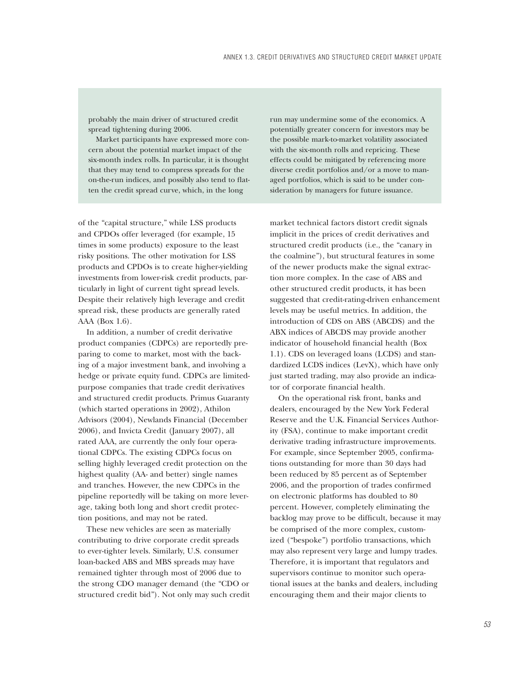probably the main driver of structured credit spread tightening during 2006.

Market participants have expressed more concern about the potential market impact of the six-month index rolls. In particular, it is thought that they may tend to compress spreads for the on-the-run indices, and possibly also tend to flatten the credit spread curve, which, in the long

of the "capital structure," while LSS products and CPDOs offer leveraged (for example, 15 times in some products) exposure to the least risky positions. The other motivation for LSS products and CPDOs is to create higher-yielding investments from lower-risk credit products, particularly in light of current tight spread levels. Despite their relatively high leverage and credit spread risk, these products are generally rated AAA (Box 1.6).

In addition, a number of credit derivative product companies (CDPCs) are reportedly preparing to come to market, most with the backing of a major investment bank, and involving a hedge or private equity fund. CDPCs are limitedpurpose companies that trade credit derivatives and structured credit products. Primus Guaranty (which started operations in 2002), Athilon Advisors (2004), Newlands Financial (December 2006), and Invicta Credit (January 2007), all rated AAA, are currently the only four operational CDPCs. The existing CDPCs focus on selling highly leveraged credit protection on the highest quality (AA- and better) single names and tranches. However, the new CDPCs in the pipeline reportedly will be taking on more leverage, taking both long and short credit protection positions, and may not be rated.

These new vehicles are seen as materially contributing to drive corporate credit spreads to ever-tighter levels. Similarly, U.S. consumer loan-backed ABS and MBS spreads may have remained tighter through most of 2006 due to the strong CDO manager demand (the "CDO or structured credit bid"). Not only may such credit run may undermine some of the economics. A potentially greater concern for investors may be the possible mark-to-market volatility associated with the six-month rolls and repricing. These effects could be mitigated by referencing more diverse credit portfolios and/or a move to managed portfolios, which is said to be under consideration by managers for future issuance.

market technical factors distort credit signals implicit in the prices of credit derivatives and structured credit products (i.e., the "canary in the coalmine"), but structural features in some of the newer products make the signal extraction more complex. In the case of ABS and other structured credit products, it has been suggested that credit-rating-driven enhancement levels may be useful metrics. In addition, the introduction of CDS on ABS (ABCDS) and the ABX indices of ABCDS may provide another indicator of household financial health (Box 1.1). CDS on leveraged loans (LCDS) and standardized LCDS indices (LevX), which have only just started trading, may also provide an indicator of corporate financial health.

On the operational risk front, banks and dealers, encouraged by the New York Federal Reserve and the U.K. Financial Services Authority (FSA), continue to make important credit derivative trading infrastructure improvements. For example, since September 2005, confirmations outstanding for more than 30 days had been reduced by 85 percent as of September 2006, and the proportion of trades confirmed on electronic platforms has doubled to 80 percent. However, completely eliminating the backlog may prove to be difficult, because it may be comprised of the more complex, customized ("bespoke") portfolio transactions, which may also represent very large and lumpy trades. Therefore, it is important that regulators and supervisors continue to monitor such operational issues at the banks and dealers, including encouraging them and their major clients to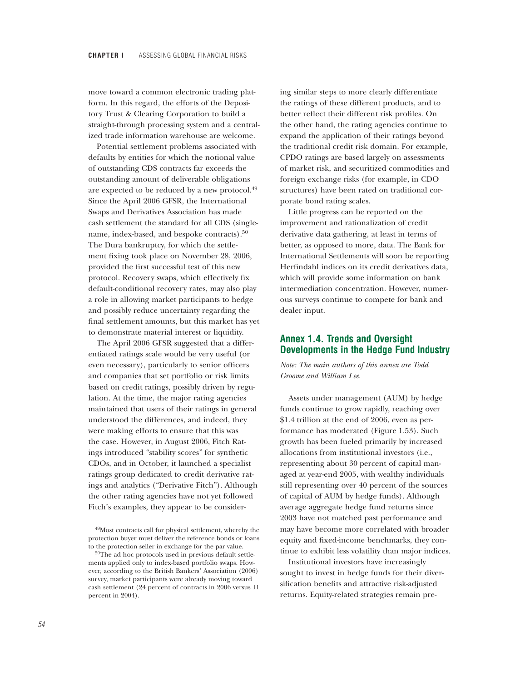move toward a common electronic trading platform. In this regard, the efforts of the Depository Trust & Clearing Corporation to build a straight-through processing system and a centralized trade information warehouse are welcome.

Potential settlement problems associated with defaults by entities for which the notional value of outstanding CDS contracts far exceeds the outstanding amount of deliverable obligations are expected to be reduced by a new protocol.49 Since the April 2006 GFSR, the International Swaps and Derivatives Association has made cash settlement the standard for all CDS (singlename, index-based, and bespoke contracts).50 The Dura bankruptcy, for which the settlement fixing took place on November 28, 2006, provided the first successful test of this new protocol. Recovery swaps, which effectively fix default-conditional recovery rates, may also play a role in allowing market participants to hedge and possibly reduce uncertainty regarding the final settlement amounts, but this market has yet to demonstrate material interest or liquidity.

The April 2006 GFSR suggested that a differentiated ratings scale would be very useful (or even necessary), particularly to senior officers and companies that set portfolio or risk limits based on credit ratings, possibly driven by regulation. At the time, the major rating agencies maintained that users of their ratings in general understood the differences, and indeed, they were making efforts to ensure that this was the case. However, in August 2006, Fitch Ratings introduced "stability scores" for synthetic CDOs, and in October, it launched a specialist ratings group dedicated to credit derivative ratings and analytics ("Derivative Fitch"). Although the other rating agencies have not yet followed Fitch's examples, they appear to be considering similar steps to more clearly differentiate the ratings of these different products, and to better reflect their different risk profiles. On the other hand, the rating agencies continue to expand the application of their ratings beyond the traditional credit risk domain. For example, CPDO ratings are based largely on assessments of market risk, and securitized commodities and foreign exchange risks (for example, in CDO structures) have been rated on traditional corporate bond rating scales.

Little progress can be reported on the improvement and rationalization of credit derivative data gathering, at least in terms of better, as opposed to more, data. The Bank for International Settlements will soon be reporting Herfindahl indices on its credit derivatives data, which will provide some information on bank intermediation concentration. However, numerous surveys continue to compete for bank and dealer input.

# **Annex 1.4. Trends and Oversight Developments in the Hedge Fund Industry**

*Note: The main authors of this annex are Todd Groome and William Lee.*

Assets under management (AUM) by hedge funds continue to grow rapidly, reaching over \$1.4 trillion at the end of 2006, even as performance has moderated (Figure 1.53). Such growth has been fueled primarily by increased allocations from institutional investors (i.e., representing about 30 percent of capital managed at year-end 2005, with wealthy individuals still representing over 40 percent of the sources of capital of AUM by hedge funds). Although average aggregate hedge fund returns since 2003 have not matched past performance and may have become more correlated with broader equity and fixed-income benchmarks, they continue to exhibit less volatility than major indices.

Institutional investors have increasingly sought to invest in hedge funds for their diversification benefits and attractive risk-adjusted returns. Equity-related strategies remain pre-

<sup>49</sup>Most contracts call for physical settlement, whereby the protection buyer must deliver the reference bonds or loans to the protection seller in exchange for the par value.

<sup>50</sup>The ad hoc protocols used in previous default settlements applied only to index-based portfolio swaps. However, according to the British Bankers' Association (2006) survey, market participants were already moving toward cash settlement (24 percent of contracts in 2006 versus 11 percent in 2004).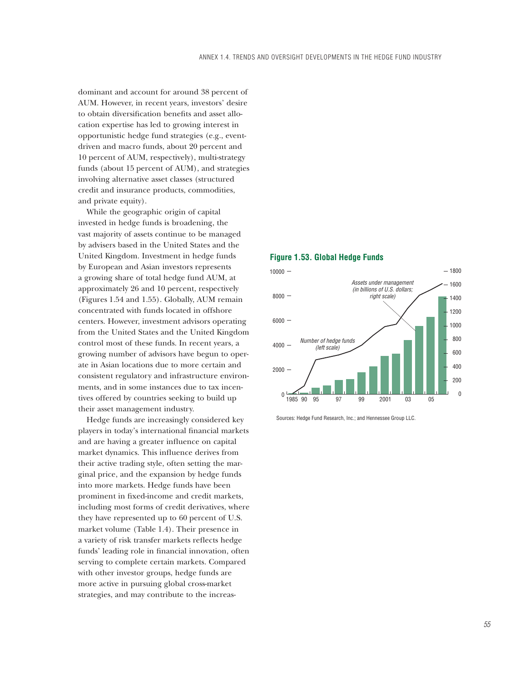dominant and account for around 38 percent of AUM. However, in recent years, investors' desire to obtain diversification benefits and asset allocation expertise has led to growing interest in opportunistic hedge fund strategies (e.g., eventdriven and macro funds, about 20 percent and 10 percent of AUM, respectively), multi-strategy funds (about 15 percent of AUM), and strategies involving alternative asset classes (structured credit and insurance products, commodities, and private equity).

While the geographic origin of capital invested in hedge funds is broadening, the vast majority of assets continue to be managed by advisers based in the United States and the United Kingdom. Investment in hedge funds by European and Asian investors represents a growing share of total hedge fund AUM, at approximately 26 and 10 percent, respectively (Figures 1.54 and 1.55). Globally, AUM remain concentrated with funds located in offshore centers. However, investment advisors operating from the United States and the United Kingdom control most of these funds. In recent years, a growing number of advisors have begun to operate in Asian locations due to more certain and consistent regulatory and infrastructure environments, and in some instances due to tax incentives offered by countries seeking to build up their asset management industry.

Hedge funds are increasingly considered key players in today's international financial markets and are having a greater influence on capital market dynamics. This influence derives from their active trading style, often setting the marginal price, and the expansion by hedge funds into more markets. Hedge funds have been prominent in fixed-income and credit markets, including most forms of credit derivatives, where they have represented up to 60 percent of U.S. market volume (Table 1.4). Their presence in a variety of risk transfer markets reflects hedge funds' leading role in financial innovation, often serving to complete certain markets. Compared with other investor groups, hedge funds are more active in pursuing global cross-market strategies, and may contribute to the increas-

### **Figure 1.53. Global Hedge Funds**



Sources: Hedge Fund Research, Inc.; and Hennessee Group LLC.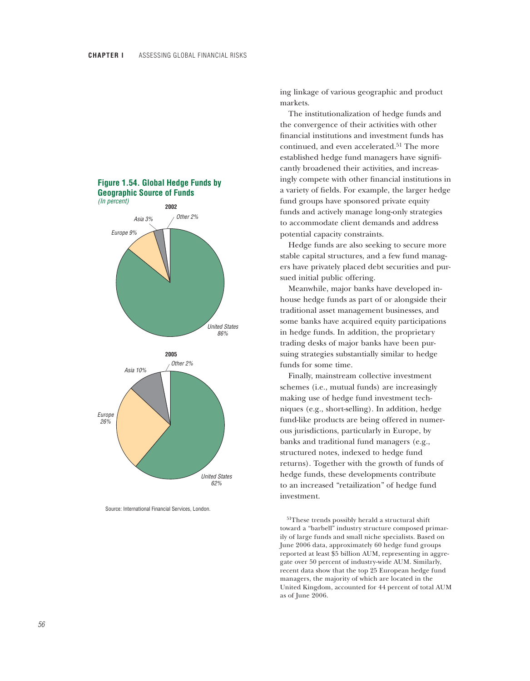

Source: International Financial Services, London.

ing linkage of various geographic and product markets.

The institutionalization of hedge funds and the convergence of their activities with other financial institutions and investment funds has continued, and even accelerated.<sup>51</sup> The more established hedge fund managers have significantly broadened their activities, and increasingly compete with other financial institutions in a variety of fields. For example, the larger hedge fund groups have sponsored private equity funds and actively manage long-only strategies to accommodate client demands and address potential capacity constraints.

Hedge funds are also seeking to secure more stable capital structures, and a few fund managers have privately placed debt securities and pursued initial public offering.

Meanwhile, major banks have developed inhouse hedge funds as part of or alongside their traditional asset management businesses, and some banks have acquired equity participations in hedge funds. In addition, the proprietary trading desks of major banks have been pursuing strategies substantially similar to hedge funds for some time.

Finally, mainstream collective investment schemes (i.e., mutual funds) are increasingly making use of hedge fund investment techniques (e.g., short-selling). In addition, hedge fund-like products are being offered in numerous jurisdictions, particularly in Europe, by banks and traditional fund managers (e.g., structured notes, indexed to hedge fund returns). Together with the growth of funds of hedge funds, these developments contribute to an increased "retailization" of hedge fund investment.

51These trends possibly herald a structural shift toward a "barbell" industry structure composed primarily of large funds and small niche specialists. Based on June 2006 data, approximately 60 hedge fund groups reported at least \$5 billion AUM, representing in aggregate over 50 percent of industry-wide AUM. Similarly, recent data show that the top 25 European hedge fund managers, the majority of which are located in the United Kingdom, accounted for 44 percent of total AUM as of June 2006.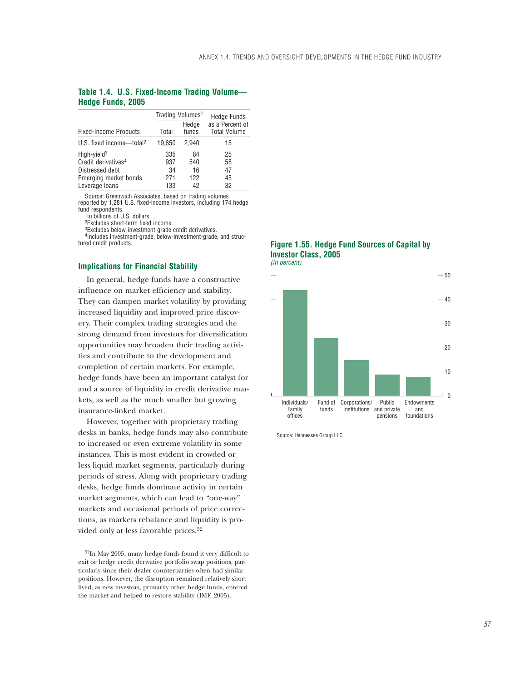|                                      | Trading Volumes <sup>1</sup> |                | <b>Hedge Funds</b>                     |  |
|--------------------------------------|------------------------------|----------------|----------------------------------------|--|
| <b>Fixed-Income Products</b>         | Total                        | Hedge<br>funds | as a Percent of<br><b>Total Volume</b> |  |
| U.S. fixed income-total <sup>2</sup> | 19.650                       | 2.940          | 15                                     |  |
| High-yield <sup>3</sup>              | 335                          | 84             | 25                                     |  |
| Credit derivatives <sup>4</sup>      | 937                          | 540            | 58                                     |  |
| Distressed debt                      | 34                           | 16             | 47                                     |  |
| Emerging market bonds                | 271                          | 122            | 45                                     |  |
| Leverage loans                       | 133                          | 42             | 32                                     |  |

# **Table 1.4. U.S. Fixed-Income Trading Volume— Hedge Funds, 2005**

Source: Greenwich Associates, based on trading volumes reported by 1,281 U.S. fixed-income investors, including 174 hedge fund respondents.

1In billions of U.S. dollars.

2Excludes short-term fixed income.

3Excludes below-investment-grade credit derivatives. 4Includes investment-grade, below-investment-grade, and structured credit products.

### **Implications for Financial Stability**

In general, hedge funds have a constructive influence on market efficiency and stability. They can dampen market volatility by providing increased liquidity and improved price discovery. Their complex trading strategies and the strong demand from investors for diversification opportunities may broaden their trading activities and contribute to the development and completion of certain markets. For example, hedge funds have been an important catalyst for and a source of liquidity in credit derivative markets, as well as the much smaller but growing insurance-linked market.

However, together with proprietary trading desks in banks, hedge funds may also contribute to increased or even extreme volatility in some instances. This is most evident in crowded or less liquid market segments, particularly during periods of stress. Along with proprietary trading desks, hedge funds dominate activity in certain market segments, which can lead to "one-way" markets and occasional periods of price corrections, as markets rebalance and liquidity is provided only at less favorable prices.<sup>52</sup>

52In May 2005, many hedge funds found it very difficult to exit or hedge credit derivative portfolio swap positions, particularly since their dealer counterparties often had similar positions. However, the disruption remained relatively short lived, as new investors, primarily other hedge funds, entered the market and helped to restore stability (IMF, 2005).

# **Figure 1.55. Hedge Fund Sources of Capital by Investor Class, 2005**



Source: Hennessee Group LLC.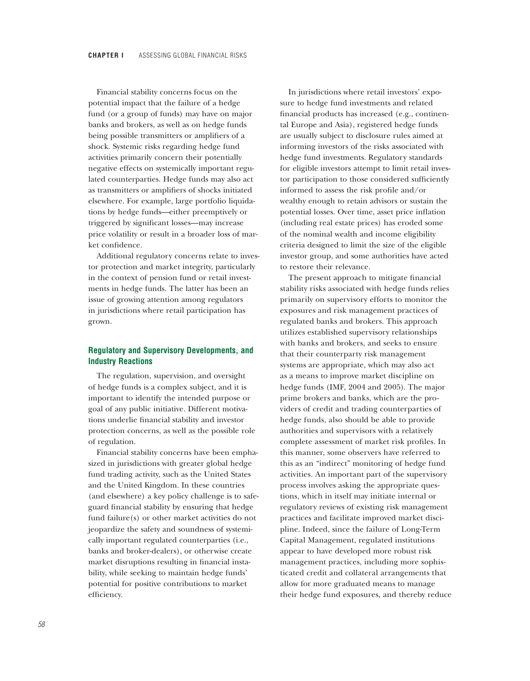Financial stability concerns focus on the potential impact that the failure of a hedge fund (or a group of funds) may have on major banks and brokers, as well as on hedge funds being possible transmitters or amplifiers of a shock. Systemic risks regarding hedge fund activities primarily concern their potentially negative effects on systemically important regulated counterparties. Hedge funds may also act as transmitters or amplifiers of shocks initiated elsewhere. For example, large portfolio liquidations by hedge funds—either preemptively or triggered by significant losses—may increase price volatility or result in a broader loss of market confidence.

Additional regulatory concerns relate to investor protection and market integrity, particularly in the context of pension fund or retail investments in hedge funds. The latter has been an issue of growing attention among regulators in jurisdictions where retail participation has grown.

# **Regulatory and Supervisory Developments, and Industry Reactions**

The regulation, supervision, and oversight of hedge funds is a complex subject, and it is important to identify the intended purpose or goal of any public initiative. Different motivations underlie financial stability and investor protection concerns, as well as the possible role of regulation.

Financial stability concerns have been emphasized in jurisdictions with greater global hedge fund trading activity, such as the United States and the United Kingdom. In these countries (and elsewhere) a key policy challenge is to safeguard financial stability by ensuring that hedge fund failure(s) or other market activities do not jeopardize the safety and soundness of systemically important regulated counterparties (i.e., banks and broker-dealers), or otherwise create market disruptions resulting in financial instability, while seeking to maintain hedge funds' potential for positive contributions to market efficiency.

In jurisdictions where retail investors' exposure to hedge fund investments and related financial products has increased (e.g., continental Europe and Asia), registered hedge funds are usually subject to disclosure rules aimed at informing investors of the risks associated with hedge fund investments. Regulatory standards for eligible investors attempt to limit retail investor participation to those considered sufficiently informed to assess the risk profile and/or wealthy enough to retain advisors or sustain the potential losses. Over time, asset price inflation (including real estate prices) has eroded some of the nominal wealth and income eligibility criteria designed to limit the size of the eligible investor group, and some authorities have acted to restore their relevance.

The present approach to mitigate financial stability risks associated with hedge funds relies primarily on supervisory efforts to monitor the exposures and risk management practices of regulated banks and brokers. This approach utilizes established supervisory relationships with banks and brokers, and seeks to ensure that their counterparty risk management systems are appropriate, which may also act as a means to improve market discipline on hedge funds (IMF, 2004 and 2005). The major prime brokers and banks, which are the providers of credit and trading counterparties of hedge funds, also should be able to provide authorities and supervisors with a relatively complete assessment of market risk profiles. In this manner, some observers have referred to this as an "indirect" monitoring of hedge fund activities. An important part of the supervisory process involves asking the appropriate questions, which in itself may initiate internal or regulatory reviews of existing risk management practices and facilitate improved market discipline. Indeed, since the failure of Long-Term Capital Management, regulated institutions appear to have developed more robust risk management practices, including more sophisticated credit and collateral arrangements that allow for more graduated means to manage their hedge fund exposures, and thereby reduce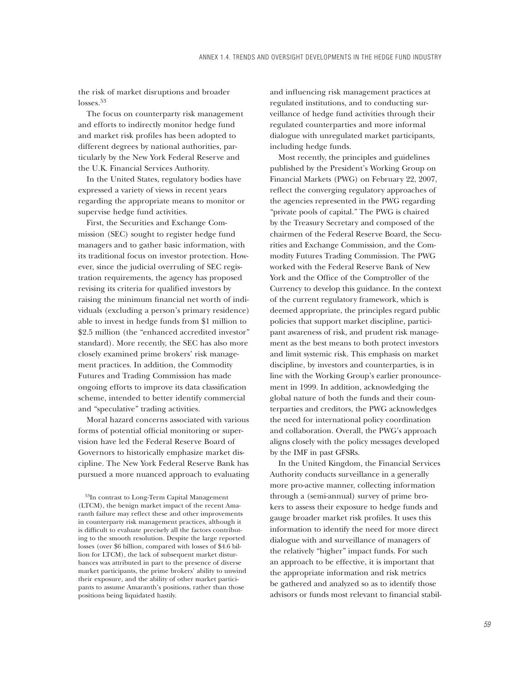the risk of market disruptions and broader losses.<sup>53</sup>

The focus on counterparty risk management and efforts to indirectly monitor hedge fund and market risk profiles has been adopted to different degrees by national authorities, particularly by the New York Federal Reserve and the U.K. Financial Services Authority.

In the United States, regulatory bodies have expressed a variety of views in recent years regarding the appropriate means to monitor or supervise hedge fund activities.

First, the Securities and Exchange Commission (SEC) sought to register hedge fund managers and to gather basic information, with its traditional focus on investor protection. However, since the judicial overruling of SEC registration requirements, the agency has proposed revising its criteria for qualified investors by raising the minimum financial net worth of individuals (excluding a person's primary residence) able to invest in hedge funds from \$1 million to \$2.5 million (the "enhanced accredited investor" standard). More recently, the SEC has also more closely examined prime brokers' risk management practices. In addition, the Commodity Futures and Trading Commission has made ongoing efforts to improve its data classification scheme, intended to better identify commercial and "speculative" trading activities.

Moral hazard concerns associated with various forms of potential official monitoring or supervision have led the Federal Reserve Board of Governors to historically emphasize market discipline. The New York Federal Reserve Bank has pursued a more nuanced approach to evaluating and influencing risk management practices at regulated institutions, and to conducting surveillance of hedge fund activities through their regulated counterparties and more informal dialogue with unregulated market participants, including hedge funds.

Most recently, the principles and guidelines published by the President's Working Group on Financial Markets (PWG) on February 22, 2007, reflect the converging regulatory approaches of the agencies represented in the PWG regarding "private pools of capital." The PWG is chaired by the Treasury Secretary and composed of the chairmen of the Federal Reserve Board, the Securities and Exchange Commission, and the Commodity Futures Trading Commission. The PWG worked with the Federal Reserve Bank of New York and the Office of the Comptroller of the Currency to develop this guidance. In the context of the current regulatory framework, which is deemed appropriate, the principles regard public policies that support market discipline, participant awareness of risk, and prudent risk management as the best means to both protect investors and limit systemic risk. This emphasis on market discipline, by investors and counterparties, is in line with the Working Group's earlier pronouncement in 1999. In addition, acknowledging the global nature of both the funds and their counterparties and creditors, the PWG acknowledges the need for international policy coordination and collaboration. Overall, the PWG's approach aligns closely with the policy messages developed by the IMF in past GFSRs.

In the United Kingdom, the Financial Services Authority conducts surveillance in a generally more pro-active manner, collecting information through a (semi-annual) survey of prime brokers to assess their exposure to hedge funds and gauge broader market risk profiles. It uses this information to identify the need for more direct dialogue with and surveillance of managers of the relatively "higher" impact funds. For such an approach to be effective, it is important that the appropriate information and risk metrics be gathered and analyzed so as to identify those advisors or funds most relevant to financial stabil-

<sup>53</sup>In contrast to Long-Term Capital Management (LTCM), the benign market impact of the recent Amaranth failure may reflect these and other improvements in counterparty risk management practices, although it is difficult to evaluate precisely all the factors contributing to the smooth resolution. Despite the large reported losses (over \$6 billion, compared with losses of \$4.6 billion for LTCM), the lack of subsequent market disturbances was attributed in part to the presence of diverse market participants, the prime brokers' ability to unwind their exposure, and the ability of other market participants to assume Amaranth's positions, rather than those positions being liquidated hastily.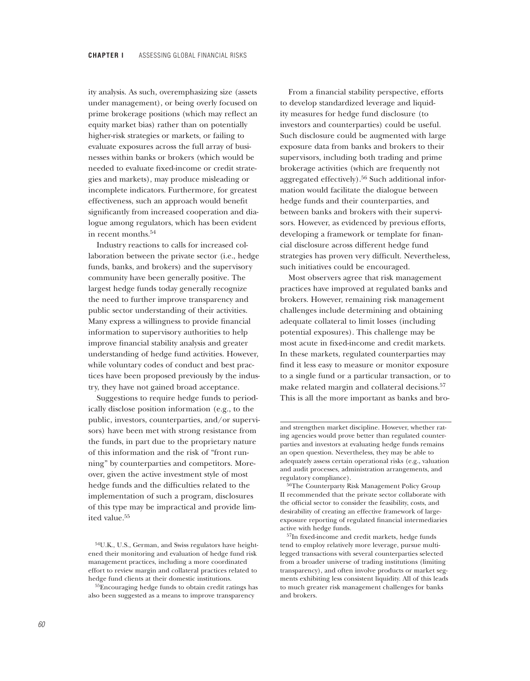ity analysis. As such, overemphasizing size (assets under management), or being overly focused on prime brokerage positions (which may reflect an equity market bias) rather than on potentially higher-risk strategies or markets, or failing to evaluate exposures across the full array of businesses within banks or brokers (which would be needed to evaluate fixed-income or credit strategies and markets), may produce misleading or incomplete indicators. Furthermore, for greatest effectiveness, such an approach would benefit significantly from increased cooperation and dialogue among regulators, which has been evident in recent months.54

Industry reactions to calls for increased collaboration between the private sector (i.e., hedge funds, banks, and brokers) and the supervisory community have been generally positive. The largest hedge funds today generally recognize the need to further improve transparency and public sector understanding of their activities. Many express a willingness to provide financial information to supervisory authorities to help improve financial stability analysis and greater understanding of hedge fund activities. However, while voluntary codes of conduct and best practices have been proposed previously by the industry, they have not gained broad acceptance.

Suggestions to require hedge funds to periodically disclose position information (e.g., to the public, investors, counterparties, and/or supervisors) have been met with strong resistance from the funds, in part due to the proprietary nature of this information and the risk of "front running" by counterparties and competitors. Moreover, given the active investment style of most hedge funds and the difficulties related to the implementation of such a program, disclosures of this type may be impractical and provide limited value.<sup>55</sup>

From a financial stability perspective, efforts to develop standardized leverage and liquidity measures for hedge fund disclosure (to investors and counterparties) could be useful. Such disclosure could be augmented with large exposure data from banks and brokers to their supervisors, including both trading and prime brokerage activities (which are frequently not aggregated effectively).<sup>56</sup> Such additional information would facilitate the dialogue between hedge funds and their counterparties, and between banks and brokers with their supervisors. However, as evidenced by previous efforts, developing a framework or template for financial disclosure across different hedge fund strategies has proven very difficult. Nevertheless, such initiatives could be encouraged.

Most observers agree that risk management practices have improved at regulated banks and brokers. However, remaining risk management challenges include determining and obtaining adequate collateral to limit losses (including potential exposures). This challenge may be most acute in fixed-income and credit markets. In these markets, regulated counterparties may find it less easy to measure or monitor exposure to a single fund or a particular transaction, or to make related margin and collateral decisions.57 This is all the more important as banks and bro-

<sup>54</sup>U.K., U.S., German, and Swiss regulators have heightened their monitoring and evaluation of hedge fund risk management practices, including a more coordinated effort to review margin and collateral practices related to hedge fund clients at their domestic institutions.

<sup>55</sup>Encouraging hedge funds to obtain credit ratings has also been suggested as a means to improve transparency

and strengthen market discipline. However, whether rating agencies would prove better than regulated counterparties and investors at evaluating hedge funds remains an open question. Nevertheless, they may be able to adequately assess certain operational risks (e.g., valuation and audit processes, administration arrangements, and regulatory compliance).

<sup>56</sup>The Counterparty Risk Management Policy Group II recommended that the private sector collaborate with the official sector to consider the feasibility, costs, and desirability of creating an effective framework of largeexposure reporting of regulated financial intermediaries active with hedge funds.

<sup>57</sup>In fixed-income and credit markets, hedge funds tend to employ relatively more leverage, pursue multilegged transactions with several counterparties selected from a broader universe of trading institutions (limiting transparency), and often involve products or market segments exhibiting less consistent liquidity. All of this leads to much greater risk management challenges for banks and brokers.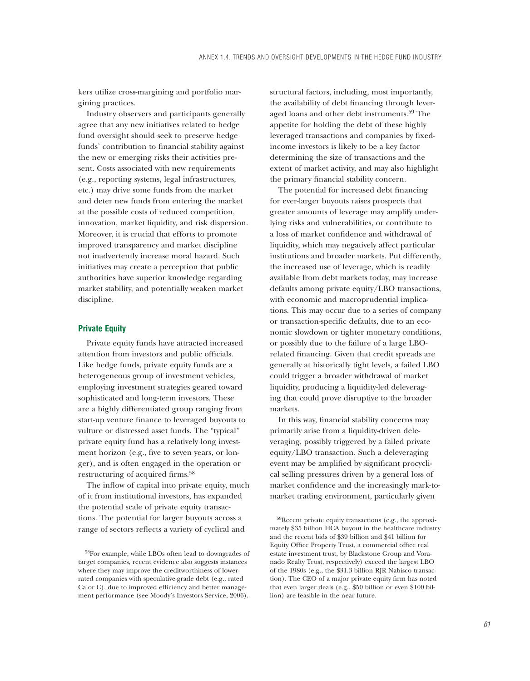kers utilize cross-margining and portfolio margining practices.

Industry observers and participants generally agree that any new initiatives related to hedge fund oversight should seek to preserve hedge funds' contribution to financial stability against the new or emerging risks their activities present. Costs associated with new requirements (e.g., reporting systems, legal infrastructures, etc.) may drive some funds from the market and deter new funds from entering the market at the possible costs of reduced competition, innovation, market liquidity, and risk dispersion. Moreover, it is crucial that efforts to promote improved transparency and market discipline not inadvertently increase moral hazard. Such initiatives may create a perception that public authorities have superior knowledge regarding market stability, and potentially weaken market discipline.

### **Private Equity**

Private equity funds have attracted increased attention from investors and public officials. Like hedge funds, private equity funds are a heterogeneous group of investment vehicles, employing investment strategies geared toward sophisticated and long-term investors. These are a highly differentiated group ranging from start-up venture finance to leveraged buyouts to vulture or distressed asset funds. The "typical" private equity fund has a relatively long investment horizon (e.g., five to seven years, or longer), and is often engaged in the operation or restructuring of acquired firms.<sup>58</sup>

The inflow of capital into private equity, much of it from institutional investors, has expanded the potential scale of private equity transactions. The potential for larger buyouts across a range of sectors reflects a variety of cyclical and

structural factors, including, most importantly, the availability of debt financing through leveraged loans and other debt instruments.<sup>59</sup> The appetite for holding the debt of these highly leveraged transactions and companies by fixedincome investors is likely to be a key factor determining the size of transactions and the extent of market activity, and may also highlight the primary financial stability concern.

The potential for increased debt financing for ever-larger buyouts raises prospects that greater amounts of leverage may amplify underlying risks and vulnerabilities, or contribute to a loss of market confidence and withdrawal of liquidity, which may negatively affect particular institutions and broader markets. Put differently, the increased use of leverage, which is readily available from debt markets today, may increase defaults among private equity/LBO transactions, with economic and macroprudential implications. This may occur due to a series of company or transaction-specific defaults, due to an economic slowdown or tighter monetary conditions, or possibly due to the failure of a large LBOrelated financing. Given that credit spreads are generally at historically tight levels, a failed LBO could trigger a broader withdrawal of market liquidity, producing a liquidity-led deleveraging that could prove disruptive to the broader markets.

In this way, financial stability concerns may primarily arise from a liquidity-driven deleveraging, possibly triggered by a failed private equity/LBO transaction. Such a deleveraging event may be amplified by significant procyclical selling pressures driven by a general loss of market confidence and the increasingly mark-tomarket trading environment, particularly given

<sup>58</sup>For example, while LBOs often lead to downgrades of target companies, recent evidence also suggests instances where they may improve the creditworthiness of lowerrated companies with speculative-grade debt (e.g., rated Ca or C), due to improved efficiency and better management performance (see Moody's Investors Service, 2006).

<sup>59</sup>Recent private equity transactions (e.g., the approximately \$35 billion HCA buyout in the healthcare industry and the recent bids of \$39 billion and \$41 billion for Equity Office Property Trust, a commercial office real estate investment trust, by Blackstone Group and Voranado Realty Trust, respectively) exceed the largest LBO of the 1980s (e.g., the \$31.3 billion RJR Nabisco transaction). The CEO of a major private equity firm has noted that even larger deals (e.g., \$50 billion or even \$100 billion) are feasible in the near future.